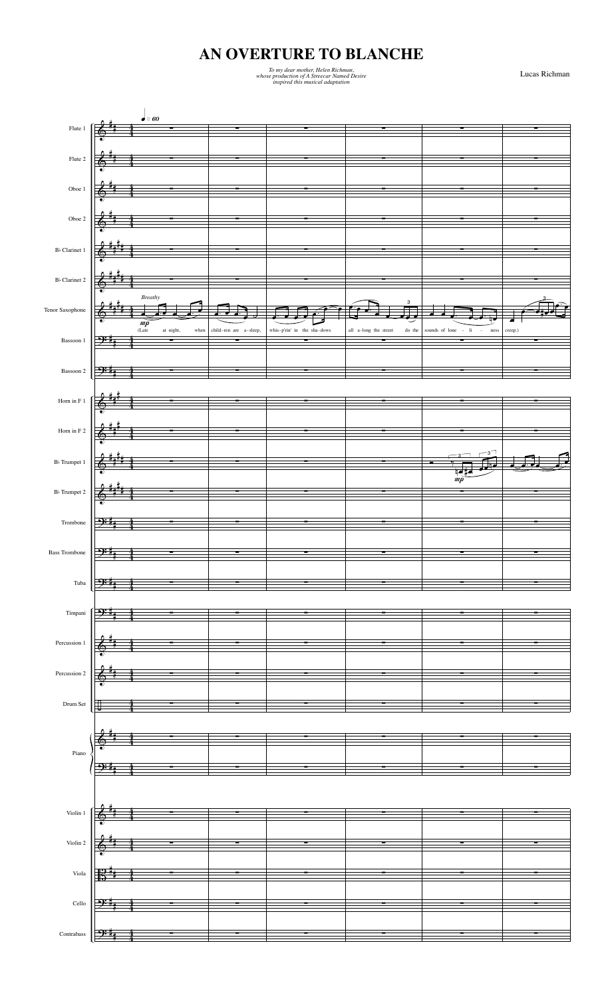## **AN OVERTURE TO BLANCHE**

Lucas Richman *To my dear mother, Helen Richman, whose production of A Streecar Named Desire inspired this musical adaptation*

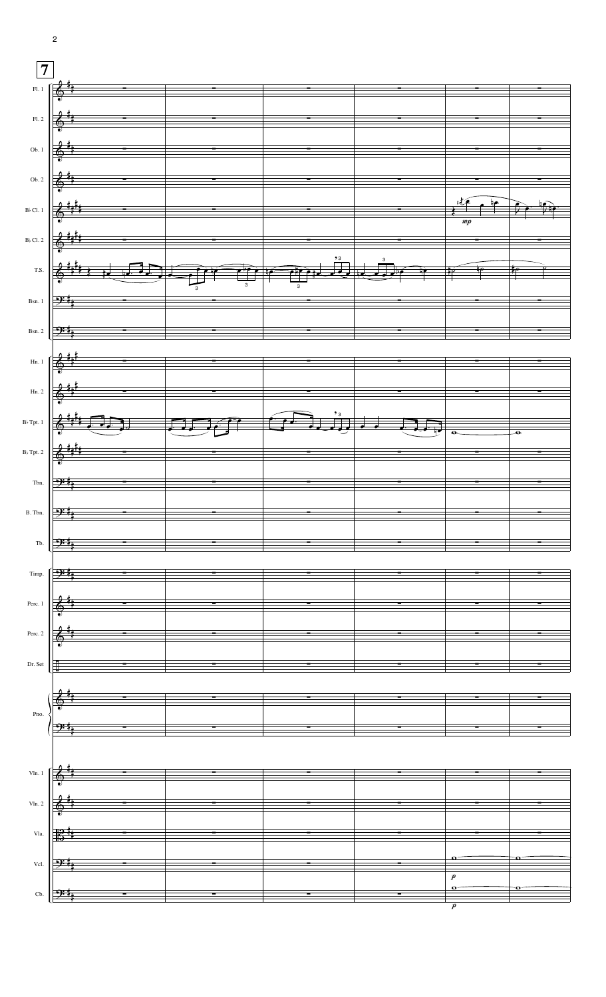| 7                 |                                                                                                                                                                                                                                                                                                                                                                                                                                                                                                                                                                                                                                                                      |                                                                                                                                                                                                                                                                                                                                                        |                                                                                                                                                                                                                                                                                                                                                                                                                                                             |                  |  |
|-------------------|----------------------------------------------------------------------------------------------------------------------------------------------------------------------------------------------------------------------------------------------------------------------------------------------------------------------------------------------------------------------------------------------------------------------------------------------------------------------------------------------------------------------------------------------------------------------------------------------------------------------------------------------------------------------|--------------------------------------------------------------------------------------------------------------------------------------------------------------------------------------------------------------------------------------------------------------------------------------------------------------------------------------------------------|-------------------------------------------------------------------------------------------------------------------------------------------------------------------------------------------------------------------------------------------------------------------------------------------------------------------------------------------------------------------------------------------------------------------------------------------------------------|------------------|--|
|                   | F1.1                                                                                                                                                                                                                                                                                                                                                                                                                                                                                                                                                                                                                                                                 |                                                                                                                                                                                                                                                                                                                                                        |                                                                                                                                                                                                                                                                                                                                                                                                                                                             |                  |  |
|                   | $F1.2$ $67$                                                                                                                                                                                                                                                                                                                                                                                                                                                                                                                                                                                                                                                          |                                                                                                                                                                                                                                                                                                                                                        |                                                                                                                                                                                                                                                                                                                                                                                                                                                             |                  |  |
|                   | Ob. 1 $\theta$ $\frac{1}{2}$                                                                                                                                                                                                                                                                                                                                                                                                                                                                                                                                                                                                                                         |                                                                                                                                                                                                                                                                                                                                                        |                                                                                                                                                                                                                                                                                                                                                                                                                                                             |                  |  |
|                   |                                                                                                                                                                                                                                                                                                                                                                                                                                                                                                                                                                                                                                                                      |                                                                                                                                                                                                                                                                                                                                                        |                                                                                                                                                                                                                                                                                                                                                                                                                                                             |                  |  |
|                   | Ob. 2 $\left  \begin{array}{ccc} \frac{3}{2} & \frac{3}{2} \\ \frac{3}{2} & \frac{3}{2} \end{array} \right $                                                                                                                                                                                                                                                                                                                                                                                                                                                                                                                                                         |                                                                                                                                                                                                                                                                                                                                                        |                                                                                                                                                                                                                                                                                                                                                                                                                                                             |                  |  |
|                   | $Bb$ Cl. 1                                                                                                                                                                                                                                                                                                                                                                                                                                                                                                                                                                                                                                                           |                                                                                                                                                                                                                                                                                                                                                        |                                                                                                                                                                                                                                                                                                                                                                                                                                                             | mp               |  |
|                   | $B \triangleright C1.2$ $\theta$ $\frac{\frac{1}{2} + \frac{1}{2} + \frac{1}{2}}{2}$                                                                                                                                                                                                                                                                                                                                                                                                                                                                                                                                                                                 |                                                                                                                                                                                                                                                                                                                                                        |                                                                                                                                                                                                                                                                                                                                                                                                                                                             |                  |  |
|                   |                                                                                                                                                                                                                                                                                                                                                                                                                                                                                                                                                                                                                                                                      |                                                                                                                                                                                                                                                                                                                                                        |                                                                                                                                                                                                                                                                                                                                                                                                                                                             |                  |  |
|                   |                                                                                                                                                                                                                                                                                                                                                                                                                                                                                                                                                                                                                                                                      |                                                                                                                                                                                                                                                                                                                                                        |                                                                                                                                                                                                                                                                                                                                                                                                                                                             |                  |  |
|                   | Bsn. 1 $9:$ $\frac{4}{4}$                                                                                                                                                                                                                                                                                                                                                                                                                                                                                                                                                                                                                                            |                                                                                                                                                                                                                                                                                                                                                        |                                                                                                                                                                                                                                                                                                                                                                                                                                                             |                  |  |
|                   | Bsn. 2 $9:4$                                                                                                                                                                                                                                                                                                                                                                                                                                                                                                                                                                                                                                                         |                                                                                                                                                                                                                                                                                                                                                        |                                                                                                                                                                                                                                                                                                                                                                                                                                                             |                  |  |
|                   | $Hn. 1$ $\left[\begin{array}{ccc} 0 & H_1 & H_2 \ \hline 0 & 0 & 0 \end{array}\right]$                                                                                                                                                                                                                                                                                                                                                                                                                                                                                                                                                                               |                                                                                                                                                                                                                                                                                                                                                        |                                                                                                                                                                                                                                                                                                                                                                                                                                                             |                  |  |
|                   | $Hn.2$ $\theta$ $\frac{H_{\text{H}}}{\theta}$                                                                                                                                                                                                                                                                                                                                                                                                                                                                                                                                                                                                                        |                                                                                                                                                                                                                                                                                                                                                        |                                                                                                                                                                                                                                                                                                                                                                                                                                                             |                  |  |
|                   |                                                                                                                                                                                                                                                                                                                                                                                                                                                                                                                                                                                                                                                                      |                                                                                                                                                                                                                                                                                                                                                        |                                                                                                                                                                                                                                                                                                                                                                                                                                                             |                  |  |
|                   | $B_3$ Tpt. 1 $\left \left \frac{A_1}{B_2}\frac{\frac{1}{B_1+\frac{1}{B_2}}}{\frac{1}{B_2}-\frac{1}{B_1}}\right $                                                                                                                                                                                                                                                                                                                                                                                                                                                                                                                                                     |                                                                                                                                                                                                                                                                                                                                                        |                                                                                                                                                                                                                                                                                                                                                                                                                                                             |                  |  |
|                   | $B \triangleright$ Tpt. 2 $\frac{2 \frac{4 \pi}{3} \frac{H}{4}}{2 \pi}$                                                                                                                                                                                                                                                                                                                                                                                                                                                                                                                                                                                              |                                                                                                                                                                                                                                                                                                                                                        |                                                                                                                                                                                                                                                                                                                                                                                                                                                             |                  |  |
| Tbn.              | 9:1                                                                                                                                                                                                                                                                                                                                                                                                                                                                                                                                                                                                                                                                  |                                                                                                                                                                                                                                                                                                                                                        |                                                                                                                                                                                                                                                                                                                                                                                                                                                             |                  |  |
| $\mathbf B.$ Tbn. |                                                                                                                                                                                                                                                                                                                                                                                                                                                                                                                                                                                                                                                                      |                                                                                                                                                                                                                                                                                                                                                        |                                                                                                                                                                                                                                                                                                                                                                                                                                                             |                  |  |
|                   |                                                                                                                                                                                                                                                                                                                                                                                                                                                                                                                                                                                                                                                                      |                                                                                                                                                                                                                                                                                                                                                        |                                                                                                                                                                                                                                                                                                                                                                                                                                                             |                  |  |
| Tb.               | $\frac{1}{\sqrt{1-\frac{1}{2}}}\frac{1}{\sqrt{1-\frac{1}{2}}}\frac{1}{\sqrt{1-\frac{1}{2}}}\frac{1}{\sqrt{1-\frac{1}{2}}}\frac{1}{\sqrt{1-\frac{1}{2}}}\frac{1}{\sqrt{1-\frac{1}{2}}}\frac{1}{\sqrt{1-\frac{1}{2}}}\frac{1}{\sqrt{1-\frac{1}{2}}}\frac{1}{\sqrt{1-\frac{1}{2}}}\frac{1}{\sqrt{1-\frac{1}{2}}}\frac{1}{\sqrt{1-\frac{1}{2}}}\frac{1}{\sqrt{1-\frac{1}{2}}}\frac{1}{\sqrt{1-\frac{1}{2}}}\frac{1}{\sqrt{1-\frac{$<br>$\mathbb{P}^n$                                                                                                                                                                                                                    |                                                                                                                                                                                                                                                                                                                                                        |                                                                                                                                                                                                                                                                                                                                                                                                                                                             |                  |  |
| Timp.             |                                                                                                                                                                                                                                                                                                                                                                                                                                                                                                                                                                                                                                                                      |                                                                                                                                                                                                                                                                                                                                                        |                                                                                                                                                                                                                                                                                                                                                                                                                                                             |                  |  |
|                   | Perc. 1 $\theta$ $\frac{\theta}{2}$ $\frac{\theta}{2}$ $\frac{\theta}{2}$ $\frac{\theta}{2}$ $\frac{\theta}{2}$ $\frac{\theta}{2}$ $\frac{\theta}{2}$ $\frac{\theta}{2}$ $\frac{\theta}{2}$ $\frac{\theta}{2}$ $\frac{\theta}{2}$ $\frac{\theta}{2}$ $\frac{\theta}{2}$ $\frac{\theta}{2}$ $\frac{\theta}{2}$ $\frac{\theta}{2}$ $\frac{\theta}{2}$ $\frac{\theta}{2}$ $\frac{\theta}{2}$ $\frac{\theta}{2}$ $\frac{\theta}{2}$                                                                                                                                                                                                                                      |                                                                                                                                                                                                                                                                                                                                                        |                                                                                                                                                                                                                                                                                                                                                                                                                                                             |                  |  |
|                   |                                                                                                                                                                                                                                                                                                                                                                                                                                                                                                                                                                                                                                                                      |                                                                                                                                                                                                                                                                                                                                                        |                                                                                                                                                                                                                                                                                                                                                                                                                                                             |                  |  |
|                   |                                                                                                                                                                                                                                                                                                                                                                                                                                                                                                                                                                                                                                                                      |                                                                                                                                                                                                                                                                                                                                                        |                                                                                                                                                                                                                                                                                                                                                                                                                                                             |                  |  |
| Dr. Set           |                                                                                                                                                                                                                                                                                                                                                                                                                                                                                                                                                                                                                                                                      | $\frac{1}{\sqrt{2}}$ , $\frac{1}{\sqrt{2}}$ , $\frac{1}{\sqrt{2}}$ , $\frac{1}{\sqrt{2}}$ , $\frac{1}{\sqrt{2}}$ , $\frac{1}{\sqrt{2}}$ , $\frac{1}{\sqrt{2}}$ , $\frac{1}{\sqrt{2}}$ , $\frac{1}{\sqrt{2}}$ , $\frac{1}{\sqrt{2}}$ , $\frac{1}{\sqrt{2}}$ , $\frac{1}{\sqrt{2}}$ , $\frac{1}{\sqrt{2}}$ , $\frac{1}{\sqrt{2}}$ , $\frac{1}{\sqrt{2}}$ |                                                                                                                                                                                                                                                                                                                                                                                                                                                             |                  |  |
|                   | $\frac{1}{2}$                                                                                                                                                                                                                                                                                                                                                                                                                                                                                                                                                                                                                                                        |                                                                                                                                                                                                                                                                                                                                                        |                                                                                                                                                                                                                                                                                                                                                                                                                                                             |                  |  |
| Pno.              | 9:1                                                                                                                                                                                                                                                                                                                                                                                                                                                                                                                                                                                                                                                                  |                                                                                                                                                                                                                                                                                                                                                        |                                                                                                                                                                                                                                                                                                                                                                                                                                                             |                  |  |
|                   |                                                                                                                                                                                                                                                                                                                                                                                                                                                                                                                                                                                                                                                                      |                                                                                                                                                                                                                                                                                                                                                        |                                                                                                                                                                                                                                                                                                                                                                                                                                                             |                  |  |
|                   | $V\ln 1$ $\left[\n\begin{array}{ccc}\n\frac{\partial}{\partial t} & \frac{\partial}{\partial t} & \frac{\partial}{\partial t} \\ \frac{\partial}{\partial t} & \frac{\partial}{\partial t} & \frac{\partial}{\partial t} \\ \frac{\partial}{\partial t} & \frac{\partial}{\partial t} & \frac{\partial}{\partial t} \\ \frac{\partial}{\partial t} & \frac{\partial}{\partial t} & \frac{\partial}{\partial t} \\ \frac{\partial}{\partial t} & \frac{\partial}{\partial t} & \frac{\partial}{\partial t} \\ \frac{\partial}{\partial t} & \frac{\partial}{\partial t} & \frac{\partial}{\partial t} \\ \frac{\partial}{\partial t} & \frac{\partial}{\partial t} &$ |                                                                                                                                                                                                                                                                                                                                                        |                                                                                                                                                                                                                                                                                                                                                                                                                                                             |                  |  |
|                   | $\nu$ ln. 2 $\left  \begin{array}{ccc} \frac{1}{\sqrt{2}} & \frac{1}{\sqrt{2}} \\ \frac{1}{\sqrt{2}} & \frac{1}{\sqrt{2}} \end{array} \right $                                                                                                                                                                                                                                                                                                                                                                                                                                                                                                                       |                                                                                                                                                                                                                                                                                                                                                        | $\mathcal{L} = \mathcal{L} \mathcal{L} = \mathcal{L} \mathcal{L} \mathcal{L} \mathcal{L} \mathcal{L} \mathcal{L} \mathcal{L} \mathcal{L} \mathcal{L} \mathcal{L} \mathcal{L} \mathcal{L} \mathcal{L} \mathcal{L} \mathcal{L} \mathcal{L} \mathcal{L} \mathcal{L} \mathcal{L} \mathcal{L} \mathcal{L} \mathcal{L} \mathcal{L} \mathcal{L} \mathcal{L} \mathcal{L} \mathcal{L} \mathcal{L} \mathcal{L} \mathcal{L} \mathcal{L} \mathcal{L} \mathcal{L} \math$ |                  |  |
|                   |                                                                                                                                                                                                                                                                                                                                                                                                                                                                                                                                                                                                                                                                      |                                                                                                                                                                                                                                                                                                                                                        |                                                                                                                                                                                                                                                                                                                                                                                                                                                             |                  |  |
| $V$ la.           | $\mathbb{B}^+$                                                                                                                                                                                                                                                                                                                                                                                                                                                                                                                                                                                                                                                       |                                                                                                                                                                                                                                                                                                                                                        |                                                                                                                                                                                                                                                                                                                                                                                                                                                             |                  |  |
| $\rm{Vcl.}$       | $\Theta: \mathbb{H}$                                                                                                                                                                                                                                                                                                                                                                                                                                                                                                                                                                                                                                                 |                                                                                                                                                                                                                                                                                                                                                        |                                                                                                                                                                                                                                                                                                                                                                                                                                                             |                  |  |
| Cb                |                                                                                                                                                                                                                                                                                                                                                                                                                                                                                                                                                                                                                                                                      |                                                                                                                                                                                                                                                                                                                                                        |                                                                                                                                                                                                                                                                                                                                                                                                                                                             | $\boldsymbol{p}$ |  |
|                   |                                                                                                                                                                                                                                                                                                                                                                                                                                                                                                                                                                                                                                                                      |                                                                                                                                                                                                                                                                                                                                                        |                                                                                                                                                                                                                                                                                                                                                                                                                                                             | $\boldsymbol{p}$ |  |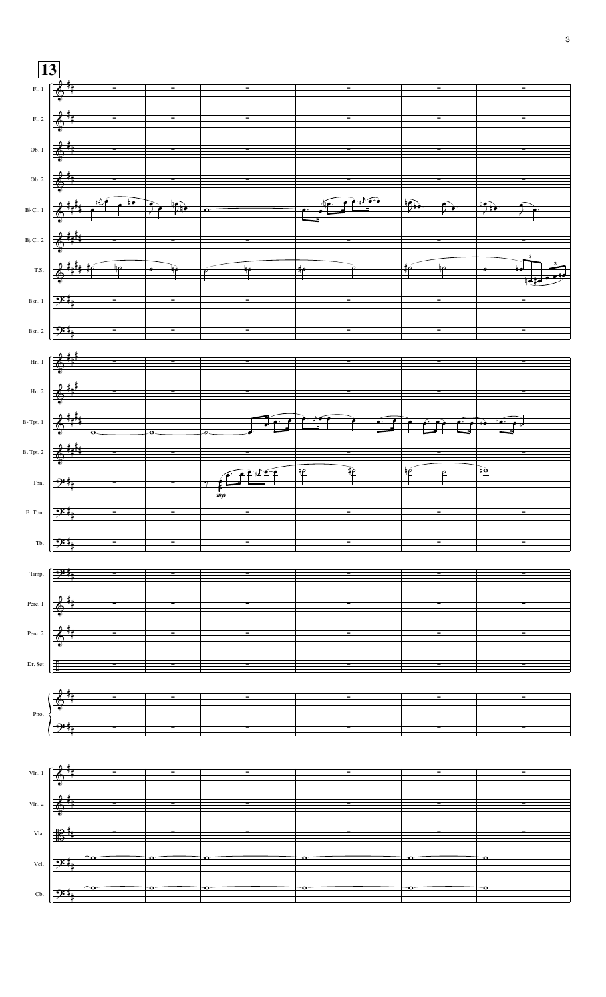| 13                                                                                                                                             |                                                                                                                                                                                                                                                                                                                                                                                                      |                            |                                           |                                                                                                  |               |                                    |
|------------------------------------------------------------------------------------------------------------------------------------------------|------------------------------------------------------------------------------------------------------------------------------------------------------------------------------------------------------------------------------------------------------------------------------------------------------------------------------------------------------------------------------------------------------|----------------------------|-------------------------------------------|--------------------------------------------------------------------------------------------------|---------------|------------------------------------|
| $\rm Fl.$ $1$                                                                                                                                  | $\frac{1}{2}$                                                                                                                                                                                                                                                                                                                                                                                        |                            |                                           |                                                                                                  |               |                                    |
|                                                                                                                                                | F1.2                                                                                                                                                                                                                                                                                                                                                                                                 |                            |                                           |                                                                                                  |               |                                    |
|                                                                                                                                                |                                                                                                                                                                                                                                                                                                                                                                                                      |                            |                                           |                                                                                                  |               |                                    |
|                                                                                                                                                | Ob. 1 $\frac{2}{9}$                                                                                                                                                                                                                                                                                                                                                                                  |                            |                                           |                                                                                                  |               |                                    |
|                                                                                                                                                | Ob. 2 $\theta$ $\frac{1}{2}$                                                                                                                                                                                                                                                                                                                                                                         |                            |                                           |                                                                                                  |               |                                    |
|                                                                                                                                                | B, Cl. 1 $\left \n\begin{array}{ccc ccc}\n\frac{1}{2} & \frac{1}{2} & \frac{1}{2} & \frac{1}{2} & \frac{1}{2} & \frac{1}{2} & \frac{1}{2} & \frac{1}{2} & \frac{1}{2} & \frac{1}{2} & \frac{1}{2} & \frac{1}{2} & \frac{1}{2} & \frac{1}{2} & \frac{1}{2} & \frac{1}{2} & \frac{1}{2} & \frac{1}{2} & \frac{1}{2} & \frac{1}{2} & \frac{1}{2} & \frac{1}{2} & \frac{1}{2} & \frac{1}{2} & \frac{1}{$ |                            |                                           | $\frac{1}{\sqrt{1-\frac{1}{2}}}\int_{0}^{\sqrt{1-\frac{1}{2}}}\frac{e^{-\frac{1}{2}x^2}}{x^2}dx$ | $\frac{1}{2}$ | $\mathfrak{P}$ in $\mathfrak{p}$ . |
|                                                                                                                                                | $B \triangleright C1.2$                                                                                                                                                                                                                                                                                                                                                                              |                            | $\blacksquare$                            |                                                                                                  |               |                                    |
|                                                                                                                                                | $\frac{1}{2}$ $\frac{1}{2}$ $\frac{1}{2}$ $\frac{1}{2}$ $\frac{1}{2}$ $\frac{1}{2}$ $\frac{1}{2}$ $\frac{1}{2}$ $\frac{1}{2}$ $\frac{1}{2}$ $\frac{1}{2}$ $\frac{1}{2}$ $\frac{1}{2}$ $\frac{1}{2}$ $\frac{1}{2}$ $\frac{1}{2}$ $\frac{1}{2}$ $\frac{1}{2}$ $\frac{1}{2}$ $\frac{1}{2}$ $\frac{1}{2}$ $\frac{1}{2}$                                                                                  | $\frac{1}{2}$              | $\frac{1}{2}$                             |                                                                                                  |               | $\mathbf{3}$                       |
|                                                                                                                                                |                                                                                                                                                                                                                                                                                                                                                                                                      |                            |                                           |                                                                                                  |               |                                    |
| $_{\rm Bsn.~1}$                                                                                                                                | $\mathbb{P}^1$                                                                                                                                                                                                                                                                                                                                                                                       |                            |                                           |                                                                                                  |               |                                    |
| Bsn. 2                                                                                                                                         | 9:1                                                                                                                                                                                                                                                                                                                                                                                                  |                            |                                           |                                                                                                  |               |                                    |
|                                                                                                                                                | $\frac{Hn.1}{100}$                                                                                                                                                                                                                                                                                                                                                                                   |                            |                                           |                                                                                                  |               |                                    |
|                                                                                                                                                | $Hn.2$ $\theta$ $\frac{4}{3}$                                                                                                                                                                                                                                                                                                                                                                        |                            |                                           |                                                                                                  |               |                                    |
|                                                                                                                                                | $B \triangleright$ Tpt. 1                                                                                                                                                                                                                                                                                                                                                                            |                            |                                           |                                                                                                  |               |                                    |
|                                                                                                                                                |                                                                                                                                                                                                                                                                                                                                                                                                      |                            |                                           |                                                                                                  |               |                                    |
| $\mathbf{B}\flat$ Tpt. 2                                                                                                                       | $\frac{2+\frac{1}{2}}{\frac{1}{2}}$                                                                                                                                                                                                                                                                                                                                                                  |                            | $f \uparrow \downarrow \uparrow \uparrow$ | #<br>悍                                                                                           | مِ⊧           | $\overline{\mathbf{p}}$            |
| Tbn.                                                                                                                                           | 9:1                                                                                                                                                                                                                                                                                                                                                                                                  |                            | mp                                        |                                                                                                  |               |                                    |
| $B$ . Tbn.                                                                                                                                     |                                                                                                                                                                                                                                                                                                                                                                                                      | Ξ                          |                                           |                                                                                                  |               |                                    |
| Tb.                                                                                                                                            | $\rightarrow$                                                                                                                                                                                                                                                                                                                                                                                        |                            |                                           |                                                                                                  |               |                                    |
|                                                                                                                                                | $\cdot$                                                                                                                                                                                                                                                                                                                                                                                              |                            |                                           |                                                                                                  |               |                                    |
| Timp.                                                                                                                                          |                                                                                                                                                                                                                                                                                                                                                                                                      |                            |                                           |                                                                                                  |               |                                    |
| Perc. 1                                                                                                                                        | $\equiv$ $\equiv$                                                                                                                                                                                                                                                                                                                                                                                    |                            |                                           |                                                                                                  |               |                                    |
| Perc. 2                                                                                                                                        |                                                                                                                                                                                                                                                                                                                                                                                                      |                            |                                           |                                                                                                  |               |                                    |
| Dr. Set                                                                                                                                        |                                                                                                                                                                                                                                                                                                                                                                                                      | $\blacksquare$             |                                           |                                                                                                  |               |                                    |
|                                                                                                                                                |                                                                                                                                                                                                                                                                                                                                                                                                      |                            |                                           |                                                                                                  |               |                                    |
| Pno.                                                                                                                                           | $\frac{1}{\Phi}$                                                                                                                                                                                                                                                                                                                                                                                     | <u>sa pada</u>             |                                           |                                                                                                  |               |                                    |
|                                                                                                                                                |                                                                                                                                                                                                                                                                                                                                                                                                      |                            |                                           |                                                                                                  |               |                                    |
|                                                                                                                                                |                                                                                                                                                                                                                                                                                                                                                                                                      |                            |                                           |                                                                                                  |               |                                    |
| $\frac{V \ln 1}{\frac{1}{\pi}}$                                                                                                                |                                                                                                                                                                                                                                                                                                                                                                                                      |                            |                                           |                                                                                                  |               |                                    |
| Vln. 2 $\left  \begin{array}{c} \begin{array}{c} \begin{array}{c} \end{array} \\ \begin{array}{c} \end{array} \end{array} \end{array} \right $ |                                                                                                                                                                                                                                                                                                                                                                                                      |                            | ÷                                         |                                                                                                  |               |                                    |
| $V1a$ .                                                                                                                                        | $\mathbb{B}^+$                                                                                                                                                                                                                                                                                                                                                                                       | $\mathcal{L}_{\text{max}}$ | $\equiv$                                  |                                                                                                  |               |                                    |
| $\rm{Vcl.}$                                                                                                                                    | 9:1                                                                                                                                                                                                                                                                                                                                                                                                  | $\frac{1}{\sqrt{2}}$       | $\mathbf{o}$                              | $\equiv$ o                                                                                       |               |                                    |
|                                                                                                                                                | _െ                                                                                                                                                                                                                                                                                                                                                                                                   | $\sim$                     | $\mathbf{o}$                              | $\mathbf{o}$                                                                                     |               |                                    |
| $\overline{\text{Cb}}$                                                                                                                         |                                                                                                                                                                                                                                                                                                                                                                                                      |                            |                                           |                                                                                                  |               |                                    |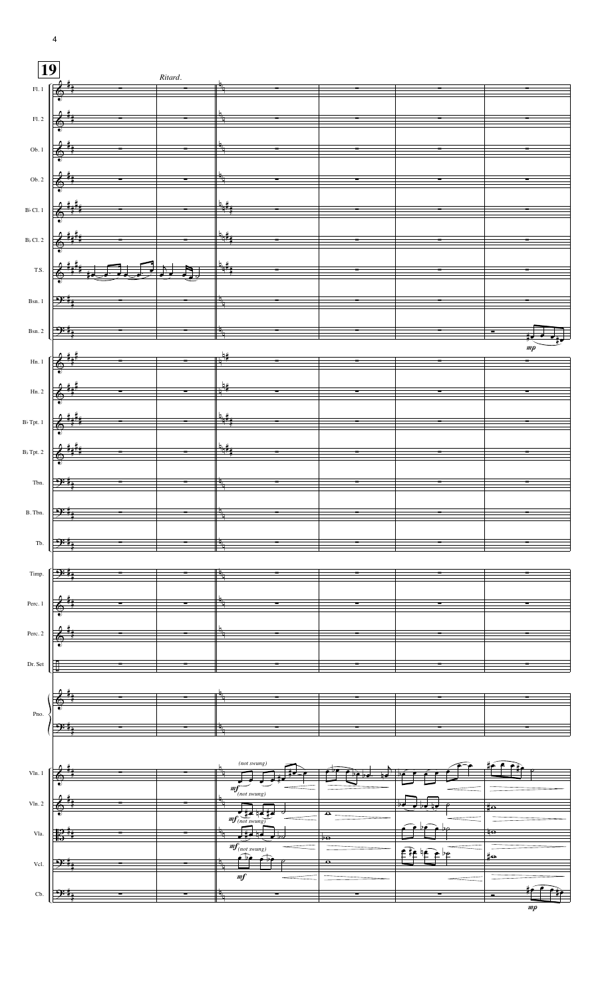| $\overline{19}$ |                                                                                                                                                                                                                                                                                                                                                                                                                             |                | Ritard.                                                                                                                                                                                                                                                                                                                                                                                                                   |                                                      |                          |                |         |                       |
|-----------------|-----------------------------------------------------------------------------------------------------------------------------------------------------------------------------------------------------------------------------------------------------------------------------------------------------------------------------------------------------------------------------------------------------------------------------|----------------|---------------------------------------------------------------------------------------------------------------------------------------------------------------------------------------------------------------------------------------------------------------------------------------------------------------------------------------------------------------------------------------------------------------------------|------------------------------------------------------|--------------------------|----------------|---------|-----------------------|
| F1.1            | $\frac{2}{9}$                                                                                                                                                                                                                                                                                                                                                                                                               |                |                                                                                                                                                                                                                                                                                                                                                                                                                           |                                                      |                          |                |         |                       |
|                 |                                                                                                                                                                                                                                                                                                                                                                                                                             |                |                                                                                                                                                                                                                                                                                                                                                                                                                           |                                                      |                          |                |         |                       |
|                 | $F1.2$ $\left  \begin{array}{c} 2 \\ 1 \end{array} \right $                                                                                                                                                                                                                                                                                                                                                                 |                |                                                                                                                                                                                                                                                                                                                                                                                                                           | 鸟                                                    |                          |                |         |                       |
|                 | Ob. 1                                                                                                                                                                                                                                                                                                                                                                                                                       |                | $\overline{\phantom{a}}$                                                                                                                                                                                                                                                                                                                                                                                                  | ۳                                                    | $\blacksquare$           |                |         |                       |
|                 |                                                                                                                                                                                                                                                                                                                                                                                                                             |                |                                                                                                                                                                                                                                                                                                                                                                                                                           |                                                      |                          |                |         |                       |
|                 |                                                                                                                                                                                                                                                                                                                                                                                                                             |                |                                                                                                                                                                                                                                                                                                                                                                                                                           | 凸                                                    |                          |                |         |                       |
|                 | $B_{\rm b}$ Cl. 1 $\left  \begin{array}{ccc} \frac{1}{\sqrt{2}} & \frac{\#_{\rm H} \#_{\rm H}}{\#_{\rm H}} & \frac{\#_{\rm H}}{\#_{\rm H}} & \frac{\#_{\rm H}}{\#_{\rm H}} & \frac{\#_{\rm H}}{\#_{\rm H}} & \frac{\#_{\rm H}}{\#_{\rm H}} & \frac{\#_{\rm H}}{\#_{\rm H}} & \frac{\#_{\rm H}}{\#_{\rm H}} & \frac{\#_{\rm H}}{\#_{\rm H}} & \frac{\#_{\rm H}}{\#_{\rm H}} & \frac{\#_{\rm H}}{\#_{\rm H}} & \frac{\#_{\rm$ |                | $\sim$                                                                                                                                                                                                                                                                                                                                                                                                                    | $\mathbb{H}_1$                                       | $\blacksquare$           |                |         |                       |
|                 |                                                                                                                                                                                                                                                                                                                                                                                                                             |                |                                                                                                                                                                                                                                                                                                                                                                                                                           |                                                      |                          |                |         |                       |
|                 |                                                                                                                                                                                                                                                                                                                                                                                                                             |                | $B \triangleright C1.2$ $\left \n\begin{array}{ccc}\n\frac{4}{5} & \frac{4}{5} \\ \frac{4}{5} & \frac{4}{5} \\ \frac{4}{5} & \frac{4}{5} \\ \frac{4}{5} & \frac{4}{5} \\ \frac{4}{5} & \frac{4}{5} \\ \frac{4}{5} & \frac{4}{5} \\ \frac{4}{5} & \frac{4}{5} \\ \frac{4}{5} & \frac{4}{5} \\ \frac{4}{5} & \frac{4}{5} \\ \frac{4}{5} & \frac{4}{5} \\ \frac{4}{5} & \frac{4}{5} \\ \frac{4}{5} & \frac{4}{5} \\ \frac{4$ | $\equiv$ $\equiv$                                    |                          |                |         |                       |
|                 |                                                                                                                                                                                                                                                                                                                                                                                                                             |                |                                                                                                                                                                                                                                                                                                                                                                                                                           |                                                      |                          |                |         |                       |
|                 |                                                                                                                                                                                                                                                                                                                                                                                                                             |                | $T.S.$ $\left  \begin{array}{ccc} 0 & 0 & 0 \\ 0 & 0 & 0 \end{array} \right $ $\left  \begin{array}{ccc} 0 & 0 & 0 \\ 0 & 0 & 0 \end{array} \right $ $\left  \begin{array}{ccc} 0 & 0 & 0 \\ 0 & 0 & 0 \end{array} \right $                                                                                                                                                                                               |                                                      |                          |                |         |                       |
|                 | <b>Bsn.</b> 1 $9:4$                                                                                                                                                                                                                                                                                                                                                                                                         | $\blacksquare$ |                                                                                                                                                                                                                                                                                                                                                                                                                           | ╟╹╻                                                  |                          |                |         |                       |
|                 |                                                                                                                                                                                                                                                                                                                                                                                                                             |                |                                                                                                                                                                                                                                                                                                                                                                                                                           |                                                      |                          |                |         |                       |
|                 | Bsn. 2 $\left  \frac{1}{2} \right $                                                                                                                                                                                                                                                                                                                                                                                         |                |                                                                                                                                                                                                                                                                                                                                                                                                                           | पै⊧                                                  |                          |                |         |                       |
|                 | $Hn.1$ $\left[\begin{array}{ccc} 0 & \frac{1}{2} & \frac{1}{2} \\ \frac{1}{2} & \frac{1}{2} & \frac{1}{2} \\ \frac{1}{2} & \frac{1}{2} & \frac{1}{2} \end{array}\right]$                                                                                                                                                                                                                                                    |                |                                                                                                                                                                                                                                                                                                                                                                                                                           | ┈┞╫<br>╢┞╵                                           |                          |                |         | $\overrightarrow{mp}$ |
|                 |                                                                                                                                                                                                                                                                                                                                                                                                                             |                | $\frac{1}{2}$ $\frac{1}{2}$ $\frac{1}{2}$ $\frac{1}{2}$ $\frac{1}{2}$ $\frac{1}{2}$ $\frac{1}{2}$ $\frac{1}{2}$ $\frac{1}{2}$ $\frac{1}{2}$ $\frac{1}{2}$ $\frac{1}{2}$ $\frac{1}{2}$ $\frac{1}{2}$ $\frac{1}{2}$ $\frac{1}{2}$ $\frac{1}{2}$ $\frac{1}{2}$ $\frac{1}{2}$ $\frac{1}{2}$ $\frac{1}{2}$ $\frac{1}{2}$                                                                                                       |                                                      |                          |                |         |                       |
|                 |                                                                                                                                                                                                                                                                                                                                                                                                                             |                |                                                                                                                                                                                                                                                                                                                                                                                                                           |                                                      |                          |                |         |                       |
|                 | $B_5$ Tpt. 1 $\theta$ $\frac{\frac{1}{4} + \frac{1}{4}}{2}$                                                                                                                                                                                                                                                                                                                                                                 |                | Ξ                                                                                                                                                                                                                                                                                                                                                                                                                         | ╟╙┇╃╈                                                | $\overline{\phantom{a}}$ |                |         |                       |
|                 |                                                                                                                                                                                                                                                                                                                                                                                                                             |                |                                                                                                                                                                                                                                                                                                                                                                                                                           |                                                      |                          |                |         |                       |
|                 | $B_5$ Tpt. 2 $\frac{2}{10}$ $\frac{4}{10}$ $\frac{4}{10}$                                                                                                                                                                                                                                                                                                                                                                   |                |                                                                                                                                                                                                                                                                                                                                                                                                                           | $\frac{\mu_{\rm{H}}}{\mu_{\rm{H}}}$                  |                          |                |         |                       |
|                 |                                                                                                                                                                                                                                                                                                                                                                                                                             |                |                                                                                                                                                                                                                                                                                                                                                                                                                           |                                                      |                          |                |         |                       |
| Tbn.            | <u> 9:1</u>                                                                                                                                                                                                                                                                                                                                                                                                                 |                |                                                                                                                                                                                                                                                                                                                                                                                                                           | ╙                                                    |                          |                |         |                       |
| B. Tbn.         | $\rightarrow$ : 1                                                                                                                                                                                                                                                                                                                                                                                                           |                |                                                                                                                                                                                                                                                                                                                                                                                                                           | ╙                                                    |                          |                |         |                       |
|                 |                                                                                                                                                                                                                                                                                                                                                                                                                             |                |                                                                                                                                                                                                                                                                                                                                                                                                                           |                                                      |                          |                |         |                       |
| Tb.             | 9: L                                                                                                                                                                                                                                                                                                                                                                                                                        |                |                                                                                                                                                                                                                                                                                                                                                                                                                           | ₩                                                    |                          |                |         |                       |
| Timp.           |                                                                                                                                                                                                                                                                                                                                                                                                                             |                |                                                                                                                                                                                                                                                                                                                                                                                                                           | ┺                                                    |                          |                |         |                       |
|                 |                                                                                                                                                                                                                                                                                                                                                                                                                             |                |                                                                                                                                                                                                                                                                                                                                                                                                                           |                                                      |                          |                |         |                       |
| Perc. 1         |                                                                                                                                                                                                                                                                                                                                                                                                                             |                |                                                                                                                                                                                                                                                                                                                                                                                                                           |                                                      |                          |                |         |                       |
| Perc. 2         |                                                                                                                                                                                                                                                                                                                                                                                                                             |                |                                                                                                                                                                                                                                                                                                                                                                                                                           |                                                      |                          |                |         |                       |
|                 |                                                                                                                                                                                                                                                                                                                                                                                                                             |                |                                                                                                                                                                                                                                                                                                                                                                                                                           |                                                      |                          |                |         |                       |
| Dr. Set         |                                                                                                                                                                                                                                                                                                                                                                                                                             |                |                                                                                                                                                                                                                                                                                                                                                                                                                           |                                                      |                          |                |         |                       |
|                 |                                                                                                                                                                                                                                                                                                                                                                                                                             |                |                                                                                                                                                                                                                                                                                                                                                                                                                           |                                                      |                          |                |         |                       |
|                 |                                                                                                                                                                                                                                                                                                                                                                                                                             |                |                                                                                                                                                                                                                                                                                                                                                                                                                           | 禸                                                    |                          |                |         |                       |
| Pno.            |                                                                                                                                                                                                                                                                                                                                                                                                                             |                |                                                                                                                                                                                                                                                                                                                                                                                                                           | ┺                                                    |                          |                |         |                       |
|                 |                                                                                                                                                                                                                                                                                                                                                                                                                             |                |                                                                                                                                                                                                                                                                                                                                                                                                                           |                                                      |                          |                |         |                       |
|                 |                                                                                                                                                                                                                                                                                                                                                                                                                             |                |                                                                                                                                                                                                                                                                                                                                                                                                                           | (not swung)                                          |                          |                |         |                       |
| Vln.1           |                                                                                                                                                                                                                                                                                                                                                                                                                             |                |                                                                                                                                                                                                                                                                                                                                                                                                                           | m f                                                  |                          |                |         |                       |
| Vln.2           |                                                                                                                                                                                                                                                                                                                                                                                                                             |                |                                                                                                                                                                                                                                                                                                                                                                                                                           | (not swung)                                          |                          |                |         | $\bullet$             |
|                 |                                                                                                                                                                                                                                                                                                                                                                                                                             |                |                                                                                                                                                                                                                                                                                                                                                                                                                           | $\frac{1}{\text{mf}(\text{not sum})}$                |                          | $\bullet$      |         |                       |
| Vla.            |                                                                                                                                                                                                                                                                                                                                                                                                                             |                |                                                                                                                                                                                                                                                                                                                                                                                                                           |                                                      | ≠⊅ट                      | $\frac{1}{20}$ |         | $\frac{1}{2}$         |
| Vcl.            | $\rightarrow$ :                                                                                                                                                                                                                                                                                                                                                                                                             |                |                                                                                                                                                                                                                                                                                                                                                                                                                           | $\overline{\mathit{mf}}_{(not\;swung)}$<br>• ⊅€<br>₩ |                          | $\bullet$      | Þe<br>₹ | $\frac{1}{2}$         |
|                 |                                                                                                                                                                                                                                                                                                                                                                                                                             |                |                                                                                                                                                                                                                                                                                                                                                                                                                           | m f                                                  |                          |                |         |                       |
| Cb.             | $-9:1$                                                                                                                                                                                                                                                                                                                                                                                                                      |                |                                                                                                                                                                                                                                                                                                                                                                                                                           | पै⊧                                                  |                          |                |         |                       |

 $\overline{mp}$ 

 $\overline{\mathbf{4}}$ 

 $\mathbf{B}^{\dagger}$ 

 $B<sub>b</sub>$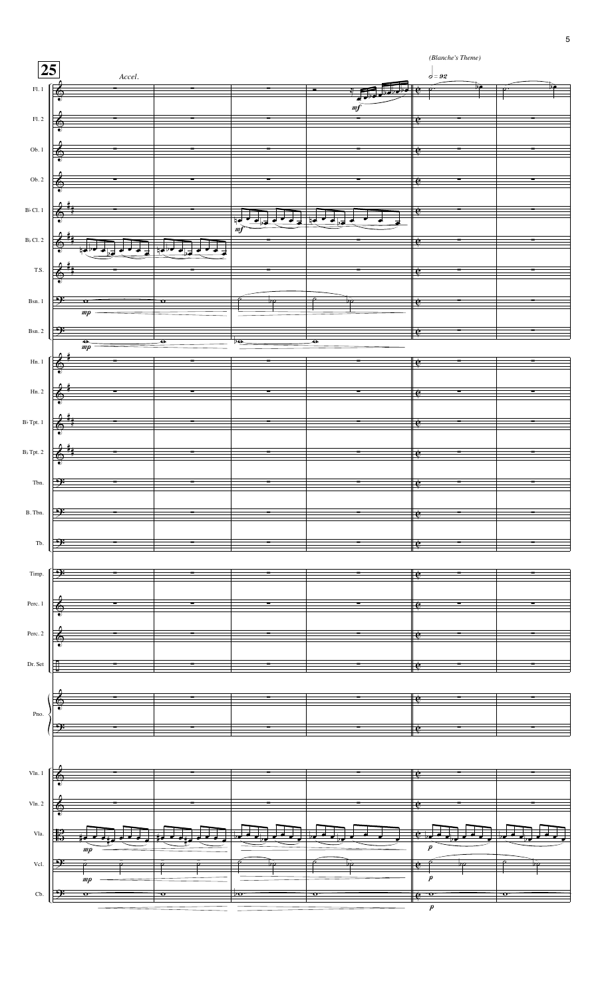| 25                                |                         |                                                                                                                                                                                                                                                                                                                                                                                                                           |                          |                           |                         | (Blanche's Theme)                    |                   |
|-----------------------------------|-------------------------|---------------------------------------------------------------------------------------------------------------------------------------------------------------------------------------------------------------------------------------------------------------------------------------------------------------------------------------------------------------------------------------------------------------------------|--------------------------|---------------------------|-------------------------|--------------------------------------|-------------------|
|                                   |                         | $\boldsymbol{Accel}.$                                                                                                                                                                                                                                                                                                                                                                                                     |                          |                           |                         | $0 = 92$                             |                   |
| F1.1                              | G                       |                                                                                                                                                                                                                                                                                                                                                                                                                           |                          |                           |                         |                                      |                   |
|                                   | $\bullet$               |                                                                                                                                                                                                                                                                                                                                                                                                                           |                          |                           | m f                     |                                      |                   |
| $\rm Fl.$ 2                       |                         |                                                                                                                                                                                                                                                                                                                                                                                                                           | ▬                        | -                         |                         | €                                    |                   |
|                                   | ⊕                       |                                                                                                                                                                                                                                                                                                                                                                                                                           |                          |                           |                         |                                      |                   |
|                                   |                         |                                                                                                                                                                                                                                                                                                                                                                                                                           |                          |                           |                         |                                      |                   |
| Ob.1                              | ⊕                       |                                                                                                                                                                                                                                                                                                                                                                                                                           |                          |                           |                         | €                                    |                   |
|                                   |                         |                                                                                                                                                                                                                                                                                                                                                                                                                           |                          |                           |                         |                                      |                   |
| Ob. 2                             |                         |                                                                                                                                                                                                                                                                                                                                                                                                                           |                          |                           |                         | €                                    |                   |
|                                   |                         |                                                                                                                                                                                                                                                                                                                                                                                                                           |                          |                           |                         |                                      |                   |
|                                   |                         |                                                                                                                                                                                                                                                                                                                                                                                                                           |                          |                           |                         |                                      |                   |
| $\rm B\!\flat$ Cl. 1              |                         |                                                                                                                                                                                                                                                                                                                                                                                                                           |                          |                           |                         | €                                    |                   |
|                                   |                         |                                                                                                                                                                                                                                                                                                                                                                                                                           |                          | Ļ۴<br>mf                  |                         |                                      |                   |
| $\mathrm{B}\!\!\downarrow$ Cl. 2  |                         |                                                                                                                                                                                                                                                                                                                                                                                                                           |                          |                           |                         | $\bullet$                            |                   |
|                                   |                         |                                                                                                                                                                                                                                                                                                                                                                                                                           |                          |                           |                         |                                      |                   |
|                                   |                         |                                                                                                                                                                                                                                                                                                                                                                                                                           |                          |                           |                         |                                      |                   |
| T.S.                              |                         |                                                                                                                                                                                                                                                                                                                                                                                                                           |                          |                           |                         | €                                    |                   |
|                                   |                         |                                                                                                                                                                                                                                                                                                                                                                                                                           |                          |                           |                         |                                      |                   |
| Bsn. 1                            | →):                     | $\mathbf o$                                                                                                                                                                                                                                                                                                                                                                                                               | $\overline{\mathbf{o}}$  |                           | bρ                      | ¢                                    |                   |
|                                   |                         | $\overline{mp}$                                                                                                                                                                                                                                                                                                                                                                                                           |                          |                           |                         |                                      |                   |
|                                   | −9:                     |                                                                                                                                                                                                                                                                                                                                                                                                                           |                          |                           |                         |                                      |                   |
| $_{\rm Bsn. \, 2}$                |                         |                                                                                                                                                                                                                                                                                                                                                                                                                           | $\overline{\bullet}$     | $b\mathbf{e}$             | $\overline{\bullet}$    | $\overline{\textbf{e}}$              |                   |
|                                   |                         | $\frac{\Theta}{mp}$                                                                                                                                                                                                                                                                                                                                                                                                       |                          |                           |                         |                                      |                   |
| Hn.1                              |                         |                                                                                                                                                                                                                                                                                                                                                                                                                           |                          |                           |                         | €                                    |                   |
|                                   |                         |                                                                                                                                                                                                                                                                                                                                                                                                                           |                          |                           |                         |                                      |                   |
| Hn.2                              |                         |                                                                                                                                                                                                                                                                                                                                                                                                                           |                          |                           |                         | $\bullet$                            |                   |
|                                   |                         |                                                                                                                                                                                                                                                                                                                                                                                                                           |                          |                           |                         |                                      |                   |
|                                   |                         |                                                                                                                                                                                                                                                                                                                                                                                                                           |                          |                           |                         |                                      |                   |
| $B\flat$ Tpt. 1                   |                         |                                                                                                                                                                                                                                                                                                                                                                                                                           |                          |                           |                         | $\mathbf e$                          | т                 |
|                                   |                         |                                                                                                                                                                                                                                                                                                                                                                                                                           |                          |                           |                         |                                      |                   |
| $B\flat$ Tpt. 2                   |                         |                                                                                                                                                                                                                                                                                                                                                                                                                           |                          |                           |                         | €                                    |                   |
|                                   | စ                       |                                                                                                                                                                                                                                                                                                                                                                                                                           |                          |                           |                         |                                      |                   |
|                                   |                         |                                                                                                                                                                                                                                                                                                                                                                                                                           |                          |                           |                         |                                      |                   |
| Tbn.                              | $\overline{\mathbf{P}}$ |                                                                                                                                                                                                                                                                                                                                                                                                                           |                          |                           |                         | €                                    |                   |
|                                   |                         |                                                                                                                                                                                                                                                                                                                                                                                                                           |                          |                           |                         |                                      |                   |
| $\operatorname{B}.$ Tbn.          | $\Theta^:$              |                                                                                                                                                                                                                                                                                                                                                                                                                           |                          |                           |                         |                                      |                   |
|                                   |                         |                                                                                                                                                                                                                                                                                                                                                                                                                           |                          |                           |                         |                                      |                   |
| Tb.                               |                         |                                                                                                                                                                                                                                                                                                                                                                                                                           |                          |                           |                         | Γ€                                   |                   |
|                                   |                         |                                                                                                                                                                                                                                                                                                                                                                                                                           |                          |                           |                         |                                      |                   |
|                                   |                         |                                                                                                                                                                                                                                                                                                                                                                                                                           |                          |                           |                         |                                      |                   |
| Timp. $\boxed{2^2}$               |                         |                                                                                                                                                                                                                                                                                                                                                                                                                           |                          |                           |                         | $\pm$                                |                   |
|                                   |                         |                                                                                                                                                                                                                                                                                                                                                                                                                           |                          |                           |                         |                                      |                   |
|                                   |                         |                                                                                                                                                                                                                                                                                                                                                                                                                           | Perc. 1 $\theta$         |                           |                         | €                                    |                   |
|                                   |                         |                                                                                                                                                                                                                                                                                                                                                                                                                           |                          |                           |                         |                                      |                   |
| Perc. 2 $\frac{1}{\sqrt{2}}$      |                         |                                                                                                                                                                                                                                                                                                                                                                                                                           |                          |                           |                         | $\dot{\mathbf{e}}$                   |                   |
|                                   |                         |                                                                                                                                                                                                                                                                                                                                                                                                                           |                          |                           |                         |                                      |                   |
|                                   |                         |                                                                                                                                                                                                                                                                                                                                                                                                                           |                          |                           |                         |                                      |                   |
| $\mathop{\rm Dr}\nolimits.$ Set   | 用                       | <u> Alban Maria Sa</u>                                                                                                                                                                                                                                                                                                                                                                                                    | $\overline{\phantom{0}}$ |                           |                         | $\mathbf{e}$                         |                   |
|                                   |                         |                                                                                                                                                                                                                                                                                                                                                                                                                           |                          |                           |                         |                                      |                   |
|                                   |                         |                                                                                                                                                                                                                                                                                                                                                                                                                           | Ξ                        |                           |                         | ∥e                                   |                   |
| Pno.                              | $\frac{1}{2}$           |                                                                                                                                                                                                                                                                                                                                                                                                                           |                          |                           |                         |                                      |                   |
|                                   |                         |                                                                                                                                                                                                                                                                                                                                                                                                                           |                          |                           |                         |                                      |                   |
|                                   |                         |                                                                                                                                                                                                                                                                                                                                                                                                                           |                          |                           |                         | $\overline{e}$                       |                   |
|                                   |                         |                                                                                                                                                                                                                                                                                                                                                                                                                           |                          |                           |                         |                                      |                   |
|                                   |                         |                                                                                                                                                                                                                                                                                                                                                                                                                           |                          |                           |                         |                                      |                   |
| $\frac{\text{Vln.1}}{\text{Vln}}$ |                         | $\frac{\frac{1}{1-\frac{1}{1-\frac{1}{1-\frac{1}{1-\frac{1}{1-\frac{1}{1-\frac{1}{1-\frac{1}{1-\frac{1}{1-\frac{1}{1-\frac{1}{1-\frac{1}{1-\frac{1}{1-\frac{1}{1-\frac{1}{1-\frac{1}{1-\frac{1}{1-\frac{1}{1-\frac{1}{1-\frac{1}{1-\frac{1}{1-\frac{1}{1-\frac{1}{1-\frac{1}{1-\frac{1}{1-\frac{1}{1-\frac{1}{1-\frac{1}{1-\frac{1}{1-\frac{1}{1-\frac{1}{1-\frac{1}{1-\frac{1}{1-\frac{1}{1-\frac{1}{1-\frac{1}{1-\frac$ | <u>estas en </u>         |                           |                         | €                                    |                   |
|                                   |                         |                                                                                                                                                                                                                                                                                                                                                                                                                           |                          |                           |                         |                                      |                   |
|                                   |                         |                                                                                                                                                                                                                                                                                                                                                                                                                           |                          |                           |                         |                                      |                   |
| Vln. 2 $\frac{1}{\sqrt{2}}$       |                         | $\blacksquare$                                                                                                                                                                                                                                                                                                                                                                                                            |                          |                           |                         | €                                    |                   |
|                                   |                         |                                                                                                                                                                                                                                                                                                                                                                                                                           |                          |                           |                         |                                      |                   |
| $Vla$ .                           |                         |                                                                                                                                                                                                                                                                                                                                                                                                                           |                          | $\frac{1}{2}$ be equal to | $\overrightarrow{v}$    |                                      |                   |
|                                   |                         | $\mathfrak{m}p$                                                                                                                                                                                                                                                                                                                                                                                                           |                          |                           |                         | $\boldsymbol{p}$                     |                   |
| $\rm{Vcl.}$                       | $\Rightarrow$           | $\bar{\rho}$                                                                                                                                                                                                                                                                                                                                                                                                              |                          | $\overline{P}$            | $\frac{b\rho}{c}$       | $\parallel$ e f<br>$\frac{b\rho}{c}$ | Þρ                |
|                                   |                         |                                                                                                                                                                                                                                                                                                                                                                                                                           |                          |                           |                         | $\boldsymbol{p}$                     |                   |
|                                   |                         | $\boldsymbol{m}{\boldsymbol{p}}$                                                                                                                                                                                                                                                                                                                                                                                          |                          |                           |                         |                                      |                   |
| $\mathrm{Cb}.$                    |                         | $\mathbf{o}$                                                                                                                                                                                                                                                                                                                                                                                                              | $\overline{\mathbf{o}}$  | $\overline{\mathbf{p}}$   | $\overline{\mathbf{o}}$ | $\mathbf{e}$ $\mathbf{o}$            | $\mathbf{\sigma}$ |
|                                   |                         |                                                                                                                                                                                                                                                                                                                                                                                                                           |                          |                           |                         | $\pmb{p}$                            |                   |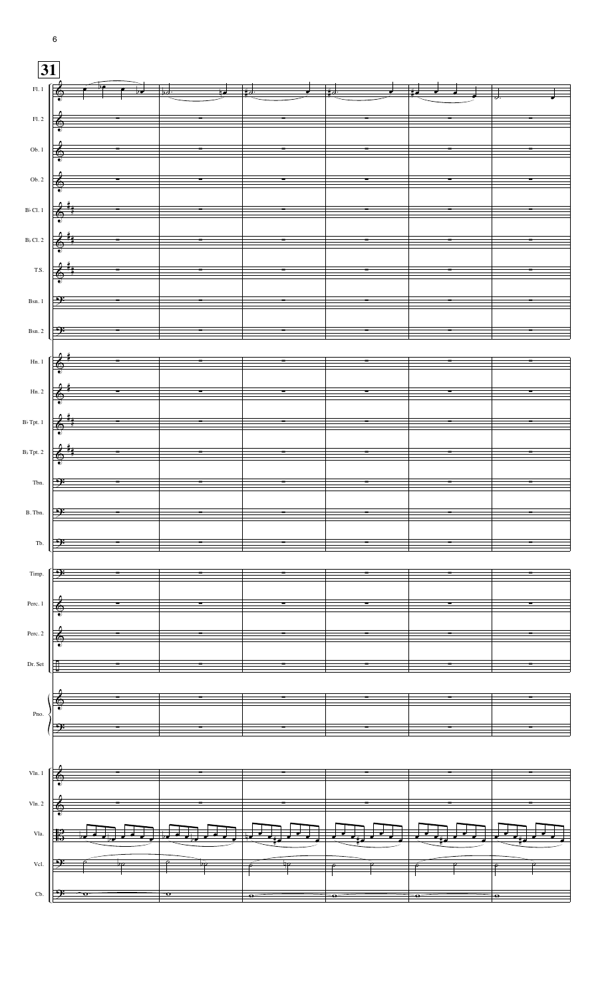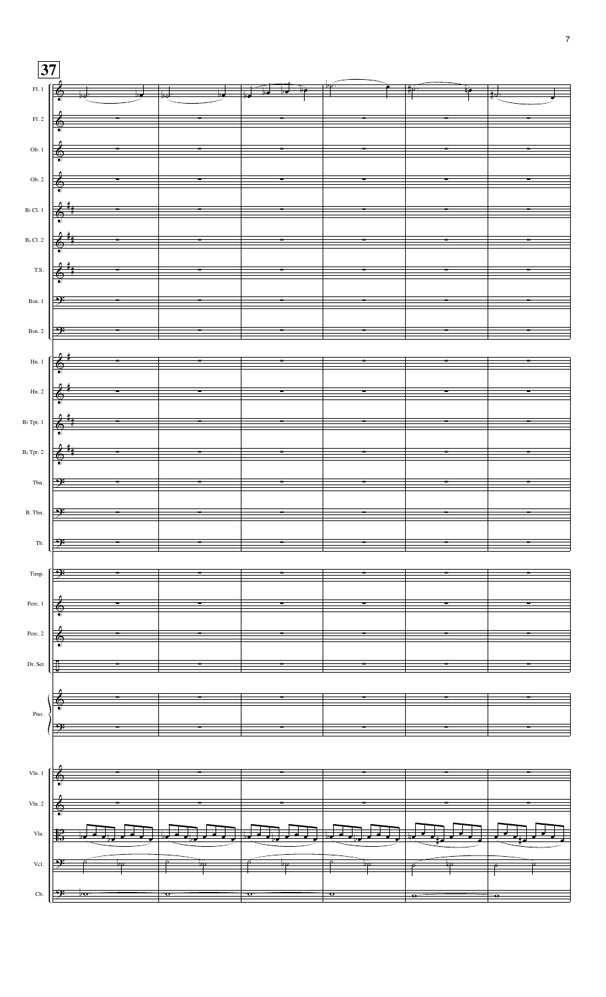| 37                                                                    |                                     |                                                                    |                      |                     |                    |                          |
|-----------------------------------------------------------------------|-------------------------------------|--------------------------------------------------------------------|----------------------|---------------------|--------------------|--------------------------|
| F1.1                                                                  | $\frac{1}{2}$<br>倭<br>$\frac{1}{b}$ | $\frac{1}{2}$                                                      | $\frac{1}{\sqrt{2}}$ | $\mathbb{P}^{\rho}$ | $\Rightarrow$<br>∲ | $\overline{\mathcal{A}}$ |
|                                                                       |                                     |                                                                    |                      |                     |                    |                          |
| F1.2                                                                  | Ξ                                   | $\blacksquare$                                                     |                      |                     |                    |                          |
| Ob. 1                                                                 |                                     |                                                                    |                      |                     |                    |                          |
|                                                                       | 嚎                                   |                                                                    |                      |                     |                    |                          |
| Ob. 2                                                                 | $\overbrace{\hspace{25mm}}$         |                                                                    |                      |                     |                    |                          |
|                                                                       |                                     |                                                                    |                      |                     |                    |                          |
|                                                                       | $B \triangleright C1.1$             |                                                                    |                      |                     |                    |                          |
| $B\nmid$ Cl. 2                                                        |                                     |                                                                    |                      |                     |                    |                          |
|                                                                       |                                     |                                                                    |                      |                     |                    |                          |
| T.S.                                                                  | $\frac{2}{9}$                       |                                                                    |                      |                     |                    |                          |
| Bsn. 1 $\left \frac{\partial \mathbf{F}}{\partial \mathbf{F}}\right $ | $\sim$                              |                                                                    |                      |                     |                    |                          |
|                                                                       |                                     |                                                                    |                      |                     |                    |                          |
| Bsn. 2 $\left \frac{1}{2}\right $                                     |                                     | $\overline{\phantom{a}}$ , and the set of $\overline{\phantom{a}}$ |                      |                     |                    |                          |
|                                                                       |                                     |                                                                    |                      |                     |                    |                          |
|                                                                       | $\mathbf{H}_{\text{n.1}}$           |                                                                    |                      |                     |                    |                          |
|                                                                       | Hn.2                                |                                                                    |                      |                     |                    |                          |
|                                                                       |                                     |                                                                    |                      |                     |                    |                          |
| $B\nmid Tpt. 1$                                                       | $\frac{2}{6}$                       |                                                                    |                      |                     |                    |                          |
| $B\nmid Tpt. 2$                                                       |                                     |                                                                    | $\blacksquare$       |                     |                    |                          |
|                                                                       |                                     |                                                                    |                      |                     |                    |                          |
| Tbn.                                                                  | $\mapsto$                           |                                                                    |                      |                     |                    |                          |
|                                                                       |                                     |                                                                    |                      |                     |                    |                          |
| $\operatorname{B}.$ Tbn.                                              | $\rightarrow$                       |                                                                    |                      |                     |                    |                          |
| Tb.                                                                   |                                     |                                                                    |                      |                     |                    |                          |
|                                                                       |                                     |                                                                    |                      |                     |                    |                          |
| Timp.                                                                 |                                     |                                                                    |                      |                     |                    |                          |
|                                                                       |                                     |                                                                    |                      |                     |                    |                          |
| Perc. 1                                                               |                                     |                                                                    |                      |                     |                    |                          |
| Perc. $2$                                                             |                                     |                                                                    |                      |                     |                    |                          |
|                                                                       |                                     |                                                                    |                      |                     |                    |                          |
| $\mathop{\rm Dr}\nolimits.$ Set                                       |                                     |                                                                    |                      |                     |                    |                          |
|                                                                       |                                     |                                                                    |                      |                     |                    |                          |
| Pno.                                                                  |                                     |                                                                    |                      |                     |                    |                          |
|                                                                       |                                     |                                                                    |                      |                     |                    |                          |
|                                                                       |                                     |                                                                    |                      |                     |                    |                          |
|                                                                       |                                     |                                                                    |                      |                     |                    |                          |
| Vln.1                                                                 |                                     |                                                                    |                      |                     |                    |                          |
| Vln.2                                                                 |                                     |                                                                    |                      |                     |                    |                          |
|                                                                       |                                     |                                                                    |                      |                     |                    |                          |
| Vla.                                                                  |                                     |                                                                    |                      |                     |                    |                          |
| Vcl.                                                                  |                                     |                                                                    |                      |                     |                    |                          |
|                                                                       |                                     |                                                                    |                      |                     |                    |                          |
| Cb.                                                                   | ÞΟ                                  | ō                                                                  |                      | o                   | $\bullet$          | $\bullet$                |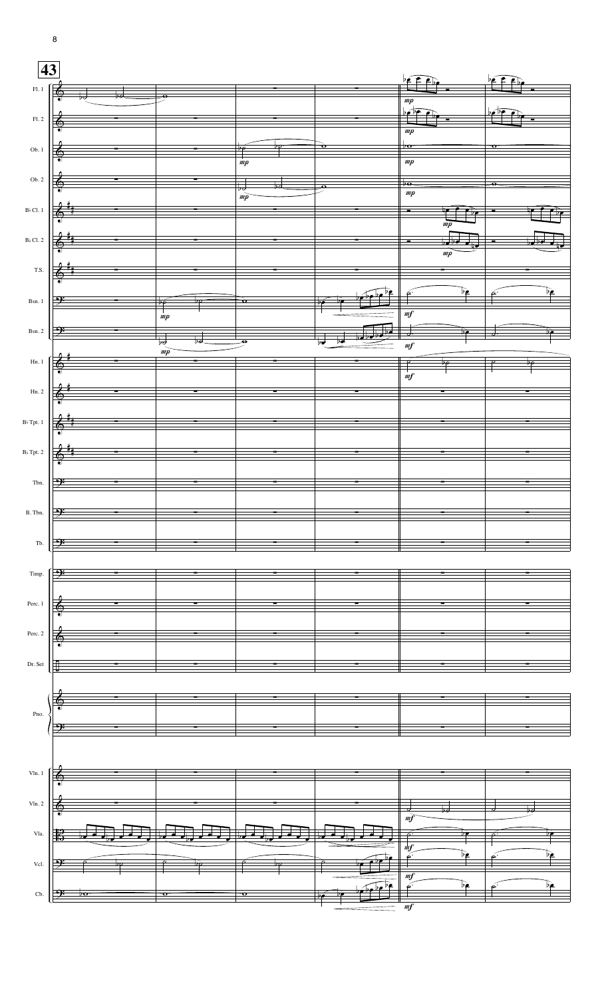| 43                                |                                                                                                                                                                                                                                                                                                                                                                                            |                         |                                           |                                            | €<br>Þ₽                        |           |
|-----------------------------------|--------------------------------------------------------------------------------------------------------------------------------------------------------------------------------------------------------------------------------------------------------------------------------------------------------------------------------------------------------------------------------------------|-------------------------|-------------------------------------------|--------------------------------------------|--------------------------------|-----------|
| F1.1                              |                                                                                                                                                                                                                                                                                                                                                                                            |                         |                                           |                                            |                                |           |
|                                   |                                                                                                                                                                                                                                                                                                                                                                                            | $\bullet$               |                                           |                                            | $\overline{mp}$                |           |
|                                   |                                                                                                                                                                                                                                                                                                                                                                                            |                         |                                           |                                            | b                              |           |
| F1.2                              |                                                                                                                                                                                                                                                                                                                                                                                            |                         |                                           |                                            |                                |           |
|                                   |                                                                                                                                                                                                                                                                                                                                                                                            |                         |                                           |                                            | mp                             |           |
| Ob.1                              |                                                                                                                                                                                                                                                                                                                                                                                            |                         | 20<br>þρ                                  | <u>ັດ</u>                                  | $p_{\mathbf{O}}$               | þ         |
|                                   |                                                                                                                                                                                                                                                                                                                                                                                            |                         | $\dot{m}p$                                |                                            | $\emph{mp}$                    |           |
|                                   |                                                                                                                                                                                                                                                                                                                                                                                            |                         |                                           |                                            |                                |           |
| Ob. 2                             |                                                                                                                                                                                                                                                                                                                                                                                            |                         | $\overline{b}$<br>₩                       |                                            | $\frac{1}{20}$                 | $\bullet$ |
|                                   |                                                                                                                                                                                                                                                                                                                                                                                            |                         | $\overrightarrow{mp}$                     |                                            | $\it{mp}$                      |           |
| $\mathrm{B}\flat$ Cl. 1           |                                                                                                                                                                                                                                                                                                                                                                                            |                         |                                           |                                            | Ξ                              |           |
|                                   |                                                                                                                                                                                                                                                                                                                                                                                            |                         |                                           |                                            | mp                             |           |
|                                   |                                                                                                                                                                                                                                                                                                                                                                                            |                         |                                           |                                            |                                |           |
| $\mathrm{B}\!\!\downarrow$ Cl. 2  |                                                                                                                                                                                                                                                                                                                                                                                            |                         |                                           |                                            | $\overline{\phantom{a}}$       |           |
|                                   |                                                                                                                                                                                                                                                                                                                                                                                            |                         |                                           |                                            | $\overline{mp}$                |           |
| T.S.                              |                                                                                                                                                                                                                                                                                                                                                                                            |                         |                                           |                                            |                                |           |
|                                   |                                                                                                                                                                                                                                                                                                                                                                                            |                         |                                           |                                            |                                |           |
|                                   |                                                                                                                                                                                                                                                                                                                                                                                            |                         |                                           |                                            | Þ€                             | Þ۴        |
| Bsn.1                             |                                                                                                                                                                                                                                                                                                                                                                                            | ÞΡ                      | $\overline{\mathbf{o}}$                   |                                            |                                |           |
|                                   |                                                                                                                                                                                                                                                                                                                                                                                            | $\mathbf{m}$            |                                           |                                            | $m\!f$                         |           |
| $_{\rm Bsn. \, 2}$                |                                                                                                                                                                                                                                                                                                                                                                                            |                         |                                           |                                            |                                | ×         |
|                                   |                                                                                                                                                                                                                                                                                                                                                                                            | $\overline{b}$<br>ज्ञ   | $\overline{\bullet}$                      | $\overline{p}$<br>$\overline{\phantom{a}}$ | m f                            |           |
|                                   |                                                                                                                                                                                                                                                                                                                                                                                            | $m\overline{p}$         |                                           |                                            |                                |           |
| Hn.1                              |                                                                                                                                                                                                                                                                                                                                                                                            |                         |                                           |                                            | Ø                              |           |
|                                   |                                                                                                                                                                                                                                                                                                                                                                                            |                         |                                           |                                            | $\it mf$                       |           |
| Hn.2                              |                                                                                                                                                                                                                                                                                                                                                                                            |                         |                                           |                                            |                                |           |
|                                   |                                                                                                                                                                                                                                                                                                                                                                                            |                         |                                           |                                            |                                |           |
|                                   |                                                                                                                                                                                                                                                                                                                                                                                            |                         |                                           |                                            |                                |           |
| $B\nmid Tpt. 1$                   |                                                                                                                                                                                                                                                                                                                                                                                            |                         |                                           |                                            |                                |           |
|                                   |                                                                                                                                                                                                                                                                                                                                                                                            |                         |                                           |                                            |                                |           |
| $B\flat$ Tpt. 2                   | ⊕                                                                                                                                                                                                                                                                                                                                                                                          |                         |                                           |                                            |                                |           |
|                                   | ∙                                                                                                                                                                                                                                                                                                                                                                                          |                         |                                           |                                            |                                |           |
|                                   |                                                                                                                                                                                                                                                                                                                                                                                            |                         |                                           |                                            |                                |           |
| Tbn.                              | <u> Di</u>                                                                                                                                                                                                                                                                                                                                                                                 |                         |                                           |                                            |                                |           |
|                                   |                                                                                                                                                                                                                                                                                                                                                                                            |                         |                                           |                                            |                                |           |
| $\mathbf{B}.\mathop{\rm Tbn}.$    | <u>    Di</u>                                                                                                                                                                                                                                                                                                                                                                              |                         |                                           |                                            |                                |           |
|                                   |                                                                                                                                                                                                                                                                                                                                                                                            |                         |                                           |                                            |                                |           |
| Tb.                               |                                                                                                                                                                                                                                                                                                                                                                                            |                         |                                           |                                            |                                |           |
|                                   |                                                                                                                                                                                                                                                                                                                                                                                            |                         |                                           |                                            |                                |           |
|                                   |                                                                                                                                                                                                                                                                                                                                                                                            |                         |                                           |                                            |                                |           |
| Timp. $\boxed{2^2}$               |                                                                                                                                                                                                                                                                                                                                                                                            |                         |                                           |                                            |                                |           |
|                                   |                                                                                                                                                                                                                                                                                                                                                                                            |                         |                                           |                                            |                                |           |
|                                   |                                                                                                                                                                                                                                                                                                                                                                                            |                         |                                           |                                            |                                |           |
| Perc. 1                           |                                                                                                                                                                                                                                                                                                                                                                                            |                         |                                           |                                            |                                |           |
|                                   |                                                                                                                                                                                                                                                                                                                                                                                            |                         |                                           |                                            |                                |           |
|                                   | Perc. 2 $\theta$                                                                                                                                                                                                                                                                                                                                                                           |                         |                                           |                                            |                                |           |
|                                   |                                                                                                                                                                                                                                                                                                                                                                                            |                         |                                           |                                            |                                |           |
| $\mathop{\rm Dr}\nolimits.$ Set   | $\sim$                                                                                                                                                                                                                                                                                                                                                                                     |                         |                                           |                                            |                                |           |
|                                   |                                                                                                                                                                                                                                                                                                                                                                                            |                         |                                           |                                            |                                |           |
|                                   |                                                                                                                                                                                                                                                                                                                                                                                            |                         |                                           |                                            |                                |           |
|                                   | $\frac{1}{2}$                                                                                                                                                                                                                                                                                                                                                                              |                         |                                           |                                            |                                |           |
| Pno.                              |                                                                                                                                                                                                                                                                                                                                                                                            |                         |                                           |                                            |                                |           |
|                                   | $\Theta^2$                                                                                                                                                                                                                                                                                                                                                                                 |                         |                                           |                                            |                                |           |
|                                   |                                                                                                                                                                                                                                                                                                                                                                                            |                         |                                           |                                            |                                |           |
|                                   |                                                                                                                                                                                                                                                                                                                                                                                            |                         |                                           |                                            |                                |           |
|                                   |                                                                                                                                                                                                                                                                                                                                                                                            |                         |                                           |                                            |                                |           |
| $\frac{\text{Vln.1}}{\text{Vln}}$ | <u> Tanzania (</u>                                                                                                                                                                                                                                                                                                                                                                         | $\equiv$ $\equiv$       |                                           |                                            |                                |           |
|                                   |                                                                                                                                                                                                                                                                                                                                                                                            |                         |                                           |                                            |                                |           |
|                                   | $\begin{tabular}{c} \multicolumn{1}{c} {\begin{tabular}{ c c c } \hline \quad \quad & \quad & \quad \quad & \quad \quad \\ \hline \quad \quad & \quad & \quad \quad \\ \hline \quad \quad & \quad \quad & \quad \quad \\ \hline \quad \quad & \quad \quad & \quad \quad \\ \hline \quad \quad & \quad \quad & \quad \quad \\ \hline \end{tabular} \end{tabular} \caption{A} \label{table}$ |                         |                                           |                                            |                                |           |
| Vln. 2                            |                                                                                                                                                                                                                                                                                                                                                                                            | $\frac{1}{\sqrt{2}}$    |                                           |                                            |                                | 90        |
|                                   |                                                                                                                                                                                                                                                                                                                                                                                            |                         |                                           |                                            | $m\widetilde{f}$               |           |
| $Vla$ .                           |                                                                                                                                                                                                                                                                                                                                                                                            |                         |                                           |                                            |                                |           |
|                                   |                                                                                                                                                                                                                                                                                                                                                                                            |                         |                                           |                                            |                                |           |
|                                   |                                                                                                                                                                                                                                                                                                                                                                                            |                         |                                           |                                            | $\frac{m f}{\rho}$<br>Þ€       | Þ۴        |
| $\rm{Vcl.}$                       | $\frac{1}{2}$<br>$\Theta^:$                                                                                                                                                                                                                                                                                                                                                                | Þρ                      | $\overline{\mathcal{P}}$<br>$\frac{1}{2}$ | $\frac{1}{2}$                              |                                |           |
|                                   |                                                                                                                                                                                                                                                                                                                                                                                            |                         |                                           |                                            | $\overline{\mathit{mf}}$<br>Þ₽ | Þ۴        |
| Cb.                               | þΩ.                                                                                                                                                                                                                                                                                                                                                                                        | $\overline{\mathbf{o}}$ | $\boxed{\circ}$                           | $\sqrt{2}$                                 |                                |           |
|                                   |                                                                                                                                                                                                                                                                                                                                                                                            |                         |                                           |                                            | $\overline{mf}$                |           |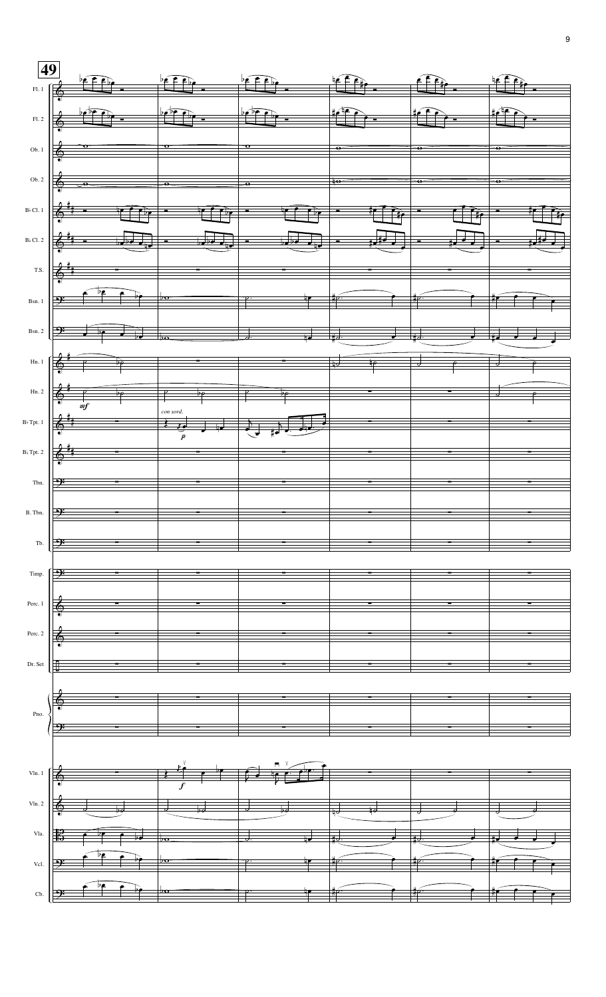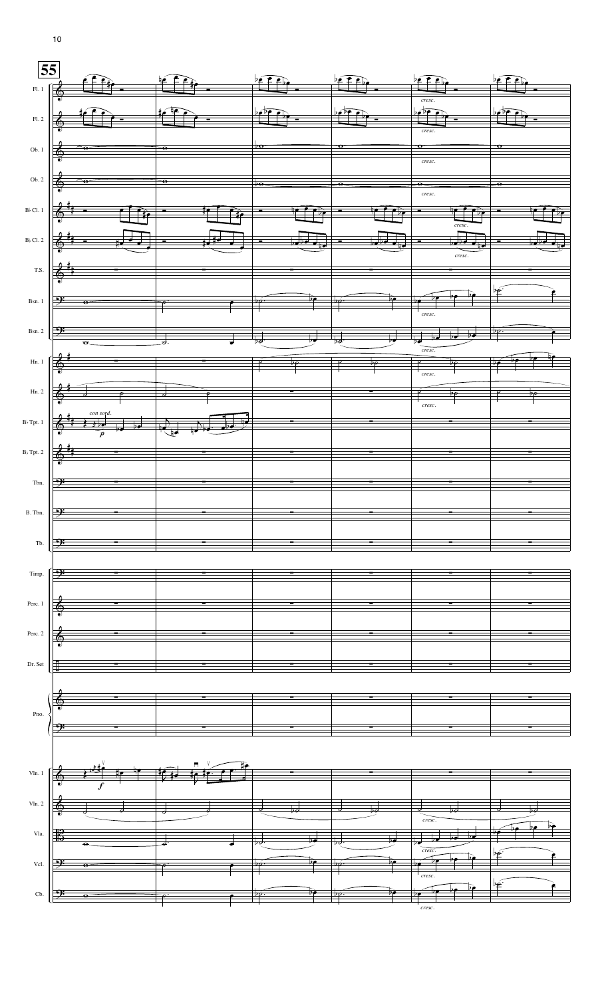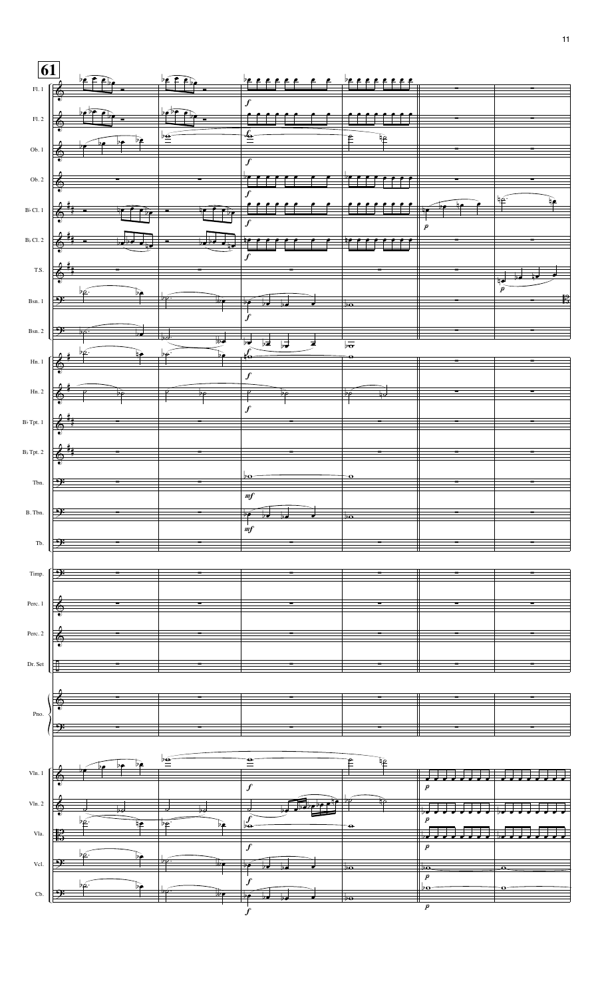| $\overline{61}$                                                                        |                    |                                                                                                                                                                                                                                                                                                                                                                                                                                   |                                     |                                                                                             |                        |                                        |                        |
|----------------------------------------------------------------------------------------|--------------------|-----------------------------------------------------------------------------------------------------------------------------------------------------------------------------------------------------------------------------------------------------------------------------------------------------------------------------------------------------------------------------------------------------------------------------------|-------------------------------------|---------------------------------------------------------------------------------------------|------------------------|----------------------------------------|------------------------|
|                                                                                        |                    | F1.1                                                                                                                                                                                                                                                                                                                                                                                                                              | $\frac{\frac{b}{c} - c}{c}$         | $\frac{b \cdot b \cdot c \cdot c \cdot c}{c \cdot b \cdot c \cdot c \cdot c}$<br>$\uparrow$ | $e$ beece              |                                        |                        |
|                                                                                        |                    | F1.2                                                                                                                                                                                                                                                                                                                                                                                                                              | $\frac{1}{2}$                       |                                                                                             |                        |                                        |                        |
|                                                                                        |                    |                                                                                                                                                                                                                                                                                                                                                                                                                                   | $\frac{b\mathbf{e}}{c}$             | $\frac{f_{\mathbf{e}}}{\equiv}$                                                             | Ê                      |                                        |                        |
| Ob.1                                                                                   | $\frac{2}{3}$      | $b$ be be be                                                                                                                                                                                                                                                                                                                                                                                                                      |                                     | $\overline{f}$                                                                              | 里                      |                                        |                        |
|                                                                                        |                    |                                                                                                                                                                                                                                                                                                                                                                                                                                   |                                     | $\mathbb{P}$                                                                                |                        |                                        |                        |
|                                                                                        |                    | $\frac{1}{\sqrt{1-\frac{1}{\sqrt{1-\frac{1}{\sqrt{1-\frac{1}{\sqrt{1-\frac{1}{\sqrt{1-\frac{1}{\sqrt{1-\frac{1}{\sqrt{1-\frac{1}{\sqrt{1-\frac{1}{\sqrt{1-\frac{1}{\sqrt{1-\frac{1}{\sqrt{1-\frac{1}{\sqrt{1-\frac{1}{\sqrt{1-\frac{1}{\sqrt{1-\frac{1}{\sqrt{1-\frac{1}{\sqrt{1-\frac{1}{\sqrt{1-\frac{1}{\sqrt{1-\frac{1}{\sqrt{1-\frac{1}{\sqrt{1-\frac{1}{\sqrt{1-\frac{1}{\sqrt{1-\frac{1}{\sqrt{1-\frac{1}{\sqrt{1-\frac{1$ |                                     |                                                                                             |                        |                                        |                        |
| $B \triangleright$ Cl. 1 $\left \bigotimes_{i=1}^{n} \frac{1}{i} \right $              |                    | $\overline{a}$ $\overline{b}$ $\overline{c}$ $\overline{d}$ $\overline{d}$ $\overline{d}$ $\overline{d}$ $\overline{d}$ $\overline{d}$ $\overline{d}$ $\overline{d}$ $\overline{d}$ $\overline{d}$ $\overline{d}$ $\overline{d}$ $\overline{d}$ $\overline{d}$ $\overline{d}$ $\overline{d}$ $\overline{d}$ $\overline{d}$ $\overline{d}$ $\overline{d}$ $\overline{d}$ $\overline{$                                              | $\frac{1}{2}$                       |                                                                                             |                        | $\mathsf{P}\bullet\mathsf{P}$<br>‼ प∙  | 玉.                     |
| $B \triangleright$ Cl. 2 $\left \bigoplus_{n=1}^{\infty} \frac{\frac{1}{n}}{n}\right $ |                    | $ be^{\theta}$                                                                                                                                                                                                                                                                                                                                                                                                                    |                                     | $\frac{1}{2}$                                                                               |                        | $\boldsymbol{p}$                       |                        |
|                                                                                        |                    |                                                                                                                                                                                                                                                                                                                                                                                                                                   |                                     |                                                                                             |                        |                                        |                        |
|                                                                                        |                    | T.S. $\left  \begin{array}{ccc} \frac{1}{2} & \frac{1}{2} \\ \frac{1}{2} & \frac{1}{2} \end{array} \right $                                                                                                                                                                                                                                                                                                                       |                                     |                                                                                             |                        |                                        | म्<br>$\boldsymbol{p}$ |
|                                                                                        |                    | $Bsn.1$ $\sqrt{9}$<br>≜                                                                                                                                                                                                                                                                                                                                                                                                           | $ p\rho\cdot$<br>$\mathbb{Z}$       | $\frac{1}{2}$ $\frac{1}{2}$ $\frac{1}{2}$                                                   | $\frac{}{\rightarrow}$ |                                        | ₿                      |
| $_{\rm Bsn. \, 2}$                                                                     |                    |                                                                                                                                                                                                                                                                                                                                                                                                                                   |                                     |                                                                                             |                        |                                        |                        |
|                                                                                        |                    | $\overrightarrow{b}$<br>bp:                                                                                                                                                                                                                                                                                                                                                                                                       | $\overline{\mathbb{L}}$             | $\frac{1}{\sqrt{2}}$<br>$\frac{1}{\sqrt{2}}$<br>$\frac{1}{\sqrt{2}}$<br>₹                   | $\overline{5}$         |                                        |                        |
|                                                                                        |                    | $\begin{array}{c c}\n\hline\n\text{Hn.1}\n\end{array}\n\begin{array}{c}\n\hline\n\text{Hn.2}\n\end{array}$<br>⋭                                                                                                                                                                                                                                                                                                                   | $\frac{b\cdot \theta}{\theta}$      | $\overline{f}$                                                                              |                        |                                        |                        |
| $\frac{Hn.2}{\frac{1}{2}}$                                                             |                    | $\overline{\rho}$<br>$\frac{1}{2}$                                                                                                                                                                                                                                                                                                                                                                                                | $b\rho$<br>$\overline{\mathcal{A}}$ | $\mathsf{L}$<br>$\frac{1}{2}$                                                               | $\frac{1}{2}$<br>ᆏ     |                                        |                        |
|                                                                                        |                    |                                                                                                                                                                                                                                                                                                                                                                                                                                   |                                     |                                                                                             |                        |                                        |                        |
| $B \triangleright$ Tpt. 1                                                              |                    |                                                                                                                                                                                                                                                                                                                                                                                                                                   |                                     |                                                                                             |                        |                                        |                        |
| $B \triangleright$ Tpt. 2                                                              |                    |                                                                                                                                                                                                                                                                                                                                                                                                                                   |                                     |                                                                                             |                        |                                        |                        |
| Tbn.                                                                                   | $\mathbf{P}$       |                                                                                                                                                                                                                                                                                                                                                                                                                                   |                                     | $\overline{p}$                                                                              |                        |                                        |                        |
|                                                                                        |                    |                                                                                                                                                                                                                                                                                                                                                                                                                                   |                                     | $\overline{mf}$                                                                             |                        |                                        |                        |
| $\mathbf B.$ Tbn.                                                                      | <u>-98</u>         |                                                                                                                                                                                                                                                                                                                                                                                                                                   |                                     | $\rightarrow$                                                                               | φe                     |                                        |                        |
| Tb.                                                                                    | $\rightarrow$      |                                                                                                                                                                                                                                                                                                                                                                                                                                   |                                     | $\mathbf{m}$ f                                                                              |                        |                                        |                        |
|                                                                                        |                    |                                                                                                                                                                                                                                                                                                                                                                                                                                   |                                     |                                                                                             |                        |                                        |                        |
| Timp.                                                                                  | <u> ၅։</u>         |                                                                                                                                                                                                                                                                                                                                                                                                                                   |                                     |                                                                                             |                        |                                        |                        |
| Perc. 1                                                                                |                    |                                                                                                                                                                                                                                                                                                                                                                                                                                   |                                     |                                                                                             |                        |                                        |                        |
| Perc. 2                                                                                |                    |                                                                                                                                                                                                                                                                                                                                                                                                                                   |                                     |                                                                                             |                        |                                        |                        |
|                                                                                        |                    |                                                                                                                                                                                                                                                                                                                                                                                                                                   |                                     |                                                                                             |                        |                                        |                        |
| Dr. Set                                                                                |                    |                                                                                                                                                                                                                                                                                                                                                                                                                                   |                                     |                                                                                             |                        |                                        |                        |
|                                                                                        |                    |                                                                                                                                                                                                                                                                                                                                                                                                                                   |                                     |                                                                                             |                        |                                        |                        |
| Pno.                                                                                   |                    |                                                                                                                                                                                                                                                                                                                                                                                                                                   |                                     |                                                                                             |                        |                                        |                        |
|                                                                                        | <u>9</u>           |                                                                                                                                                                                                                                                                                                                                                                                                                                   |                                     |                                                                                             |                        |                                        |                        |
|                                                                                        |                    |                                                                                                                                                                                                                                                                                                                                                                                                                                   | $\frac{1}{2}$                       | $\equiv$                                                                                    | 4e<br>Ê                |                                        |                        |
| $Vln$ . 1                                                                              |                    |                                                                                                                                                                                                                                                                                                                                                                                                                                   |                                     | $\overline{f}$                                                                              |                        | $\overline{\cdot}$<br>$\boldsymbol{p}$ |                        |
| $V\!ln.2$                                                                              | $\hat{\mathbb{P}}$ |                                                                                                                                                                                                                                                                                                                                                                                                                                   |                                     | $\sqrt{2}$                                                                                  |                        | 孛                                      |                        |
|                                                                                        |                    | Þρ.<br>⋤                                                                                                                                                                                                                                                                                                                                                                                                                          | $\frac{1}{2}$<br>p                  | $\int_{\mathbf{\Theta}^-}$                                                                  | $\bullet$              | $\boldsymbol{p}$                       |                        |
| Vla.                                                                                   |                    |                                                                                                                                                                                                                                                                                                                                                                                                                                   |                                     | $\boldsymbol{f}$                                                                            |                        | $\boldsymbol{p}$                       |                        |
| Vcl.                                                                                   | <u>ရ</u>           |                                                                                                                                                                                                                                                                                                                                                                                                                                   |                                     | $\overline{\mathcal{P}}$                                                                    | $\frac{1}{20}$         | $\frac{1}{20}$                         | $\bullet$              |
| Cb.                                                                                    |                    | Þ۴۰                                                                                                                                                                                                                                                                                                                                                                                                                               | ₽Ø                                  | $\boldsymbol{f}$                                                                            |                        | $\boldsymbol{p}$<br>حمط                |                        |
|                                                                                        |                    |                                                                                                                                                                                                                                                                                                                                                                                                                                   |                                     | $\frac{1}{2}$<br>Þø<br>$\boldsymbol{f}$                                                     | →ο                     | $\pmb{p}$                              |                        |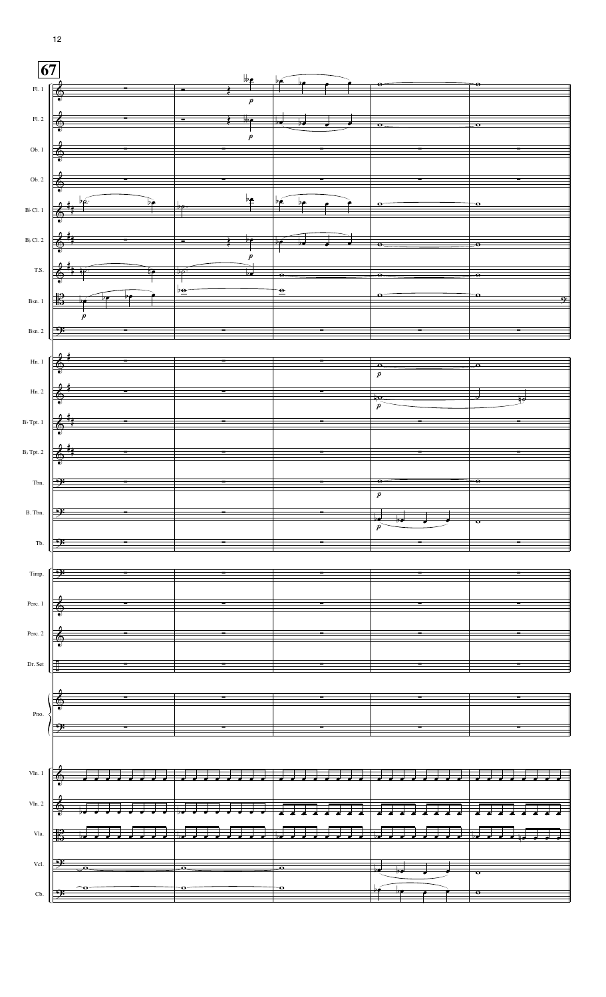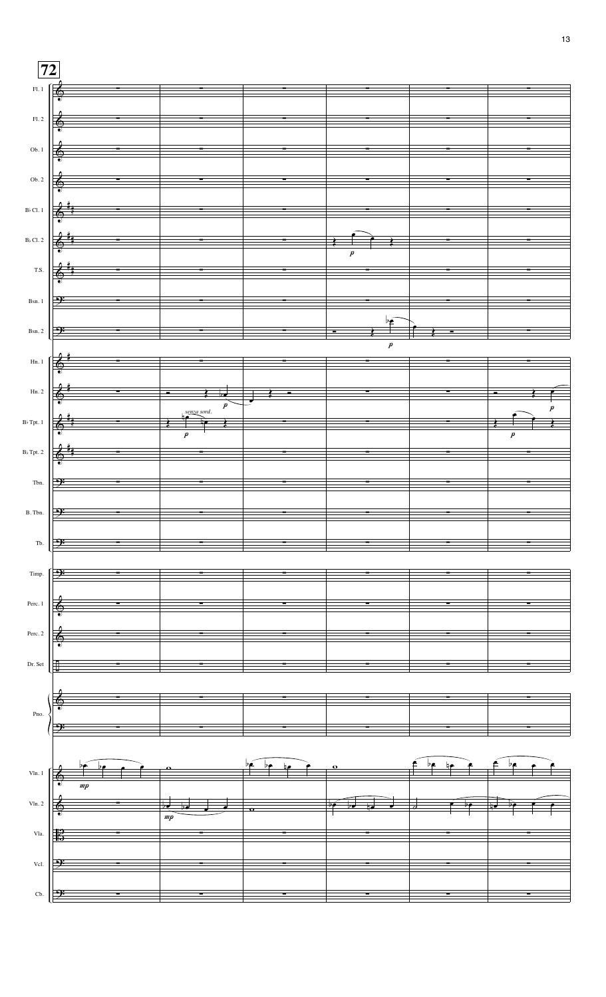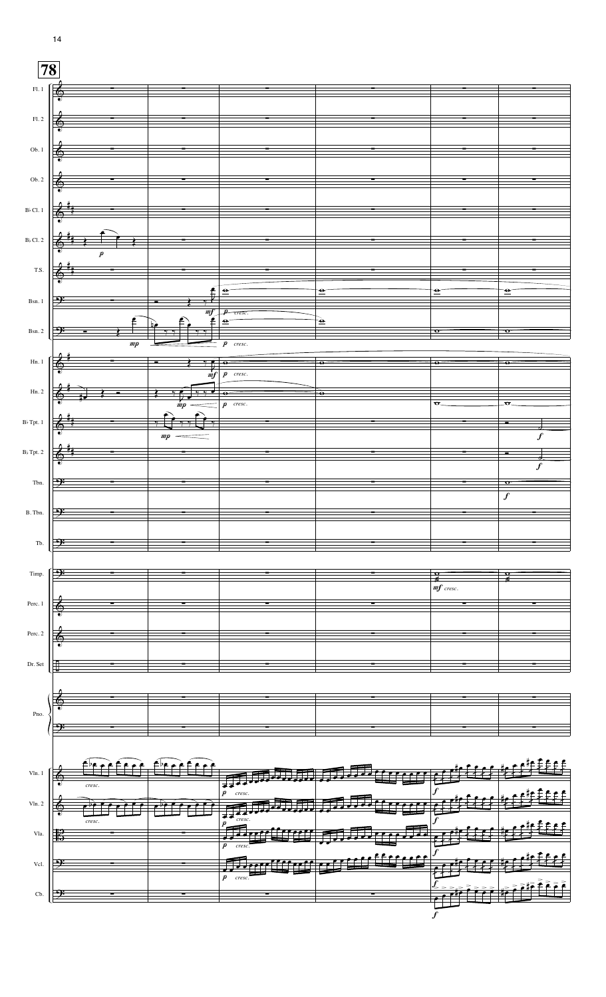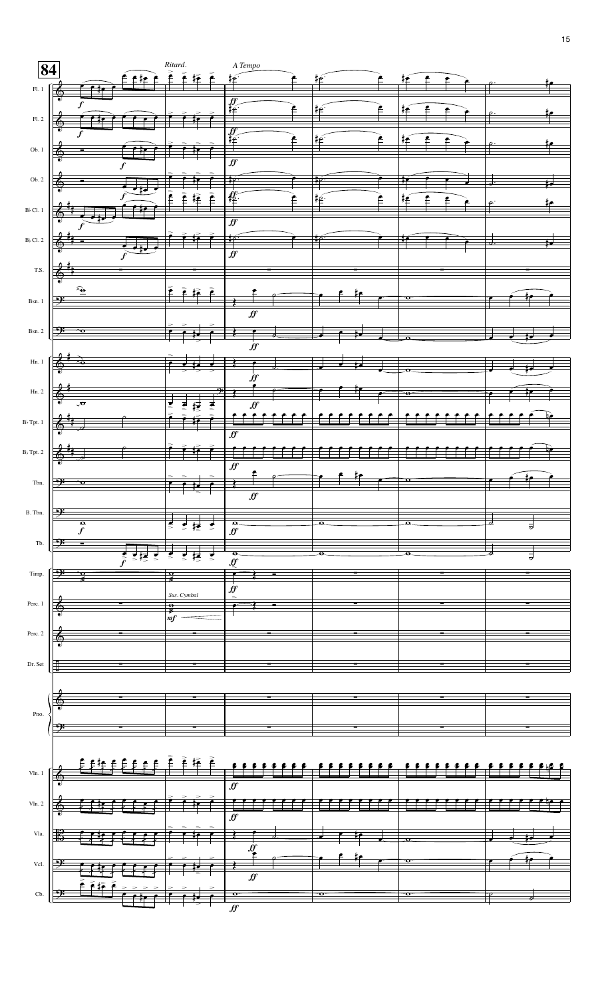| 84                         |                                 | 手柜              | Ritard.<br>$\tilde{\tilde{E}}$ | $\tilde{\tilde{E}}$<br>$\mathbb{E}$ |                      | A Tempo                              |                            |   |                                    |  | € |                      |  |          |                          |                          |
|----------------------------|---------------------------------|-----------------|--------------------------------|-------------------------------------|----------------------|--------------------------------------|----------------------------|---|------------------------------------|--|---|----------------------|--|----------|--------------------------|--------------------------|
| $\mathbb{F} \mathbf{l}.$ 1 | $\circ$                         |                 |                                |                                     |                      | ∦é.                                  |                            |   | 丰                                  |  |   |                      |  |          |                          | ⊩                        |
| $\rm Fl.$ 2                | $\boldsymbol{f}$                |                 |                                |                                     |                      | $\frac{\partial f}{\partial \rho}$   |                            | € | #                                  |  | € | ∦բ                   |  |          |                          | ⊮                        |
|                            | Ģ<br>$\boldsymbol{f}$           |                 |                                |                                     |                      | $\frac{\partial f}{\partial \rho}$   |                            |   | $\frac{1}{2}$                      |  | € | 非                    |  |          |                          |                          |
| Ob. $1$                    | ⊚                               | f               |                                |                                     |                      | $\overline{f}$                       |                            |   |                                    |  |   |                      |  |          |                          | ۴                        |
| Ob. 2                      |                                 |                 |                                |                                     |                      | #                                    |                            |   | $\frac{1}{2}$                      |  |   | Ťf.                  |  |          |                          | J.                       |
|                            |                                 | t.              | ř                              | $\geq$<br>愼                         | $\geq$               | 偅                                    |                            |   | $\sharp \underline{\underline{e}}$ |  |   | #                    |  | P        |                          | ⊩r                       |
| $\mathrm{B}\flat$ Cl. 1    |                                 |                 |                                |                                     |                      | $\overline{f}$                       |                            |   |                                    |  |   |                      |  |          |                          |                          |
| $\mathrm{B}\!\flat$ Cl. 2  | ⊚                               |                 |                                |                                     |                      | $\frac{1}{2}$                        |                            |   | ‡ρ                                 |  |   |                      |  | $\sigma$ |                          | $\overline{\phantom{a}}$ |
| T.S.                       |                                 |                 |                                |                                     |                      | $\dot{\mathbf{f}}$                   |                            |   |                                    |  |   |                      |  |          |                          |                          |
|                            | Ģ<br>$\widehat{\mathbf{P}}$     |                 | é                              |                                     |                      |                                      |                            |   |                                    |  |   |                      |  |          |                          |                          |
| $_{\rm Bsn.$ $1$           | <u>၅</u> ։                      |                 |                                |                                     |                      |                                      | $\overline{f}$             |   |                                    |  |   |                      |  |          |                          |                          |
| $_{\rm Bsn. \, 2}$         | <u>. (+</u><br>$\mathbf \sigma$ |                 | ø                              |                                     |                      |                                      |                            |   |                                    |  |   |                      |  |          |                          |                          |
| Hn.1                       |                                 |                 |                                |                                     |                      |                                      | $\dot{\textit{ff}}$        |   |                                    |  |   |                      |  |          |                          |                          |
|                            |                                 |                 |                                |                                     |                      |                                      | $\dot{\mathbf{f}}$         |   |                                    |  |   |                      |  |          | ۰.                       |                          |
| Hn.2                       | $\Phi$<br>$\sigma$              |                 | र्                             | ₹<br>厚                              | ₹                    |                                      | $\overline{f}$             |   |                                    |  |   | $\overline{\bullet}$ |  |          |                          |                          |
| $\mathbf{B}\flat$ Tpt. 1   |                                 |                 | $\Rightarrow$                  |                                     |                      |                                      |                            |   |                                    |  |   |                      |  |          |                          |                          |
| $\mathbf{B}\flat$ Tpt. 2   |                                 |                 |                                |                                     |                      | $\overline{f}$                       |                            |   |                                    |  |   |                      |  |          |                          |                          |
|                            |                                 |                 |                                |                                     |                      | $\overline{\mathbf{\mathcal{H}}}$    |                            |   |                                    |  |   |                      |  |          |                          |                          |
| Tbn.                       | <u> 9:</u><br><u>`თ</u>         |                 |                                | ь                                   | ۰                    |                                      | $\overline{f}$             |   |                                    |  |   | $\mathbf o$          |  |          |                          |                          |
| B. Tbn.                    | <u> 9:</u>                      |                 |                                |                                     |                      |                                      |                            |   |                                    |  |   |                      |  |          |                          |                          |
|                            | $\overline{\overline{f}}$       |                 | $\overline{\bullet}$           | $\overline{\bullet}$<br>侵           | $\overline{\bullet}$ |                                      |                            |   | $\overline{\bullet}$               |  |   | $\overline{\bullet}$ |  | ಕ        | $\overline{\mathcal{L}}$ |                          |
| Tb.                        | <u> وه</u>                      | 힟녆<br>$\vec{f}$ |                                | ्<br>।व                             |                      | $\overline{\bullet}$<br>₫Ĺ           |                            |   | $\bullet$                          |  |   | $\bullet$            |  |          | J                        |                          |
| Timp.                      |                                 |                 | 웋                              |                                     |                      | ₽                                    |                            |   |                                    |  |   |                      |  |          |                          |                          |
| Perc. 1                    | ⊚                               |                 |                                | Sus. Cymbal                         |                      | $\frac{f}{f}$                        |                            |   |                                    |  |   |                      |  |          |                          |                          |
|                            | ∙                               |                 | $\frac{8}{7}$<br>$\frac{2}{7}$ |                                     |                      |                                      |                            |   |                                    |  |   |                      |  |          |                          |                          |
| Perc. 2                    | ♦                               |                 |                                |                                     |                      |                                      |                            |   |                                    |  |   |                      |  |          |                          |                          |
| Dr. Set                    | ₿                               |                 |                                |                                     |                      |                                      |                            |   |                                    |  |   |                      |  |          |                          |                          |
|                            |                                 |                 |                                |                                     |                      |                                      |                            |   |                                    |  |   |                      |  |          |                          |                          |
| Pno.                       | $\hat{\mathbb{Q}}$              |                 |                                |                                     |                      |                                      |                            |   |                                    |  |   |                      |  |          |                          |                          |
|                            | <u>بو</u>                       |                 |                                |                                     |                      |                                      |                            |   |                                    |  |   |                      |  |          |                          |                          |
|                            |                                 |                 |                                |                                     |                      |                                      |                            |   |                                    |  |   |                      |  |          |                          |                          |
| Vln.1                      | ∳                               |                 |                                |                                     |                      | $\overline{f}$                       |                            |   |                                    |  |   |                      |  |          |                          |                          |
| Vln.2                      | ⊕                               |                 |                                |                                     |                      |                                      |                            |   |                                    |  |   |                      |  |          |                          |                          |
| Vla.                       |                                 |                 |                                |                                     |                      | $\overline{f}$                       |                            |   |                                    |  |   |                      |  |          |                          |                          |
|                            |                                 |                 |                                |                                     |                      |                                      | $\mathcal{H}_{\mathbb{Z}}$ |   |                                    |  |   | $\mathbf \sigma$     |  |          |                          |                          |
| $\mbox{Vcl.}$              | 9                               |                 |                                |                                     |                      |                                      | $\overline{f}$             |   |                                    |  |   | σ                    |  |          |                          |                          |
| Cb.                        | 9                               |                 |                                |                                     |                      | $\mathbf{o}$                         |                            |   | þ                                  |  |   | $\mathbf{o}$         |  | ο        |                          |                          |
|                            |                                 |                 |                                |                                     |                      | $\overline{\mathbf{f}^{\mathbf{f}}}$ |                            |   |                                    |  |   |                      |  |          |                          |                          |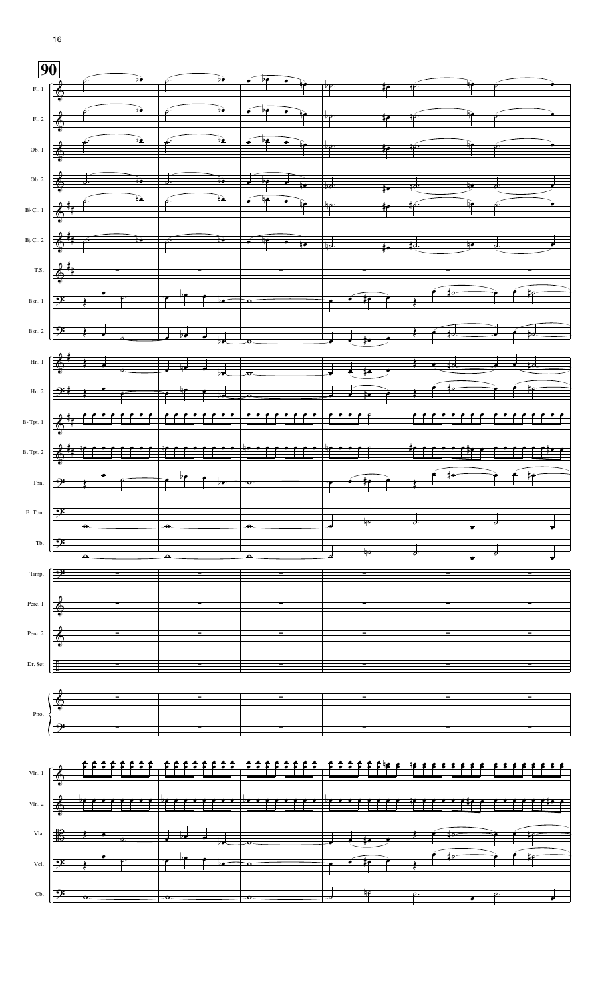| 90                                                                                   |                                                                                                                                                |                         |                      |                                                                                                                                                                                                                                                                                                                                                                    |                                                                                                                                                                                                                                                                                                                     |                         |  |                                                                                                                 |                       |                               |                |                         |              |   |                          |                                   |  |
|--------------------------------------------------------------------------------------|------------------------------------------------------------------------------------------------------------------------------------------------|-------------------------|----------------------|--------------------------------------------------------------------------------------------------------------------------------------------------------------------------------------------------------------------------------------------------------------------------------------------------------------------------------------------------------------------|---------------------------------------------------------------------------------------------------------------------------------------------------------------------------------------------------------------------------------------------------------------------------------------------------------------------|-------------------------|--|-----------------------------------------------------------------------------------------------------------------|-----------------------|-------------------------------|----------------|-------------------------|--------------|---|--------------------------|-----------------------------------|--|
| F1.1                                                                                 |                                                                                                                                                |                         |                      |                                                                                                                                                                                                                                                                                                                                                                    | Þ۴                                                                                                                                                                                                                                                                                                                  |                         |  |                                                                                                                 |                       |                               |                |                         |              |   |                          |                                   |  |
|                                                                                      |                                                                                                                                                |                         |                      |                                                                                                                                                                                                                                                                                                                                                                    |                                                                                                                                                                                                                                                                                                                     |                         |  |                                                                                                                 |                       |                               |                |                         |              |   |                          |                                   |  |
| F1.2                                                                                 |                                                                                                                                                |                         | $\frac{5}{5}$        |                                                                                                                                                                                                                                                                                                                                                                    | $\frac{5}{5}$                                                                                                                                                                                                                                                                                                       |                         |  |                                                                                                                 |                       |                               |                |                         |              |   |                          |                                   |  |
| Ob. 1                                                                                | $\frac{2}{3}$                                                                                                                                  |                         | $\frac{5}{3}$        |                                                                                                                                                                                                                                                                                                                                                                    | $\frac{5}{5}$                                                                                                                                                                                                                                                                                                       |                         |  |                                                                                                                 | $ p\rho $             |                               | $\ddot{\cdot}$ | $\mathsf{H}^\rho$ .     |              |   |                          |                                   |  |
|                                                                                      |                                                                                                                                                |                         |                      |                                                                                                                                                                                                                                                                                                                                                                    |                                                                                                                                                                                                                                                                                                                     |                         |  |                                                                                                                 |                       |                               |                |                         |              |   |                          |                                   |  |
| Ob. 2                                                                                | $\frac{2}{3}$                                                                                                                                  | $\overline{\mathbf{v}}$ | $\frac{1}{\sqrt{2}}$ | $\overline{\partial}$ .                                                                                                                                                                                                                                                                                                                                            | $\frac{1}{2}$                                                                                                                                                                                                                                                                                                       |                         |  | $\overrightarrow{1}$                                                                                            |                       |                               | 秉              | ᡰᢑ                      |              |   |                          |                                   |  |
| $B \triangleright C1.1$                                                              |                                                                                                                                                |                         | ↨                    | $\begin{picture}(120,20) \put(0,0){\vector(0,1){100}} \put(15,0){\vector(0,1){100}} \put(15,0){\vector(0,1){100}} \put(15,0){\vector(0,1){100}} \put(15,0){\vector(0,1){100}} \put(15,0){\vector(0,1){100}} \put(15,0){\vector(0,1){100}} \put(15,0){\vector(0,1){100}} \put(15,0){\vector(0,1){100}} \put(15,0){\vector(0,1){100}} \put(15,0){\vector(0,1){100}}$ |                                                                                                                                                                                                                                                                                                                     |                         |  | $\frac{5}{4}$ $\frac{1}{4}$ $\frac{1}{4}$ $\frac{1}{4}$ $\frac{1}{4}$ $\frac{1}{4}$ $\frac{1}{4}$ $\frac{1}{4}$ |                       | $\frac{\text{#}}{\text{#}}$   |                | 壿                       |              |   |                          |                                   |  |
| $B \triangleright C1.2$                                                              |                                                                                                                                                | $\overline{\rho}$ .     |                      |                                                                                                                                                                                                                                                                                                                                                                    |                                                                                                                                                                                                                                                                                                                     |                         |  |                                                                                                                 | $\equiv \frac{1}{10}$ | $\equiv$ $\frac{1}{\sqrt{2}}$ |                | $\overline{\mathbf{L}}$ |              | ₩ |                          |                                   |  |
|                                                                                      | $T.S.$ $\left  \begin{array}{c} \begin{array}{c} \begin{array}{c} \bullet \end{array} & \frac{1}{2} \\ \hline \end{array} \end{array} \right $ |                         |                      |                                                                                                                                                                                                                                                                                                                                                                    |                                                                                                                                                                                                                                                                                                                     |                         |  |                                                                                                                 |                       |                               |                |                         |              |   |                          |                                   |  |
| Bsn. 1 $\overrightarrow{9:}$                                                         |                                                                                                                                                | $\leftarrow$            |                      | 手                                                                                                                                                                                                                                                                                                                                                                  | $\frac{1}{2}$ $\frac{1}{2}$ $\frac{1}{2}$ $\frac{1}{2}$ $\frac{1}{2}$ $\frac{1}{2}$ $\frac{1}{2}$ $\frac{1}{2}$ $\frac{1}{2}$ $\frac{1}{2}$ $\frac{1}{2}$ $\frac{1}{2}$ $\frac{1}{2}$ $\frac{1}{2}$ $\frac{1}{2}$ $\frac{1}{2}$ $\frac{1}{2}$ $\frac{1}{2}$ $\frac{1}{2}$ $\frac{1}{2}$ $\frac{1}{2}$ $\frac{1}{2}$ |                         |  |                                                                                                                 |                       |                               |                |                         |              |   |                          |                                   |  |
| $_{\rm Bsn. \, 2}$                                                                   |                                                                                                                                                |                         |                      | $\overline{\phantom{a}}$                                                                                                                                                                                                                                                                                                                                           | $\frac{1}{2}$ $\frac{1}{2}$ $\frac{1}{2}$ $\frac{1}{2}$ $\frac{1}{2}$ $\frac{1}{2}$                                                                                                                                                                                                                                 |                         |  |                                                                                                                 |                       |                               |                |                         | $\leftarrow$ |   | $\overline{\phantom{a}}$ |                                   |  |
|                                                                                      |                                                                                                                                                |                         | Hn.1                 |                                                                                                                                                                                                                                                                                                                                                                    |                                                                                                                                                                                                                                                                                                                     |                         |  |                                                                                                                 |                       |                               |                |                         |              |   |                          |                                   |  |
| $Hn.2$ $9:1$                                                                         |                                                                                                                                                |                         |                      |                                                                                                                                                                                                                                                                                                                                                                    |                                                                                                                                                                                                                                                                                                                     |                         |  |                                                                                                                 |                       |                               |                |                         |              |   |                          |                                   |  |
|                                                                                      |                                                                                                                                                |                         |                      |                                                                                                                                                                                                                                                                                                                                                                    |                                                                                                                                                                                                                                                                                                                     |                         |  |                                                                                                                 |                       |                               | ₹              |                         |              |   |                          |                                   |  |
| $\mathbf{B}$ , Tpt. 1 $\left \left \bigoplus_{i=1}^{n} \frac{\#_{i}}{\#_{i}}\right $ |                                                                                                                                                |                         |                      |                                                                                                                                                                                                                                                                                                                                                                    |                                                                                                                                                                                                                                                                                                                     |                         |  | <u>en e</u>                                                                                                     |                       |                               |                |                         |              |   |                          |                                   |  |
| $B \triangleright Tpt. 2$                                                            |                                                                                                                                                |                         |                      |                                                                                                                                                                                                                                                                                                                                                                    |                                                                                                                                                                                                                                                                                                                     |                         |  |                                                                                                                 |                       |                               |                | $\mathbb{I}^{\bullet}$  |              |   |                          | $\overset{\bullet}{\blacksquare}$ |  |
| $Tbn$ .                                                                              | $\overline{\mathbf{P}}$                                                                                                                        |                         |                      | 手                                                                                                                                                                                                                                                                                                                                                                  | $\frac{1}{2}$                                                                                                                                                                                                                                                                                                       |                         |  | $\overrightarrow{c}$                                                                                            |                       |                               |                |                         |              |   |                          |                                   |  |
| B. Tbn.                                                                              |                                                                                                                                                |                         |                      |                                                                                                                                                                                                                                                                                                                                                                    |                                                                                                                                                                                                                                                                                                                     |                         |  |                                                                                                                 |                       |                               |                |                         |              |   |                          |                                   |  |
| Tb.                                                                                  |                                                                                                                                                |                         |                      |                                                                                                                                                                                                                                                                                                                                                                    |                                                                                                                                                                                                                                                                                                                     |                         |  |                                                                                                                 |                       |                               |                |                         |              |   |                          |                                   |  |
|                                                                                      |                                                                                                                                                |                         |                      |                                                                                                                                                                                                                                                                                                                                                                    |                                                                                                                                                                                                                                                                                                                     |                         |  |                                                                                                                 |                       |                               |                |                         |              |   |                          |                                   |  |
| Timp.                                                                                |                                                                                                                                                |                         |                      |                                                                                                                                                                                                                                                                                                                                                                    |                                                                                                                                                                                                                                                                                                                     |                         |  |                                                                                                                 |                       |                               |                |                         |              |   |                          |                                   |  |
| Perc. 1                                                                              |                                                                                                                                                |                         |                      |                                                                                                                                                                                                                                                                                                                                                                    |                                                                                                                                                                                                                                                                                                                     |                         |  |                                                                                                                 |                       |                               |                |                         |              |   |                          |                                   |  |
| Perc. 2                                                                              |                                                                                                                                                |                         |                      |                                                                                                                                                                                                                                                                                                                                                                    |                                                                                                                                                                                                                                                                                                                     |                         |  |                                                                                                                 |                       |                               |                |                         |              |   |                          |                                   |  |
| Dr. Set                                                                              |                                                                                                                                                |                         |                      |                                                                                                                                                                                                                                                                                                                                                                    |                                                                                                                                                                                                                                                                                                                     |                         |  |                                                                                                                 |                       |                               |                |                         |              |   |                          |                                   |  |
|                                                                                      |                                                                                                                                                |                         |                      |                                                                                                                                                                                                                                                                                                                                                                    |                                                                                                                                                                                                                                                                                                                     |                         |  |                                                                                                                 |                       |                               |                |                         |              |   |                          |                                   |  |
| Pno.                                                                                 |                                                                                                                                                |                         |                      |                                                                                                                                                                                                                                                                                                                                                                    |                                                                                                                                                                                                                                                                                                                     |                         |  |                                                                                                                 |                       |                               |                |                         |              |   |                          |                                   |  |
|                                                                                      | 9                                                                                                                                              |                         |                      |                                                                                                                                                                                                                                                                                                                                                                    |                                                                                                                                                                                                                                                                                                                     |                         |  |                                                                                                                 |                       |                               |                |                         |              |   |                          |                                   |  |
|                                                                                      |                                                                                                                                                |                         |                      |                                                                                                                                                                                                                                                                                                                                                                    |                                                                                                                                                                                                                                                                                                                     |                         |  |                                                                                                                 |                       |                               |                |                         |              |   |                          |                                   |  |
| Vln.1                                                                                |                                                                                                                                                |                         |                      |                                                                                                                                                                                                                                                                                                                                                                    |                                                                                                                                                                                                                                                                                                                     |                         |  |                                                                                                                 |                       |                               |                |                         |              |   |                          |                                   |  |
| Vln.2                                                                                |                                                                                                                                                |                         |                      |                                                                                                                                                                                                                                                                                                                                                                    |                                                                                                                                                                                                                                                                                                                     |                         |  |                                                                                                                 |                       |                               |                |                         |              |   |                          |                                   |  |
| Vla.                                                                                 |                                                                                                                                                |                         |                      |                                                                                                                                                                                                                                                                                                                                                                    |                                                                                                                                                                                                                                                                                                                     |                         |  |                                                                                                                 |                       |                               |                |                         |              |   |                          |                                   |  |
| Vcl.                                                                                 |                                                                                                                                                |                         |                      |                                                                                                                                                                                                                                                                                                                                                                    |                                                                                                                                                                                                                                                                                                                     |                         |  |                                                                                                                 |                       |                               |                |                         |              |   |                          |                                   |  |
|                                                                                      |                                                                                                                                                |                         |                      |                                                                                                                                                                                                                                                                                                                                                                    |                                                                                                                                                                                                                                                                                                                     |                         |  |                                                                                                                 |                       |                               |                |                         |              |   |                          |                                   |  |
| Cb.                                                                                  |                                                                                                                                                | $\Omega$                |                      | $\Omega$                                                                                                                                                                                                                                                                                                                                                           |                                                                                                                                                                                                                                                                                                                     | $\overline{\mathbf{o}}$ |  |                                                                                                                 |                       |                               |                |                         |              |   |                          |                                   |  |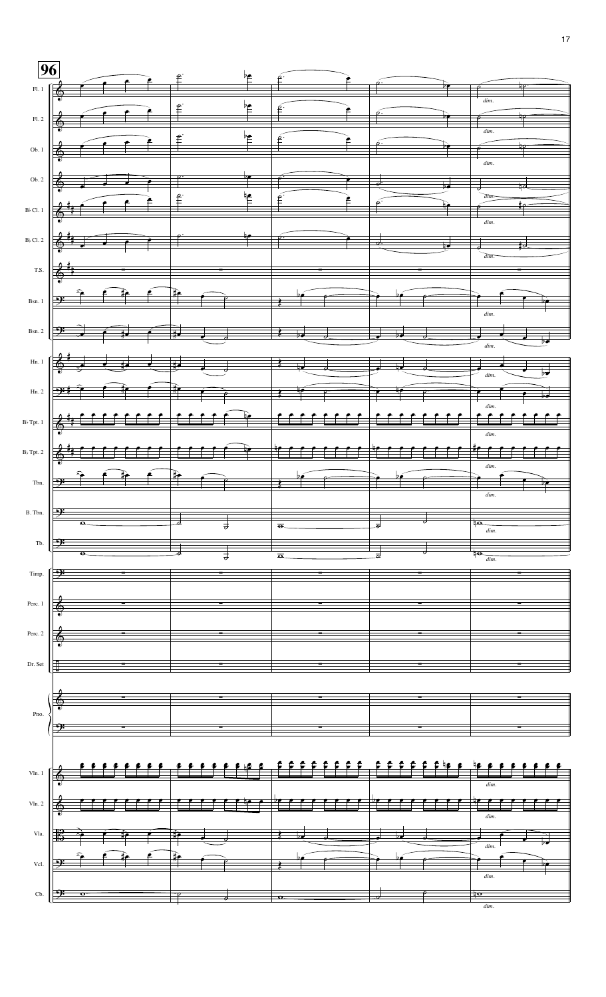| 96                        |                                      |                                                                                                                                                                                                                                                                                                                                                                                                                                                                                                   |           | Ê                        |   | 恮             |                          |                      |                |                          |  |
|---------------------------|--------------------------------------|---------------------------------------------------------------------------------------------------------------------------------------------------------------------------------------------------------------------------------------------------------------------------------------------------------------------------------------------------------------------------------------------------------------------------------------------------------------------------------------------------|-----------|--------------------------|---|---------------|--------------------------|----------------------|----------------|--------------------------|--|
| F1.1                      |                                      |                                                                                                                                                                                                                                                                                                                                                                                                                                                                                                   |           |                          |   |               |                          |                      |                |                          |  |
|                           |                                      | $\ddagger$                                                                                                                                                                                                                                                                                                                                                                                                                                                                                        | $\hat{+}$ | $\mathbf{f}$             |   | $\frac{1}{2}$ | F.                       |                      |                | dim.                     |  |
| F1.2                      |                                      |                                                                                                                                                                                                                                                                                                                                                                                                                                                                                                   |           |                          |   |               |                          |                      |                | dim.                     |  |
| Ob. 1 $\frac{1}{6}$       |                                      |                                                                                                                                                                                                                                                                                                                                                                                                                                                                                                   |           | $\hat{E}$                |   | 悜             | £.                       |                      |                |                          |  |
|                           |                                      |                                                                                                                                                                                                                                                                                                                                                                                                                                                                                                   |           |                          |   |               |                          |                      |                | dim.                     |  |
| Ob. 2                     | 尊                                    |                                                                                                                                                                                                                                                                                                                                                                                                                                                                                                   |           |                          |   | թ<br>悜        |                          | ₹                    |                | dim.                     |  |
|                           | $B \triangleright C1.1$              | $\equiv$                                                                                                                                                                                                                                                                                                                                                                                                                                                                                          |           | $\hat{\mathbb{F}}$       |   |               | Ê                        |                      |                |                          |  |
|                           |                                      |                                                                                                                                                                                                                                                                                                                                                                                                                                                                                                   |           |                          |   |               |                          |                      |                | dim.                     |  |
| $B \triangleright C1.2$   |                                      |                                                                                                                                                                                                                                                                                                                                                                                                                                                                                                   | è         |                          |   | ≝             | $\frac{1}{2}$            | ₫                    |                | dim.                     |  |
|                           | T.S. $\frac{9}{6}$ $\frac{4}{1}$     |                                                                                                                                                                                                                                                                                                                                                                                                                                                                                                   |           |                          |   | $\mathbf{r}$  |                          |                      |                |                          |  |
|                           |                                      |                                                                                                                                                                                                                                                                                                                                                                                                                                                                                                   |           |                          |   |               |                          |                      |                |                          |  |
| $Bsn.1$ $\boxed{9}$ :     |                                      |                                                                                                                                                                                                                                                                                                                                                                                                                                                                                                   |           | 垂                        |   |               |                          |                      |                | dim.                     |  |
| Bsn. 2                    | $\mathbf{\partial}^{\mathbf{\cdot}}$ | $\rightarrow$                                                                                                                                                                                                                                                                                                                                                                                                                                                                                     |           | #                        |   |               |                          |                      |                |                          |  |
|                           |                                      |                                                                                                                                                                                                                                                                                                                                                                                                                                                                                                   |           |                          |   |               |                          |                      |                | dim.                     |  |
|                           | Hn.1                                 |                                                                                                                                                                                                                                                                                                                                                                                                                                                                                                   |           | $\overline{\mathbf{r}}$  |   |               | $\overline{\mathbf{R}}$  |                      |                | dim.                     |  |
| Hn. 2                     | $\mathbf{P}$ :                       |                                                                                                                                                                                                                                                                                                                                                                                                                                                                                                   |           |                          |   |               |                          |                      |                | $\cdot$ $\cdot$          |  |
|                           |                                      |                                                                                                                                                                                                                                                                                                                                                                                                                                                                                                   |           |                          |   |               |                          |                      |                | dim.                     |  |
|                           | B $\frac{F}{F}$ Tpt. 1               | $\begin{tabular}{c} \multicolumn{2}{c} {\textbf{a}} & \multicolumn{2}{c} {\textbf{b}} \\ \multicolumn{2}{c} {\textbf{b}} & \multicolumn{2}{c} {\textbf{c}} \\ \multicolumn{2}{c} {\textbf{d}} & \multicolumn{2}{c} {\textbf{d}} \\ \multicolumn{2}{c} {\textbf{d}} & \multicolumn{2}{c} {\textbf{d}} \\ \multicolumn{2}{c} {\textbf{d}} & \multicolumn{2}{c} {\textbf{d}} \\ \multicolumn{2}{c} {\textbf{d}} & \multicolumn{2}{c} {\textbf{d}} \\ \multicolumn{2}{c} {\textbf{d}} & \multicolumn$ |           |                          |   |               |                          |                      |                | dim.                     |  |
|                           |                                      |                                                                                                                                                                                                                                                                                                                                                                                                                                                                                                   |           |                          |   |               |                          |                      |                |                          |  |
| $B \triangleright$ Tpt. 2 |                                      |                                                                                                                                                                                                                                                                                                                                                                                                                                                                                                   |           |                          |   |               |                          |                      |                | $\dim.$                  |  |
| $Tbn$ .                   | $\Rightarrow$                        | ∱                                                                                                                                                                                                                                                                                                                                                                                                                                                                                                 |           |                          |   |               |                          |                      |                |                          |  |
|                           |                                      |                                                                                                                                                                                                                                                                                                                                                                                                                                                                                                   |           |                          |   |               |                          |                      |                |                          |  |
|                           |                                      |                                                                                                                                                                                                                                                                                                                                                                                                                                                                                                   |           |                          |   |               |                          |                      |                | $\dim.$                  |  |
| $\operatorname{B}.$ Tbn.  | [•):                                 |                                                                                                                                                                                                                                                                                                                                                                                                                                                                                                   |           | $\overline{\phantom{a}}$ | す |               | $\overline{\bullet}$     | $\frac{1}{\epsilon}$ |                | $\phi$<br>dim.           |  |
| Tb.                       | $\mathbf{P}$                         |                                                                                                                                                                                                                                                                                                                                                                                                                                                                                                   |           |                          |   |               |                          |                      |                |                          |  |
|                           |                                      |                                                                                                                                                                                                                                                                                                                                                                                                                                                                                                   |           |                          | 귱 |               | $\overline{\bullet}$     |                      |                | $\not\vdash$<br>dim.     |  |
| Timp.                     | <del>9</del> :                       |                                                                                                                                                                                                                                                                                                                                                                                                                                                                                                   |           |                          |   |               |                          |                      |                |                          |  |
| Perc. $1$                 |                                      |                                                                                                                                                                                                                                                                                                                                                                                                                                                                                                   |           |                          |   |               |                          |                      |                |                          |  |
|                           | $\ddot{\circ}$                       |                                                                                                                                                                                                                                                                                                                                                                                                                                                                                                   |           |                          |   |               |                          |                      |                |                          |  |
| Perc. $2\,$               |                                      |                                                                                                                                                                                                                                                                                                                                                                                                                                                                                                   |           |                          |   |               |                          |                      |                |                          |  |
| Dr. Set                   |                                      |                                                                                                                                                                                                                                                                                                                                                                                                                                                                                                   |           |                          |   |               |                          |                      |                |                          |  |
|                           |                                      |                                                                                                                                                                                                                                                                                                                                                                                                                                                                                                   |           |                          |   |               |                          |                      |                |                          |  |
|                           |                                      | Ξ                                                                                                                                                                                                                                                                                                                                                                                                                                                                                                 |           |                          |   |               |                          |                      |                |                          |  |
| Pno.                      | $\overline{\mathbf{P}}$              |                                                                                                                                                                                                                                                                                                                                                                                                                                                                                                   |           |                          |   |               |                          |                      |                |                          |  |
|                           |                                      |                                                                                                                                                                                                                                                                                                                                                                                                                                                                                                   |           |                          |   |               |                          |                      |                |                          |  |
|                           |                                      |                                                                                                                                                                                                                                                                                                                                                                                                                                                                                                   |           |                          |   |               |                          |                      |                |                          |  |
| $Vln$ . 1                 |                                      |                                                                                                                                                                                                                                                                                                                                                                                                                                                                                                   |           |                          |   |               |                          |                      |                | $\dim.$                  |  |
| Vln.2                     |                                      |                                                                                                                                                                                                                                                                                                                                                                                                                                                                                                   |           |                          |   | ₩             |                          |                      |                |                          |  |
|                           |                                      |                                                                                                                                                                                                                                                                                                                                                                                                                                                                                                   |           |                          |   |               |                          |                      |                | dim.                     |  |
| Vla.                      |                                      |                                                                                                                                                                                                                                                                                                                                                                                                                                                                                                   |           | ी                        |   |               | $\overline{\phantom{0}}$ |                      | $\overline{p}$ | dim.                     |  |
| Vcl.                      |                                      |                                                                                                                                                                                                                                                                                                                                                                                                                                                                                                   |           |                          |   |               |                          |                      |                |                          |  |
| Cb.                       | $\mathbf{o}$                         |                                                                                                                                                                                                                                                                                                                                                                                                                                                                                                   |           | $E^{\bar{e}}$            |   |               |                          |                      |                | $\dim.$<br>$\frac{1}{2}$ |  |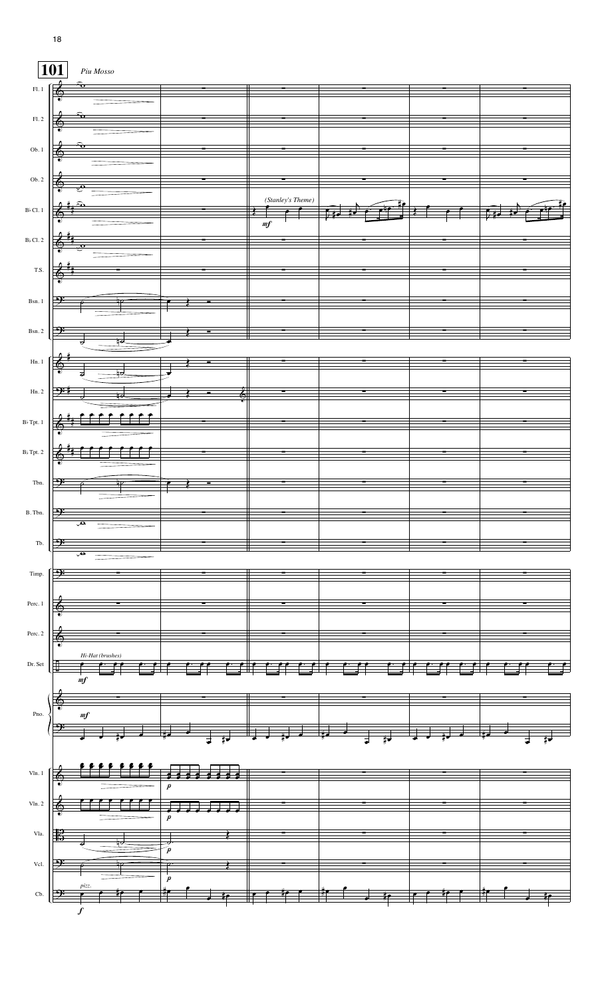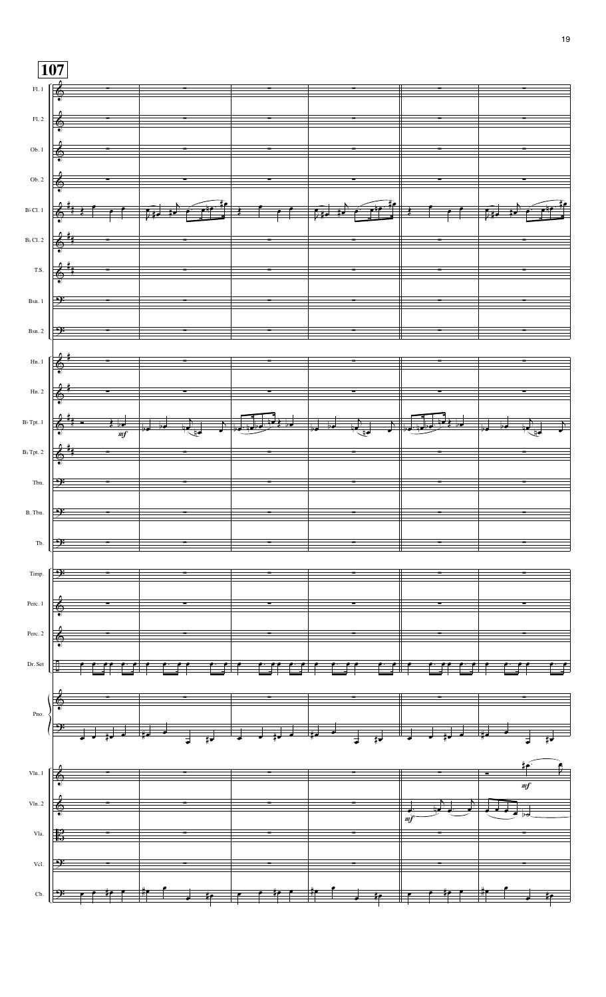|                                   | 107                                                        |                          |                                                                    |                                       |                                                                                                                                                                                                                                                                                                                     |                                                                                     |                                              |
|-----------------------------------|------------------------------------------------------------|--------------------------|--------------------------------------------------------------------|---------------------------------------|---------------------------------------------------------------------------------------------------------------------------------------------------------------------------------------------------------------------------------------------------------------------------------------------------------------------|-------------------------------------------------------------------------------------|----------------------------------------------|
| F1.1                              |                                                            |                          |                                                                    |                                       |                                                                                                                                                                                                                                                                                                                     |                                                                                     |                                              |
|                                   |                                                            |                          |                                                                    |                                       |                                                                                                                                                                                                                                                                                                                     |                                                                                     |                                              |
| F1.2                              |                                                            |                          |                                                                    |                                       |                                                                                                                                                                                                                                                                                                                     |                                                                                     |                                              |
| Ob. 1                             |                                                            |                          |                                                                    |                                       |                                                                                                                                                                                                                                                                                                                     |                                                                                     |                                              |
|                                   |                                                            |                          |                                                                    |                                       |                                                                                                                                                                                                                                                                                                                     |                                                                                     |                                              |
| Ob. 2                             |                                                            |                          |                                                                    |                                       |                                                                                                                                                                                                                                                                                                                     |                                                                                     |                                              |
|                                   | $B \triangleright C1.1$                                    |                          |                                                                    |                                       | $\frac{1}{2}$ $\frac{1}{2}$ $\frac{1}{2}$ $\frac{1}{2}$ $\frac{1}{2}$ $\frac{1}{2}$ $\frac{1}{2}$ $\frac{1}{2}$ $\frac{1}{2}$ $\frac{1}{2}$ $\frac{1}{2}$ $\frac{1}{2}$ $\frac{1}{2}$ $\frac{1}{2}$ $\frac{1}{2}$ $\frac{1}{2}$ $\frac{1}{2}$ $\frac{1}{2}$ $\frac{1}{2}$ $\frac{1}{2}$ $\frac{1}{2}$ $\frac{1}{2}$ | $\frac{1}{2}$ $\frac{1}{2}$ $\frac{1}{2}$ $\frac{1}{2}$ $\frac{1}{2}$ $\frac{1}{2}$ | $\epsilon$ $\epsilon$                        |
|                                   |                                                            |                          |                                                                    |                                       |                                                                                                                                                                                                                                                                                                                     |                                                                                     |                                              |
| $B\nmid Cl. 2$                    | $\frac{24}{9}$                                             |                          | $\overline{\phantom{a}}$                                           | $\blacksquare$                        |                                                                                                                                                                                                                                                                                                                     |                                                                                     |                                              |
|                                   | T.S.                                                       | $\qquad \qquad$          |                                                                    |                                       |                                                                                                                                                                                                                                                                                                                     |                                                                                     |                                              |
|                                   |                                                            |                          |                                                                    |                                       |                                                                                                                                                                                                                                                                                                                     |                                                                                     |                                              |
| Bsn. 1 $\left \frac{1}{2}\right $ |                                                            |                          |                                                                    |                                       |                                                                                                                                                                                                                                                                                                                     |                                                                                     |                                              |
| Bsn. 2                            | $\mathbb{P}$                                               |                          |                                                                    |                                       |                                                                                                                                                                                                                                                                                                                     |                                                                                     |                                              |
|                                   |                                                            |                          |                                                                    |                                       |                                                                                                                                                                                                                                                                                                                     |                                                                                     |                                              |
|                                   | $\begin{array}{c} \n\text{Hn.1} \\ \bigoplus\n\end{array}$ |                          |                                                                    |                                       |                                                                                                                                                                                                                                                                                                                     |                                                                                     |                                              |
|                                   |                                                            |                          |                                                                    |                                       |                                                                                                                                                                                                                                                                                                                     |                                                                                     |                                              |
| Hn. 2                             |                                                            | $\overline{\phantom{a}}$ |                                                                    |                                       |                                                                                                                                                                                                                                                                                                                     |                                                                                     |                                              |
| $B\nmid Tpt. 1$                   |                                                            |                          |                                                                    |                                       | $\Rightarrow$                                                                                                                                                                                                                                                                                                       |                                                                                     |                                              |
|                                   |                                                            |                          |                                                                    |                                       |                                                                                                                                                                                                                                                                                                                     |                                                                                     |                                              |
| $B\overline{b}$ Tpt. 2            |                                                            |                          |                                                                    |                                       |                                                                                                                                                                                                                                                                                                                     |                                                                                     |                                              |
| Tbn.                              |                                                            |                          |                                                                    |                                       |                                                                                                                                                                                                                                                                                                                     |                                                                                     |                                              |
|                                   |                                                            |                          |                                                                    |                                       |                                                                                                                                                                                                                                                                                                                     |                                                                                     |                                              |
| $\mathbf B.$ Tbn.                 |                                                            |                          |                                                                    |                                       |                                                                                                                                                                                                                                                                                                                     |                                                                                     |                                              |
| Tb.                               |                                                            |                          |                                                                    |                                       |                                                                                                                                                                                                                                                                                                                     |                                                                                     |                                              |
|                                   |                                                            |                          |                                                                    |                                       |                                                                                                                                                                                                                                                                                                                     |                                                                                     |                                              |
| $\mbox{Timp.}$                    |                                                            |                          |                                                                    |                                       |                                                                                                                                                                                                                                                                                                                     |                                                                                     |                                              |
| Perc. $1$                         |                                                            | Ξ                        | $\blacksquare$                                                     |                                       |                                                                                                                                                                                                                                                                                                                     |                                                                                     |                                              |
|                                   |                                                            |                          |                                                                    |                                       |                                                                                                                                                                                                                                                                                                                     |                                                                                     |                                              |
| Perc. 2                           |                                                            |                          | $\overline{\phantom{a}}$ , and the set of $\overline{\phantom{a}}$ |                                       |                                                                                                                                                                                                                                                                                                                     |                                                                                     |                                              |
|                                   |                                                            |                          |                                                                    | $\overline{\mathbb{C}^n\mathbb{C}^n}$ |                                                                                                                                                                                                                                                                                                                     |                                                                                     |                                              |
| $\mathop{\rm Dr}\nolimits.$ Set   |                                                            |                          | $\cdot$ $\cdot$ $\cdot$<br>$\left  \cdot \right $                  |                                       | $\qquad \qquad \blacksquare$                                                                                                                                                                                                                                                                                        | اعتصارتها                                                                           | $\overline{\phantom{a}}$                     |
|                                   |                                                            |                          |                                                                    |                                       |                                                                                                                                                                                                                                                                                                                     |                                                                                     |                                              |
| Pno.                              | $\frac{1}{2}$                                              |                          |                                                                    |                                       |                                                                                                                                                                                                                                                                                                                     |                                                                                     |                                              |
|                                   |                                                            |                          |                                                                    |                                       |                                                                                                                                                                                                                                                                                                                     |                                                                                     | $\frac{1}{2}$ to<br>$\overline{\phantom{a}}$ |
|                                   |                                                            |                          |                                                                    |                                       |                                                                                                                                                                                                                                                                                                                     |                                                                                     |                                              |
| Vln. 1                            |                                                            |                          |                                                                    |                                       |                                                                                                                                                                                                                                                                                                                     |                                                                                     |                                              |
|                                   |                                                            |                          |                                                                    |                                       |                                                                                                                                                                                                                                                                                                                     |                                                                                     | m f                                          |
| Vln. 2                            |                                                            |                          |                                                                    |                                       |                                                                                                                                                                                                                                                                                                                     | m <sub>f</sub>                                                                      |                                              |
| Vla.                              |                                                            |                          |                                                                    |                                       |                                                                                                                                                                                                                                                                                                                     |                                                                                     |                                              |
|                                   |                                                            |                          |                                                                    |                                       |                                                                                                                                                                                                                                                                                                                     |                                                                                     |                                              |
| Vcl.                              |                                                            |                          |                                                                    |                                       |                                                                                                                                                                                                                                                                                                                     |                                                                                     |                                              |
| $\mathrm{Cb.}$                    |                                                            |                          | 墷<br>$\frac{1}{2}$                                                 | $\rightarrow$ ie f                    | 靾<br>$\frac{1}{2}$                                                                                                                                                                                                                                                                                                  |                                                                                     | ٣í                                           |
|                                   |                                                            |                          |                                                                    |                                       |                                                                                                                                                                                                                                                                                                                     |                                                                                     |                                              |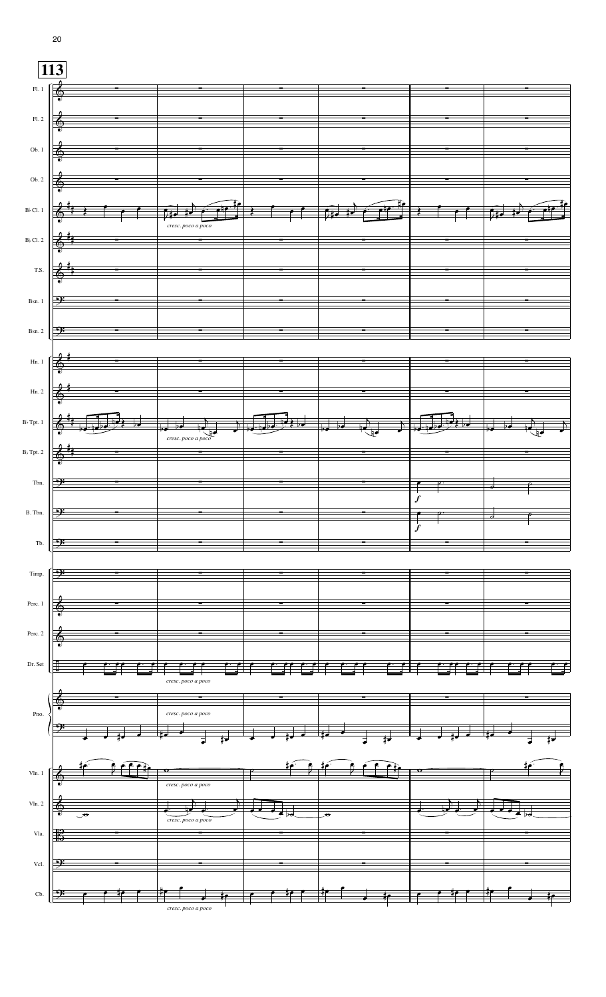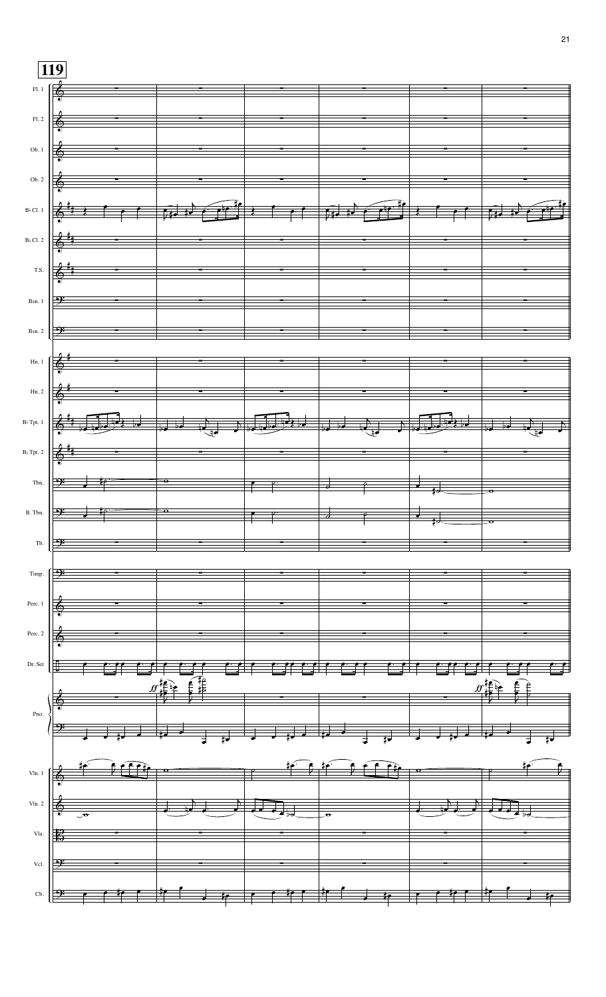|                                                                       | 119                                                                                                                                                                                                                                                                                                                   |                                                                                                                                                                                                                                                                                                                                                                                                                                            |           |                           |               |   |
|-----------------------------------------------------------------------|-----------------------------------------------------------------------------------------------------------------------------------------------------------------------------------------------------------------------------------------------------------------------------------------------------------------------|--------------------------------------------------------------------------------------------------------------------------------------------------------------------------------------------------------------------------------------------------------------------------------------------------------------------------------------------------------------------------------------------------------------------------------------------|-----------|---------------------------|---------------|---|
| F1.1                                                                  |                                                                                                                                                                                                                                                                                                                       |                                                                                                                                                                                                                                                                                                                                                                                                                                            |           |                           |               |   |
|                                                                       |                                                                                                                                                                                                                                                                                                                       |                                                                                                                                                                                                                                                                                                                                                                                                                                            |           |                           |               |   |
| F1.2                                                                  |                                                                                                                                                                                                                                                                                                                       |                                                                                                                                                                                                                                                                                                                                                                                                                                            |           |                           |               |   |
| Ob. 1                                                                 | $\mathbb{R}$                                                                                                                                                                                                                                                                                                          |                                                                                                                                                                                                                                                                                                                                                                                                                                            |           |                           |               |   |
|                                                                       |                                                                                                                                                                                                                                                                                                                       |                                                                                                                                                                                                                                                                                                                                                                                                                                            |           |                           |               |   |
| $\frac{0b.2}{\sqrt{2}}$                                               |                                                                                                                                                                                                                                                                                                                       |                                                                                                                                                                                                                                                                                                                                                                                                                                            |           |                           |               |   |
|                                                                       | $B_{\rm I}$ Cl. $\frac{1}{2}$ $\frac{1}{2}$ $\frac{1}{2}$ $\frac{1}{2}$ $\frac{1}{2}$ $\frac{1}{2}$ $\frac{1}{2}$ $\frac{1}{2}$ $\frac{1}{2}$ $\frac{1}{2}$ $\frac{1}{2}$ $\frac{1}{2}$ $\frac{1}{2}$ $\frac{1}{2}$ $\frac{1}{2}$ $\frac{1}{2}$ $\frac{1}{2}$ $\frac{1}{2}$ $\frac{1}{2}$ $\frac{1}{2}$ $\frac{1}{2}$ |                                                                                                                                                                                                                                                                                                                                                                                                                                            |           |                           |               |   |
|                                                                       |                                                                                                                                                                                                                                                                                                                       |                                                                                                                                                                                                                                                                                                                                                                                                                                            |           |                           |               |   |
| $B \triangleright C1.2$                                               |                                                                                                                                                                                                                                                                                                                       |                                                                                                                                                                                                                                                                                                                                                                                                                                            |           |                           |               |   |
|                                                                       | T.S.                                                                                                                                                                                                                                                                                                                  |                                                                                                                                                                                                                                                                                                                                                                                                                                            |           |                           |               |   |
|                                                                       |                                                                                                                                                                                                                                                                                                                       |                                                                                                                                                                                                                                                                                                                                                                                                                                            |           |                           |               |   |
| Bsn. 1 $\left \frac{\partial \mathbf{F}}{\partial \mathbf{F}}\right $ |                                                                                                                                                                                                                                                                                                                       |                                                                                                                                                                                                                                                                                                                                                                                                                                            |           |                           |               |   |
| $_{\rm Bsn. \, 2}$                                                    |                                                                                                                                                                                                                                                                                                                       |                                                                                                                                                                                                                                                                                                                                                                                                                                            |           |                           |               |   |
|                                                                       |                                                                                                                                                                                                                                                                                                                       |                                                                                                                                                                                                                                                                                                                                                                                                                                            |           |                           |               |   |
|                                                                       | $Hn.1$ $\left[\begin{array}{ccc} \frac{3}{2} & - & - \\ \frac{3}{2} & - & - \end{array}\right]$                                                                                                                                                                                                                       | <u> Tanzania (h. 1878).</u><br>Division de la provincia de la provincia de la provincia de la provincia de la provincia de la provincia de la                                                                                                                                                                                                                                                                                              |           |                           |               |   |
|                                                                       | $Hn.2$ $\frac{24}{10}$                                                                                                                                                                                                                                                                                                |                                                                                                                                                                                                                                                                                                                                                                                                                                            |           |                           |               |   |
|                                                                       |                                                                                                                                                                                                                                                                                                                       |                                                                                                                                                                                                                                                                                                                                                                                                                                            |           |                           |               |   |
|                                                                       | $B_3 T pt.1$                                                                                                                                                                                                                                                                                                          |                                                                                                                                                                                                                                                                                                                                                                                                                                            |           |                           | $\frac{1}{2}$ |   |
| $B \triangleright$ Tpt. 2                                             |                                                                                                                                                                                                                                                                                                                       |                                                                                                                                                                                                                                                                                                                                                                                                                                            |           |                           |               |   |
|                                                                       |                                                                                                                                                                                                                                                                                                                       |                                                                                                                                                                                                                                                                                                                                                                                                                                            |           |                           |               |   |
| $_{\rm Tbn.}$                                                         |                                                                                                                                                                                                                                                                                                                       | $\overline{\bullet}$                                                                                                                                                                                                                                                                                                                                                                                                                       |           |                           |               |   |
| $\mathbf B.$ Tbn.                                                     |                                                                                                                                                                                                                                                                                                                       |                                                                                                                                                                                                                                                                                                                                                                                                                                            |           |                           |               |   |
|                                                                       |                                                                                                                                                                                                                                                                                                                       |                                                                                                                                                                                                                                                                                                                                                                                                                                            |           |                           |               |   |
| Tb.                                                                   |                                                                                                                                                                                                                                                                                                                       |                                                                                                                                                                                                                                                                                                                                                                                                                                            |           |                           |               |   |
|                                                                       |                                                                                                                                                                                                                                                                                                                       |                                                                                                                                                                                                                                                                                                                                                                                                                                            |           |                           |               |   |
| Timp.                                                                 |                                                                                                                                                                                                                                                                                                                       |                                                                                                                                                                                                                                                                                                                                                                                                                                            |           |                           |               |   |
| Perc. 1                                                               |                                                                                                                                                                                                                                                                                                                       |                                                                                                                                                                                                                                                                                                                                                                                                                                            |           |                           |               |   |
| Perc. 2                                                               |                                                                                                                                                                                                                                                                                                                       |                                                                                                                                                                                                                                                                                                                                                                                                                                            |           |                           |               |   |
|                                                                       |                                                                                                                                                                                                                                                                                                                       |                                                                                                                                                                                                                                                                                                                                                                                                                                            |           |                           |               |   |
| Dr. Set                                                               | f ff                                                                                                                                                                                                                                                                                                                  |                                                                                                                                                                                                                                                                                                                                                                                                                                            |           |                           |               |   |
|                                                                       |                                                                                                                                                                                                                                                                                                                       | $\begin{array}{c}\n\mathbf{f} & \mathbf{f} & \mathbf{f} \\ \hline\n\mathbf{f} & \mathbf{f} & \mathbf{f} \\ \hline\n\mathbf{f} & \mathbf{f} & \mathbf{f} \\ \hline\n\mathbf{f} & \mathbf{f} & \mathbf{f} \\ \hline\n\mathbf{f} & \mathbf{f} & \mathbf{f} \\ \hline\n\mathbf{f} & \mathbf{f} & \mathbf{f} \\ \hline\n\mathbf{f} & \mathbf{f} & \mathbf{f} \\ \hline\n\mathbf{f} & \mathbf{f} & \mathbf{f} \\ \hline\n\mathbf{f} & \mathbf{f$ |           |                           |               | ₽ |
| Pno.                                                                  |                                                                                                                                                                                                                                                                                                                       |                                                                                                                                                                                                                                                                                                                                                                                                                                            |           |                           |               |   |
|                                                                       |                                                                                                                                                                                                                                                                                                                       |                                                                                                                                                                                                                                                                                                                                                                                                                                            |           |                           |               |   |
|                                                                       |                                                                                                                                                                                                                                                                                                                       |                                                                                                                                                                                                                                                                                                                                                                                                                                            |           |                           |               |   |
|                                                                       |                                                                                                                                                                                                                                                                                                                       | $\overline{\phantom{a}}$<br>$\overline{\mathbf{C}}$                                                                                                                                                                                                                                                                                                                                                                                        |           | $\mathbb{H}_{\mathbb{R}}$ |               |   |
| $V \ln 1$                                                             |                                                                                                                                                                                                                                                                                                                       |                                                                                                                                                                                                                                                                                                                                                                                                                                            |           |                           |               |   |
| Vln. 2                                                                |                                                                                                                                                                                                                                                                                                                       |                                                                                                                                                                                                                                                                                                                                                                                                                                            | समि       |                           |               |   |
|                                                                       |                                                                                                                                                                                                                                                                                                                       |                                                                                                                                                                                                                                                                                                                                                                                                                                            |           |                           |               |   |
| Vla.                                                                  |                                                                                                                                                                                                                                                                                                                       |                                                                                                                                                                                                                                                                                                                                                                                                                                            |           |                           |               |   |
| Vcl.                                                                  |                                                                                                                                                                                                                                                                                                                       |                                                                                                                                                                                                                                                                                                                                                                                                                                            |           |                           |               |   |
|                                                                       |                                                                                                                                                                                                                                                                                                                       |                                                                                                                                                                                                                                                                                                                                                                                                                                            |           |                           |               |   |
| Cb.                                                                   |                                                                                                                                                                                                                                                                                                                       |                                                                                                                                                                                                                                                                                                                                                                                                                                            | $\bullet$ |                           |               |   |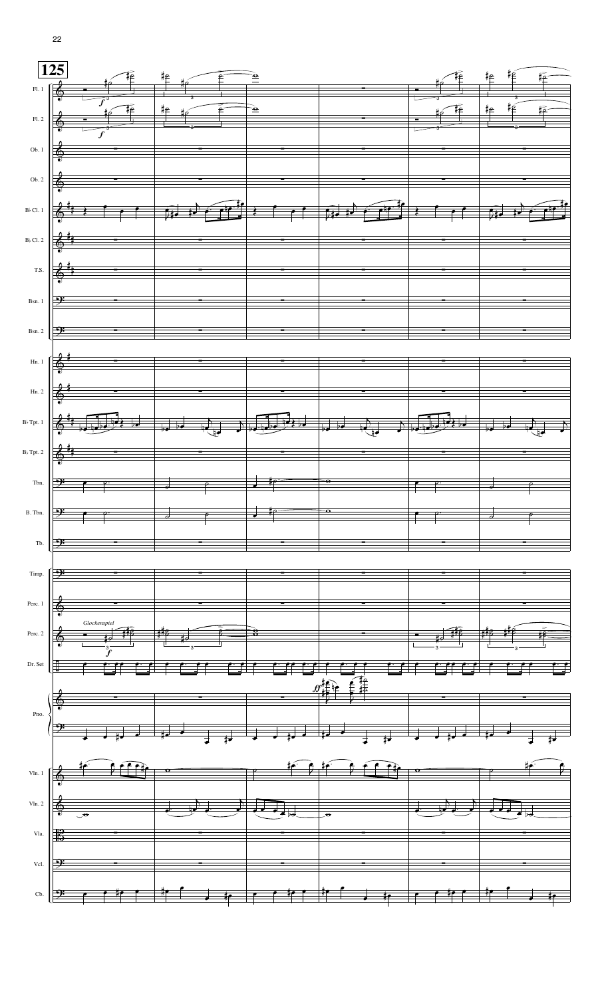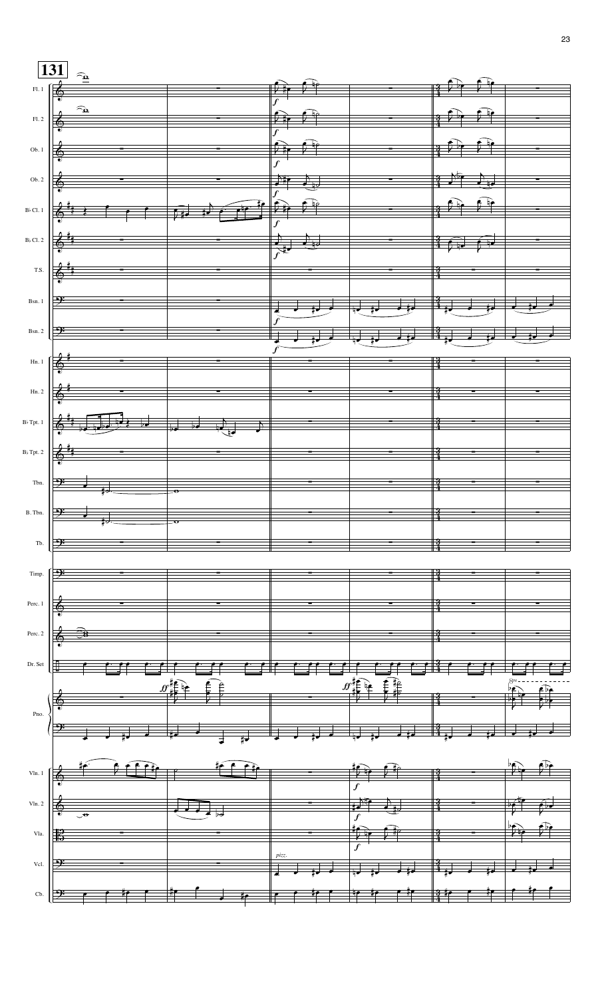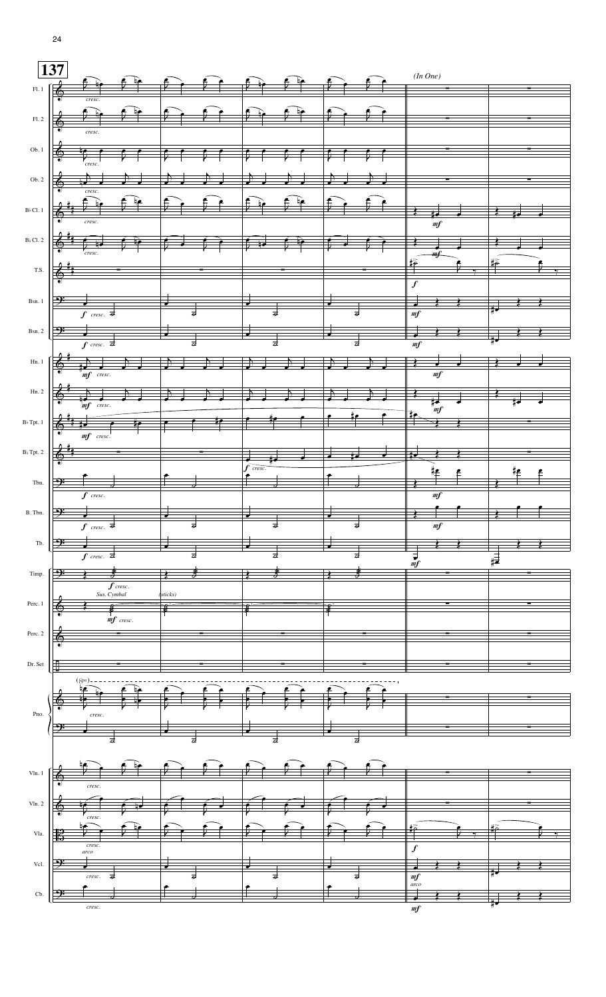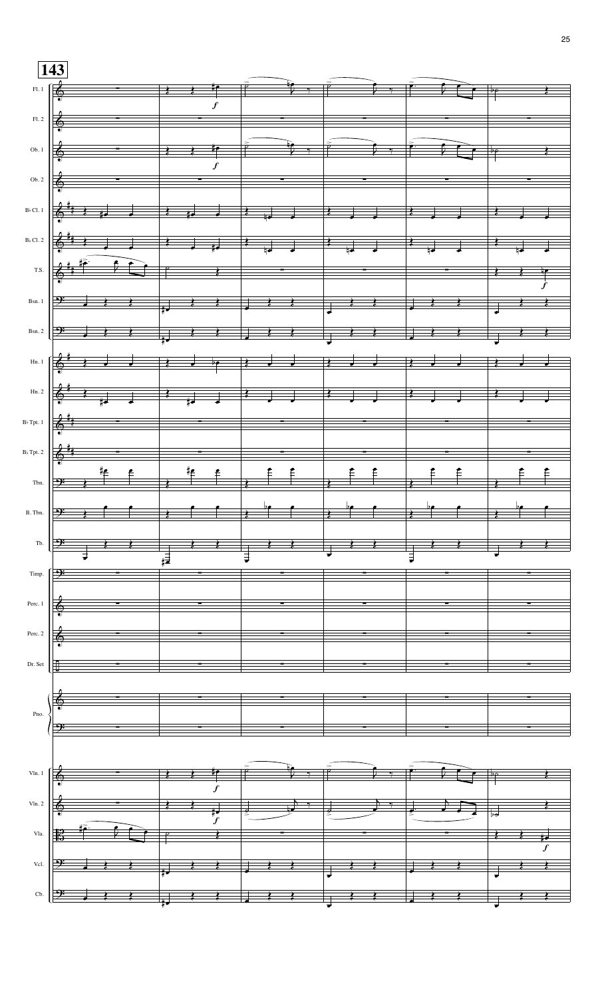|                                | 143                   |   |  |    |     |                     |              |               |           |  |               |                      |                      |              |                          |                     |                      |               |
|--------------------------------|-----------------------|---|--|----|-----|---------------------|--------------|---------------|-----------|--|---------------|----------------------|----------------------|--------------|--------------------------|---------------------|----------------------|---------------|
| F1.1                           |                       |   |  |    |     |                     |              |               |           |  |               | $\ddot{\mathcal{A}}$ |                      |              |                          | $\rightarrow$       |                      |               |
| $\rm Fl.2$                     |                       |   |  |    |     |                     |              |               |           |  |               |                      |                      |              |                          |                     |                      |               |
|                                | $\breve{\circ}$       |   |  |    |     |                     |              |               |           |  |               |                      |                      |              |                          |                     |                      |               |
| Ob. $\boldsymbol{1}$           | $\overline{\Phi}$     |   |  |    |     | $\ddot{\mathbf{r}}$ | $\mathbb{P}$ |               |           |  |               |                      |                      |              |                          | 華                   |                      |               |
| Ob. 2                          |                       |   |  |    |     |                     |              |               |           |  |               |                      |                      |              |                          |                     |                      |               |
| $\mathbf{B}\flat$ Cl. 1        |                       |   |  |    |     |                     |              |               |           |  |               |                      |                      |              |                          |                     |                      |               |
|                                |                       |   |  |    |     |                     |              |               |           |  |               |                      | $\overrightarrow{ }$ |              |                          |                     |                      |               |
| $\mathbf{B}\flat$ Cl. 2        |                       |   |  |    |     |                     |              |               |           |  |               |                      |                      |              |                          | $\rightarrow$       | $\equiv$             |               |
| T.S.                           |                       |   |  |    |     |                     |              |               |           |  |               |                      |                      |              |                          |                     |                      |               |
|                                |                       |   |  |    |     |                     |              |               |           |  |               |                      |                      |              |                          |                     |                      |               |
|                                |                       |   |  |    |     |                     |              |               |           |  |               |                      |                      |              |                          |                     |                      | $\rightarrow$ |
|                                | Bsn. 2 $\frac{9!}{4}$ |   |  |    |     |                     |              |               |           |  |               |                      |                      |              |                          |                     | $\frac{1}{\sqrt{2}}$ |               |
| $\rm Hn.$ 1                    |                       |   |  |    |     |                     |              |               |           |  |               |                      |                      |              | $\overline{\phantom{a}}$ | $\ddot{\mathbf{r}}$ |                      |               |
|                                |                       |   |  |    |     |                     |              |               |           |  |               |                      |                      |              |                          | 专                   |                      |               |
| $\rm B\!\!\downarrow$ Tpt. $1$ | $6 +$                 |   |  |    |     |                     |              |               |           |  |               |                      |                      |              |                          |                     |                      |               |
|                                |                       |   |  |    |     |                     |              |               |           |  |               |                      |                      |              |                          |                     |                      |               |
| $\mathbf{B}\flat$ Tpt. 2       | $\frac{24}{9}$        |   |  |    |     |                     |              |               |           |  |               |                      |                      |              |                          |                     |                      |               |
| Tbn.                           | <u>ີ</u>              | ≝ |  |    | $+$ |                     |              | Ê             |           |  |               |                      |                      |              |                          |                     |                      |               |
| B. Tbn.                        |                       |   |  |    |     |                     |              | $h_{\bullet}$ | $\bullet$ |  | $b$ $\bullet$ |                      |                      | $\mathbf{b}$ |                          |                     | Ьe                   |               |
|                                |                       |   |  |    |     |                     |              |               |           |  |               |                      |                      |              |                          |                     |                      |               |
| Tb.                            |                       |   |  | ‡₹ |     |                     |              |               |           |  |               |                      |                      |              |                          |                     |                      |               |
| Timp.                          |                       |   |  |    |     |                     |              |               |           |  |               |                      |                      |              |                          |                     |                      |               |
| Perc. 1                        |                       |   |  |    |     |                     |              |               |           |  |               |                      |                      |              |                          |                     |                      |               |
|                                |                       |   |  |    |     |                     |              |               |           |  |               |                      |                      |              |                          |                     |                      |               |
| Perc. 2                        |                       |   |  |    |     |                     |              |               |           |  |               |                      |                      |              |                          |                     |                      |               |
| Dr. Set                        |                       |   |  |    |     |                     |              |               |           |  |               |                      |                      |              |                          |                     |                      |               |
|                                |                       |   |  |    |     |                     |              |               |           |  |               |                      |                      |              |                          |                     |                      |               |
| Pno.                           |                       |   |  |    |     |                     |              |               |           |  |               |                      |                      |              |                          |                     |                      |               |
|                                |                       |   |  |    |     |                     |              |               |           |  |               |                      |                      |              |                          |                     |                      |               |
|                                |                       |   |  |    |     |                     |              |               |           |  |               |                      |                      |              |                          |                     |                      |               |
| Vln.1                          |                       |   |  |    |     | f                   |              |               |           |  |               |                      |                      |              |                          |                     |                      |               |
| Vln.2                          |                       |   |  |    |     |                     |              |               |           |  |               |                      |                      |              |                          |                     |                      |               |
| Vla.                           |                       |   |  |    |     |                     |              |               |           |  |               |                      |                      |              |                          |                     |                      |               |
|                                |                       |   |  |    |     |                     |              |               |           |  |               |                      |                      |              |                          |                     |                      |               |
| Vcl.                           |                       |   |  |    |     |                     |              |               |           |  |               |                      |                      |              |                          |                     |                      |               |
| Cb.                            |                       |   |  |    |     |                     |              |               |           |  |               |                      |                      |              |                          |                     |                      |               |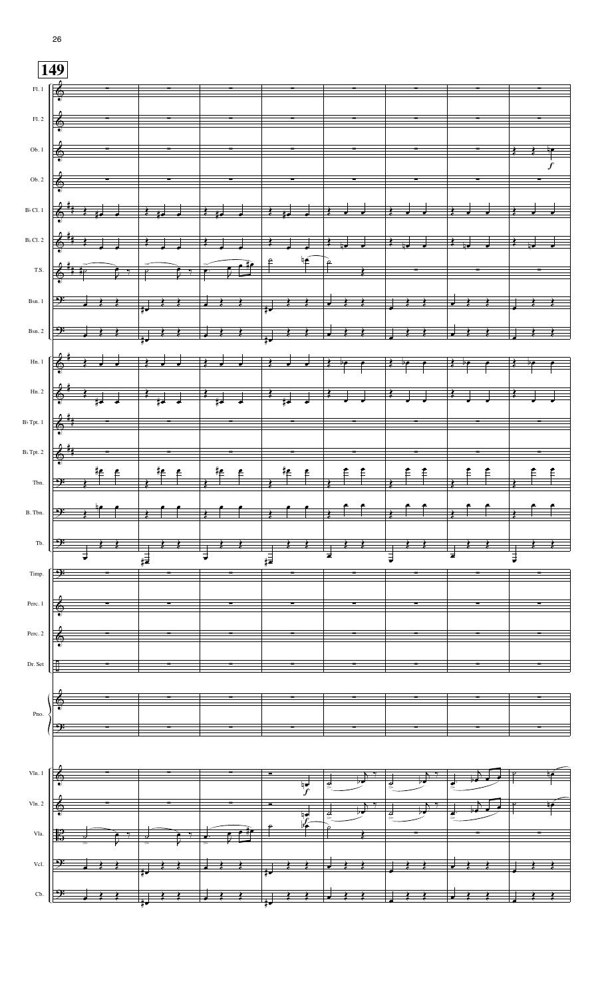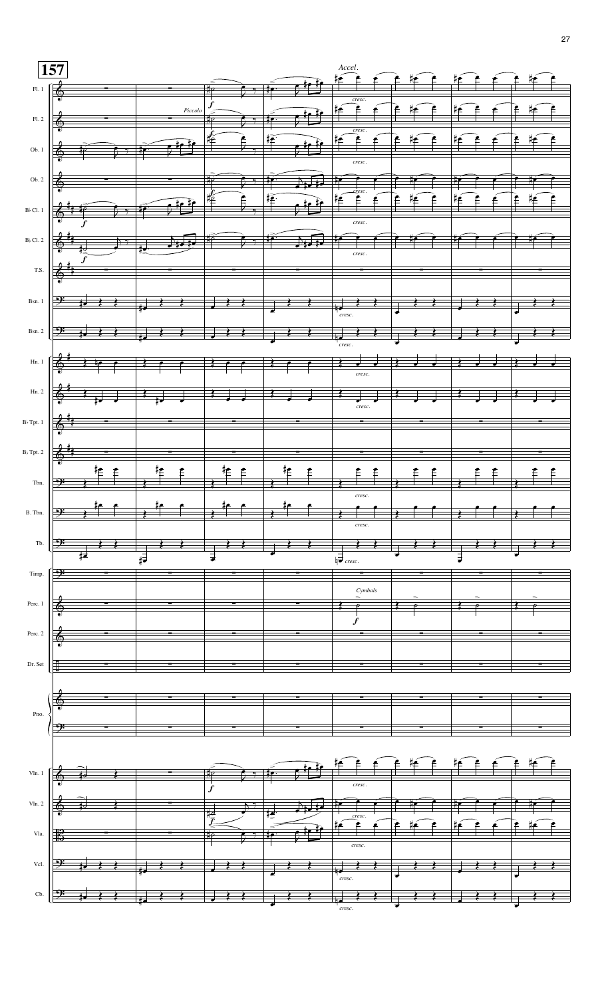

<sup>27</sup>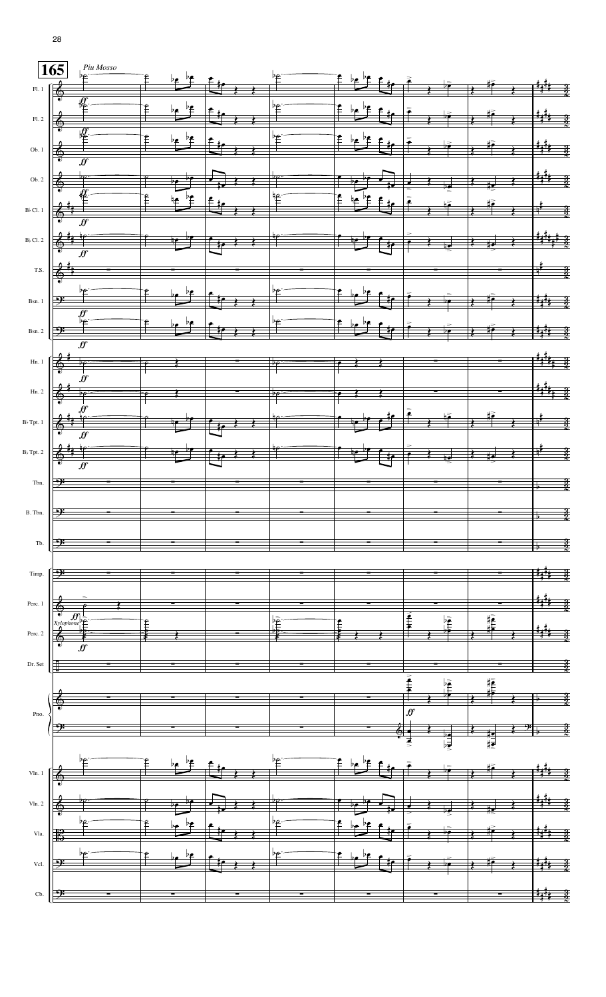| I                 |  |
|-------------------|--|
| ٠<br>۰.           |  |
| I<br>I<br>×<br>۰. |  |

|                                       | <b>165</b>                                                                                                                                                                                                                             | $\mathit{Piu}\mathit{Mosso}$                                |               |            |  |                    |      |            |  |                                                                                 |               |    |                                |  |
|---------------------------------------|----------------------------------------------------------------------------------------------------------------------------------------------------------------------------------------------------------------------------------------|-------------------------------------------------------------|---------------|------------|--|--------------------|------|------------|--|---------------------------------------------------------------------------------|---------------|----|--------------------------------|--|
| $\rm{Fl.}$ $1$                        |                                                                                                                                                                                                                                        | 倥                                                           | Ê             |            |  |                    |      |            |  |                                                                                 |               |    | $\frac{3}{2}$                  |  |
|                                       | $\frac{1}{\Phi}$                                                                                                                                                                                                                       | $\frac{f}{f}$                                               | Ê             |            |  | 惶                  | ₽    |            |  |                                                                                 |               |    |                                |  |
| $\rm Fl.$ 2                           | Ģ                                                                                                                                                                                                                                      |                                                             |               | <u>be </u> |  |                    |      | <u>be </u> |  |                                                                                 |               |    | $\frac{3}{2}$                  |  |
|                                       |                                                                                                                                                                                                                                        | 屢                                                           | Ê             | <u>be </u> |  | $\frac{1}{2}$      | ั่≓ี | <u>be</u>  |  |                                                                                 |               |    |                                |  |
| Ob.1                                  | Φ                                                                                                                                                                                                                                      |                                                             |               |            |  |                    |      |            |  |                                                                                 |               |    | z                              |  |
|                                       |                                                                                                                                                                                                                                        | $\overline{\mathbf{\mathcal{F}}}$                           |               |            |  |                    |      |            |  |                                                                                 |               |    |                                |  |
| Ob. 2                                 |                                                                                                                                                                                                                                        | $\overline{\mathbf{z}}$                                     |               |            |  |                    |      |            |  |                                                                                 |               |    | $\frac{3}{2}$                  |  |
| $\overline{\mathbf{B}^{\flat}}$ Cl. 1 |                                                                                                                                                                                                                                        |                                                             | Ê             | 隼          |  | 悜                  | ţ    | 毕          |  |                                                                                 |               |    |                                |  |
|                                       |                                                                                                                                                                                                                                        | $\overline{\mathbf{\mathcal{F}}}$                           |               |            |  |                    |      |            |  |                                                                                 |               |    | $\frac{3}{2}$                  |  |
| $\mathbf{B}\flat$ Cl. 2               |                                                                                                                                                                                                                                        |                                                             |               |            |  |                    |      |            |  |                                                                                 |               |    |                                |  |
|                                       |                                                                                                                                                                                                                                        | $\overline{f}$                                              |               |            |  |                    |      |            |  |                                                                                 |               |    |                                |  |
| T.S.                                  |                                                                                                                                                                                                                                        |                                                             |               |            |  |                    |      |            |  |                                                                                 |               |    | $rac{3}{2}$<br>Ŧ               |  |
|                                       |                                                                                                                                                                                                                                        | Þe                                                          | ₽             |            |  | Þę                 |      |            |  |                                                                                 |               |    |                                |  |
| Bsn.1                                 | $\mathbf{P}$                                                                                                                                                                                                                           |                                                             |               |            |  |                    |      |            |  |                                                                                 |               |    | $\frac{3}{2}$<br>والبراز       |  |
|                                       |                                                                                                                                                                                                                                        | $\overline{f}_{\stackrel{\circ}{\mathbb{P}}^e_\mathcal{L}}$ | Ê             |            |  | be                 |      |            |  |                                                                                 |               |    |                                |  |
| $_{\rm Bsn. \, 2}$                    | $\rightarrow$                                                                                                                                                                                                                          | $f\hspace{-0.1cm}f\hspace{-0.1cm}f$                         |               |            |  |                    |      |            |  |                                                                                 |               |    |                                |  |
| Hn.1                                  |                                                                                                                                                                                                                                        | ÞΡ                                                          |               |            |  | $\rightarrow \rho$ |      |            |  |                                                                                 |               |    | 埋<br>$\frac{3}{2}$             |  |
|                                       |                                                                                                                                                                                                                                        | ff                                                          | ₽             |            |  |                    |      |            |  |                                                                                 |               |    |                                |  |
| Hn.2                                  |                                                                                                                                                                                                                                        | ηρ                                                          | P             |            |  | $\rightarrow \rho$ |      |            |  |                                                                                 |               |    | باللا<br>$\frac{3}{2}$         |  |
|                                       |                                                                                                                                                                                                                                        | ff                                                          |               |            |  |                    |      |            |  |                                                                                 |               |    |                                |  |
| $B\nmid Tpt. 1$                       |                                                                                                                                                                                                                                        |                                                             |               |            |  |                    |      |            |  |                                                                                 |               |    | $\frac{3}{2}$                  |  |
|                                       |                                                                                                                                                                                                                                        | ff                                                          |               |            |  |                    |      |            |  |                                                                                 |               |    |                                |  |
| $B\overline{b}$ Tpt. 2                |                                                                                                                                                                                                                                        | $\overline{\mathbf{\mathcal{F}}}$                           |               |            |  |                    |      |            |  |                                                                                 |               | ₽  | $\frac{3}{2}$                  |  |
| Tbn.                                  | <u> Di</u>                                                                                                                                                                                                                             |                                                             |               |            |  |                    |      |            |  |                                                                                 |               |    |                                |  |
|                                       |                                                                                                                                                                                                                                        |                                                             |               |            |  |                    |      |            |  |                                                                                 |               |    | $\frac{3}{2}$<br>⇟             |  |
| $\operatorname{B}.$ Tbn.              | $\Theta^:$                                                                                                                                                                                                                             |                                                             |               |            |  |                    |      |            |  |                                                                                 |               |    | 3                              |  |
|                                       |                                                                                                                                                                                                                                        |                                                             |               |            |  |                    |      |            |  |                                                                                 |               |    |                                |  |
| Tb.                                   |                                                                                                                                                                                                                                        |                                                             |               |            |  |                    |      |            |  |                                                                                 |               |    | $\frac{3}{2}$                  |  |
|                                       |                                                                                                                                                                                                                                        |                                                             |               |            |  |                    |      |            |  |                                                                                 |               |    |                                |  |
| Timp.                                 | ⅁                                                                                                                                                                                                                                      |                                                             |               |            |  |                    |      |            |  |                                                                                 |               |    | 耙<br>3                         |  |
| Perc. 1                               |                                                                                                                                                                                                                                        |                                                             |               |            |  |                    |      |            |  |                                                                                 |               |    | मैक्                           |  |
|                                       |                                                                                                                                                                                                                                        |                                                             |               |            |  |                    |      |            |  | $\begin{array}{c} \hline \rule{0pt}{2ex} \\ \hline \rule{0pt}{2ex} \end{array}$ | $\frac{1}{2}$ |    |                                |  |
| Perc. 2                               | $\overbrace{\frac{\textit{Xylophone}}{\textit{X-p}}}\hspace{-0.5cm}\hspace{-0.5cm}\overbrace{\hspace{-0.5cm}\underbrace{\textit{Xp}}}\hspace{-0.5cm}\hspace{-0.5cm}\overbrace{\hspace{-0.5cm}\underbrace{\textit{Xp}}}\hspace{-0.5cm}$ |                                                             | $\frac{1}{2}$ |            |  | $\frac{1}{2}$      |      |            |  |                                                                                 |               | IÈ | $\frac{3}{2}$                  |  |
|                                       |                                                                                                                                                                                                                                        | ff                                                          |               |            |  |                    |      |            |  |                                                                                 |               |    |                                |  |
| Dr. Set                               |                                                                                                                                                                                                                                        |                                                             |               |            |  |                    |      |            |  |                                                                                 |               |    | ខ្ចី                           |  |
|                                       |                                                                                                                                                                                                                                        |                                                             |               |            |  |                    |      |            |  | è                                                                               | $\frac{1}{2}$ | IĒ |                                |  |
|                                       |                                                                                                                                                                                                                                        |                                                             |               |            |  |                    |      |            |  |                                                                                 |               |    | $\frac{3}{2}$                  |  |
| Pno.                                  |                                                                                                                                                                                                                                        |                                                             |               |            |  |                    |      |            |  | f f                                                                             |               |    |                                |  |
|                                       |                                                                                                                                                                                                                                        |                                                             |               |            |  |                    |      |            |  | $\frac{1}{\epsilon}$                                                            | $\frac{1}{2}$ | 植授 | $\frac{3}{2}$                  |  |
|                                       |                                                                                                                                                                                                                                        |                                                             |               |            |  |                    |      |            |  |                                                                                 |               |    |                                |  |
| $Vln$ . 1                             |                                                                                                                                                                                                                                        |                                                             | Ê             | ๒ҽ         |  |                    | Ė    | ๒•         |  |                                                                                 |               |    |                                |  |
|                                       |                                                                                                                                                                                                                                        |                                                             |               |            |  |                    |      |            |  |                                                                                 |               |    |                                |  |
| Vln. 2                                |                                                                                                                                                                                                                                        |                                                             |               |            |  |                    |      |            |  |                                                                                 |               |    |                                |  |
|                                       |                                                                                                                                                                                                                                        |                                                             | $\hat{f}$     |            |  | $^{\flat}$         |      |            |  |                                                                                 |               |    |                                |  |
| Vla.                                  |                                                                                                                                                                                                                                        |                                                             |               |            |  |                    |      |            |  |                                                                                 |               |    | 3<br>₩                         |  |
|                                       |                                                                                                                                                                                                                                        | ÞΡ                                                          | ₽             |            |  | þę                 |      |            |  |                                                                                 |               |    |                                |  |
| $\mbox{Vcl.}$                         |                                                                                                                                                                                                                                        |                                                             |               |            |  |                    |      |            |  |                                                                                 |               |    | $\frac{3}{2}$<br>بالبرأ        |  |
| Cb.                                   | $\mapsto$                                                                                                                                                                                                                              |                                                             |               |            |  |                    |      |            |  |                                                                                 |               |    | $\frac{1}{4}$<br>$\frac{3}{2}$ |  |
|                                       |                                                                                                                                                                                                                                        |                                                             |               |            |  |                    |      |            |  |                                                                                 |               |    |                                |  |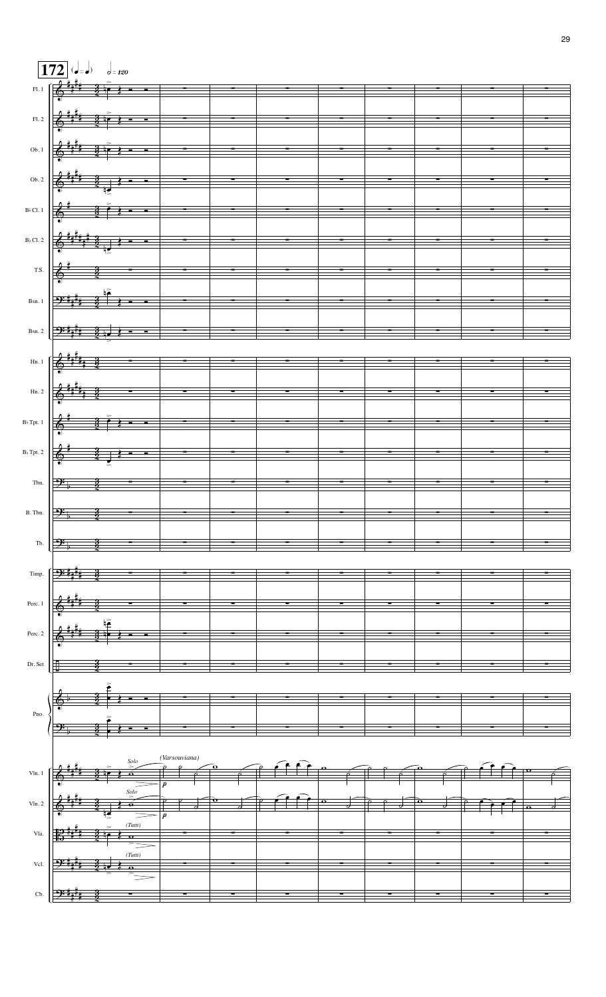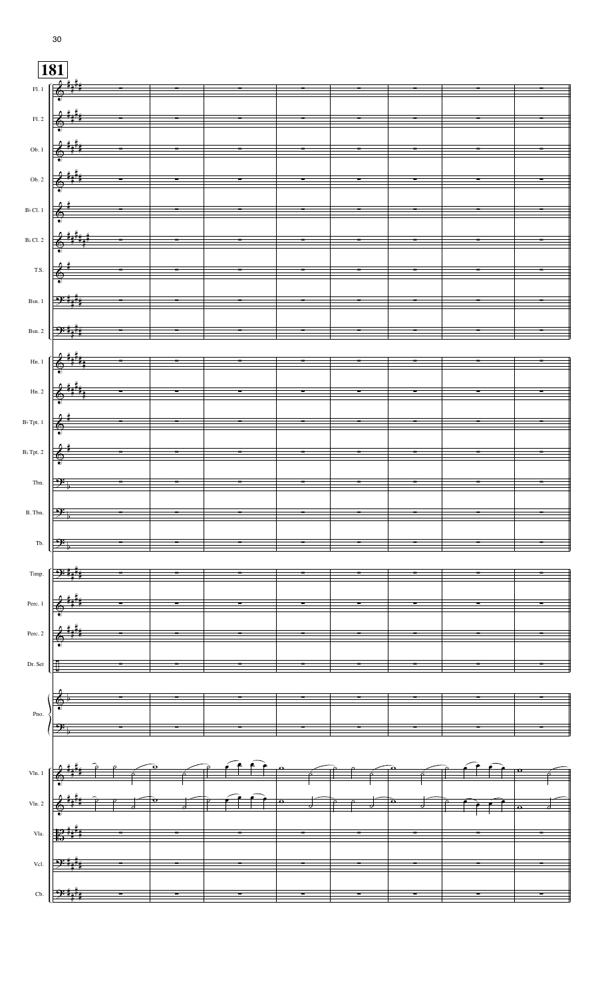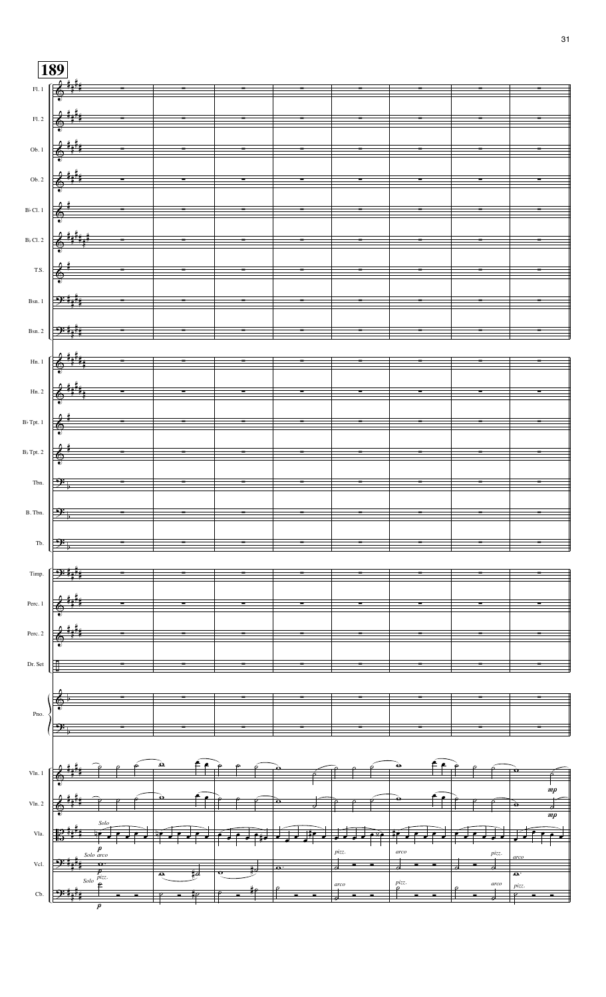|                                   | <b>189</b>                                                                                                                                                                                                                                                                                                           |                            |                            |                          |                 |       |                 |                      |
|-----------------------------------|----------------------------------------------------------------------------------------------------------------------------------------------------------------------------------------------------------------------------------------------------------------------------------------------------------------------|----------------------------|----------------------------|--------------------------|-----------------|-------|-----------------|----------------------|
|                                   | $F1.1$ $\left[\begin{array}{cc} \frac{1}{2} & \frac{1}{2} \\ \frac{1}{2} & \frac{1}{2} \end{array}\right]$                                                                                                                                                                                                           |                            |                            |                          |                 |       |                 |                      |
|                                   |                                                                                                                                                                                                                                                                                                                      |                            |                            |                          |                 |       |                 |                      |
|                                   | F1. 2 $\left  \begin{array}{ccc} \frac{2}{3} & \frac{1}{3} & \frac{1}{3} \\ \frac{1}{3} & \frac{1}{3} & \frac{1}{3} \end{array} \right $                                                                                                                                                                             |                            | $\mathcal{L}(\mathcal{L})$ |                          |                 |       |                 |                      |
|                                   |                                                                                                                                                                                                                                                                                                                      |                            |                            |                          |                 |       |                 |                      |
|                                   | Ob. 1 $\frac{2 \frac{4 \pi}{3}}{2}$                                                                                                                                                                                                                                                                                  |                            |                            |                          |                 |       |                 |                      |
|                                   |                                                                                                                                                                                                                                                                                                                      |                            |                            |                          |                 |       |                 |                      |
|                                   | Ob. 2 $\theta$ $\frac{1}{2}$ $\frac{1}{2}$ $\frac{1}{2}$ $\frac{1}{2}$ $\frac{1}{2}$ $\frac{1}{2}$ $\frac{1}{2}$ $\frac{1}{2}$ $\frac{1}{2}$ $\frac{1}{2}$ $\frac{1}{2}$ $\frac{1}{2}$ $\frac{1}{2}$ $\frac{1}{2}$ $\frac{1}{2}$ $\frac{1}{2}$ $\frac{1}{2}$ $\frac{1}{2}$ $\frac{1}{2}$ $\frac{1}{2}$ $\frac{1}{2}$ |                            |                            |                          |                 |       |                 |                      |
|                                   | $B \triangleright C1.1$                                                                                                                                                                                                                                                                                              |                            |                            |                          |                 |       |                 |                      |
|                                   |                                                                                                                                                                                                                                                                                                                      |                            |                            |                          |                 |       |                 |                      |
|                                   | $B \triangleright C1.2$ $\left \n\begin{array}{ccc}\n\frac{1}{2} & \frac{1}{2} & \frac{1}{2} & \frac{1}{2} \\ \frac{1}{2} & \frac{1}{2} & \frac{1}{2} & \frac{1}{2} \\ \frac{1}{2} & \frac{1}{2} & \frac{1}{2} & \frac{1}{2}\n\end{array}\n\right $                                                                  |                            |                            |                          |                 |       |                 |                      |
|                                   |                                                                                                                                                                                                                                                                                                                      |                            |                            |                          |                 |       |                 |                      |
|                                   | T.S.                                                                                                                                                                                                                                                                                                                 |                            |                            |                          |                 |       |                 |                      |
|                                   |                                                                                                                                                                                                                                                                                                                      |                            |                            |                          |                 |       |                 |                      |
|                                   | $Bsn.1$ $9:1$                                                                                                                                                                                                                                                                                                        |                            |                            |                          |                 |       |                 |                      |
| Bsn. 2                            | $\frac{1}{2}$ $\frac{1}{2}$ $\frac{1}{2}$ $\frac{1}{2}$ $\frac{1}{2}$ $\frac{1}{2}$ $\frac{1}{2}$ $\frac{1}{2}$ $\frac{1}{2}$ $\frac{1}{2}$ $\frac{1}{2}$ $\frac{1}{2}$ $\frac{1}{2}$ $\frac{1}{2}$ $\frac{1}{2}$ $\frac{1}{2}$ $\frac{1}{2}$ $\frac{1}{2}$ $\frac{1}{2}$ $\frac{1}{2}$ $\frac{1}{2}$ $\frac{1}{2}$  |                            |                            |                          |                 |       |                 |                      |
|                                   |                                                                                                                                                                                                                                                                                                                      |                            |                            |                          |                 |       |                 |                      |
|                                   | $Hn. 1$ $\left[\n\begin{array}{ccc}\n\frac{\partial}{\partial} & \frac{\partial}{\partial} & \frac{\partial}{\partial} \\ \n\frac{\partial}{\partial} & \frac{\partial}{\partial} & \frac{\partial}{\partial} \end{array}\n\right]$                                                                                  |                            |                            |                          |                 |       |                 |                      |
|                                   |                                                                                                                                                                                                                                                                                                                      |                            |                            |                          |                 |       |                 |                      |
|                                   | $Hn.2$ $\theta$ $\frac{\frac{1}{2} + \frac{1}{2}}{\frac{1}{2} + \frac{1}{2}}$                                                                                                                                                                                                                                        |                            | $\mathcal{L}(\mathcal{L})$ | $\overline{\phantom{a}}$ |                 |       |                 |                      |
|                                   | $\frac{2}{6}$                                                                                                                                                                                                                                                                                                        |                            |                            | $\blacksquare$           |                 |       |                 |                      |
| B <sub>b</sub> Tpt. 1             |                                                                                                                                                                                                                                                                                                                      |                            | $\blacksquare$             |                          |                 |       |                 |                      |
|                                   | $Bb$ Tpt. 2 $\theta$ $\theta$                                                                                                                                                                                                                                                                                        |                            | Ξ                          |                          |                 |       |                 |                      |
|                                   |                                                                                                                                                                                                                                                                                                                      |                            |                            |                          |                 |       |                 |                      |
| Tbn.                              | $\ket{2}$                                                                                                                                                                                                                                                                                                            |                            |                            |                          |                 |       |                 |                      |
|                                   |                                                                                                                                                                                                                                                                                                                      |                            |                            |                          |                 |       |                 |                      |
| B. Tbn.                           |                                                                                                                                                                                                                                                                                                                      |                            |                            |                          |                 |       |                 |                      |
| Tb.                               |                                                                                                                                                                                                                                                                                                                      |                            |                            |                          |                 |       |                 |                      |
|                                   |                                                                                                                                                                                                                                                                                                                      |                            |                            |                          |                 |       |                 |                      |
| Timp.                             |                                                                                                                                                                                                                                                                                                                      |                            |                            |                          |                 |       |                 |                      |
|                                   |                                                                                                                                                                                                                                                                                                                      |                            |                            |                          |                 |       |                 |                      |
| Perc. 1                           |                                                                                                                                                                                                                                                                                                                      |                            |                            |                          |                 |       |                 |                      |
|                                   |                                                                                                                                                                                                                                                                                                                      |                            |                            |                          |                 |       |                 |                      |
| Perc. 2                           |                                                                                                                                                                                                                                                                                                                      |                            |                            |                          |                 |       |                 |                      |
| Dr. Set                           |                                                                                                                                                                                                                                                                                                                      |                            |                            |                          |                 |       |                 |                      |
|                                   |                                                                                                                                                                                                                                                                                                                      |                            |                            |                          |                 |       |                 |                      |
|                                   |                                                                                                                                                                                                                                                                                                                      |                            |                            |                          |                 |       |                 |                      |
| Pno.                              |                                                                                                                                                                                                                                                                                                                      |                            |                            |                          |                 |       |                 |                      |
|                                   |                                                                                                                                                                                                                                                                                                                      |                            |                            |                          |                 |       |                 |                      |
|                                   |                                                                                                                                                                                                                                                                                                                      |                            |                            |                          |                 |       |                 |                      |
|                                   |                                                                                                                                                                                                                                                                                                                      |                            |                            |                          |                 |       |                 |                      |
| $\frac{\text{Vln.1}}{\text{Vln}}$ |                                                                                                                                                                                                                                                                                                                      |                            |                            |                          |                 |       |                 |                      |
| Vln. 2                            |                                                                                                                                                                                                                                                                                                                      |                            |                            | $\overline{\bullet}$     |                 |       |                 | $\boldsymbol{m}$     |
|                                   |                                                                                                                                                                                                                                                                                                                      |                            |                            |                          |                 |       |                 | mp                   |
| Vla.                              |                                                                                                                                                                                                                                                                                                                      |                            |                            |                          |                 |       |                 |                      |
|                                   | $\frac{p}{\text{Solo } \text{arco}}$                                                                                                                                                                                                                                                                                 |                            |                            |                          | pizz.           | arco  | pizz.           | $\mathit{arco}$      |
| Vcl.                              |                                                                                                                                                                                                                                                                                                                      | ŧd<br>$\overline{\bullet}$ |                            | $\overline{\mathbf{e}}$  |                 |       |                 | $\overline{\bullet}$ |
|                                   | pizz.                                                                                                                                                                                                                                                                                                                |                            |                            |                          | $\mathit{arco}$ | pizz. | $\mathit{arco}$ | pizz.                |
| Cb.                               | $\pmb{p}$                                                                                                                                                                                                                                                                                                            |                            |                            |                          |                 |       |                 |                      |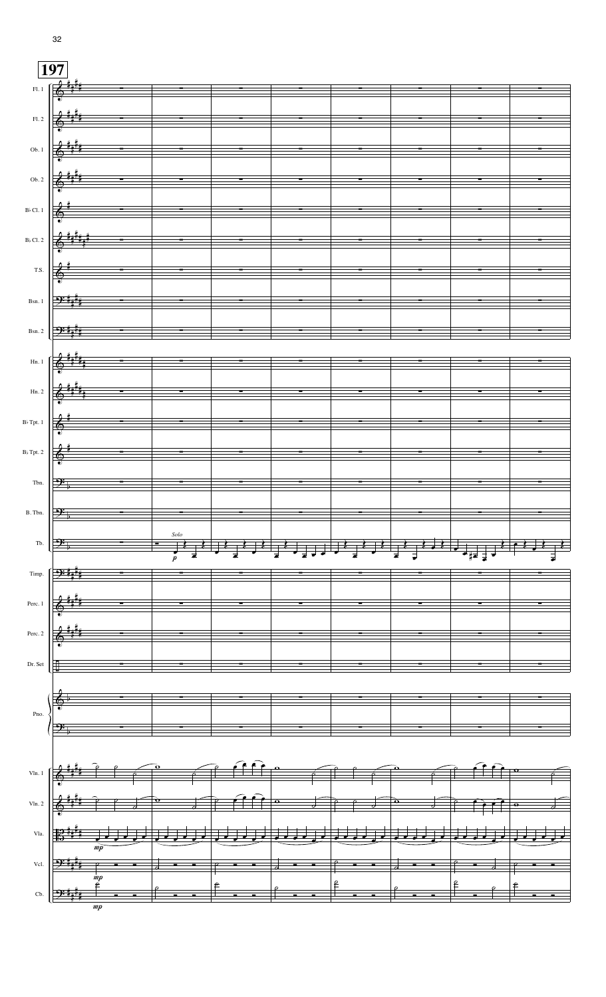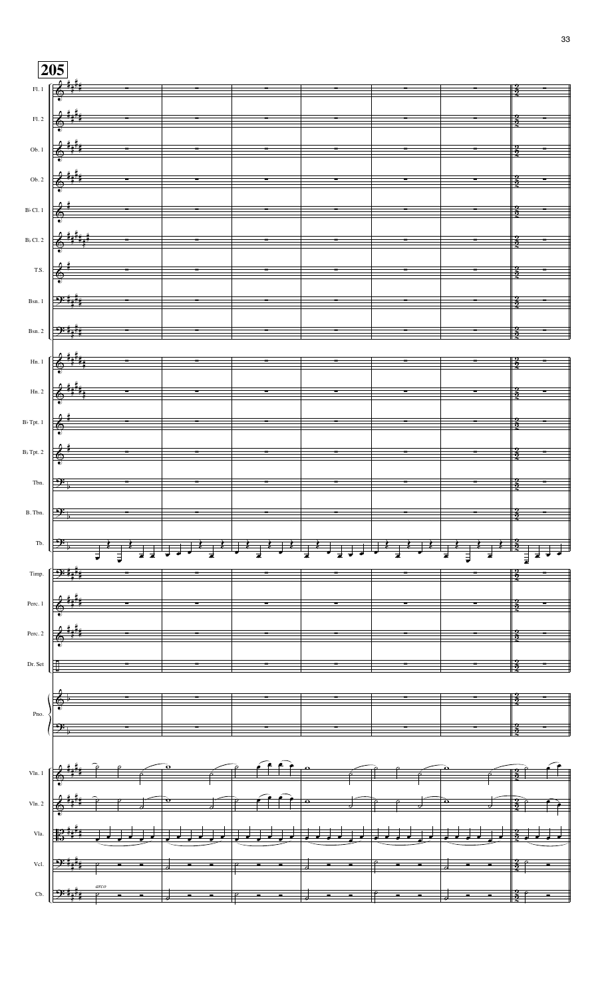|                          | 205                                                                                               |                                                                 |                                                                                                                                                                                                                                                                                                                                                                                                                                            |                |                                                                                                         |                           |                                                                                                                                                                                                                                                                                                                                                                                                                           |               |
|--------------------------|---------------------------------------------------------------------------------------------------|-----------------------------------------------------------------|--------------------------------------------------------------------------------------------------------------------------------------------------------------------------------------------------------------------------------------------------------------------------------------------------------------------------------------------------------------------------------------------------------------------------------------------|----------------|---------------------------------------------------------------------------------------------------------|---------------------------|---------------------------------------------------------------------------------------------------------------------------------------------------------------------------------------------------------------------------------------------------------------------------------------------------------------------------------------------------------------------------------------------------------------------------|---------------|
|                          |                                                                                                   |                                                                 |                                                                                                                                                                                                                                                                                                                                                                                                                                            |                |                                                                                                         |                           |                                                                                                                                                                                                                                                                                                                                                                                                                           |               |
| F1.1                     |                                                                                                   |                                                                 |                                                                                                                                                                                                                                                                                                                                                                                                                                            |                |                                                                                                         |                           |                                                                                                                                                                                                                                                                                                                                                                                                                           |               |
|                          | $F1.2$ $877$                                                                                      |                                                                 | <u> 1989 - Johann Stoff, Amerikaansk politiker (</u>                                                                                                                                                                                                                                                                                                                                                                                       |                |                                                                                                         |                           |                                                                                                                                                                                                                                                                                                                                                                                                                           | 3             |
|                          |                                                                                                   |                                                                 |                                                                                                                                                                                                                                                                                                                                                                                                                                            |                |                                                                                                         |                           |                                                                                                                                                                                                                                                                                                                                                                                                                           |               |
|                          | Ob. 1 $\left  \begin{array}{c} 1 \\ 1 \end{array} \right $                                        | <del>____</del>                                                 |                                                                                                                                                                                                                                                                                                                                                                                                                                            | $\blacksquare$ | Ξ                                                                                                       |                           |                                                                                                                                                                                                                                                                                                                                                                                                                           |               |
|                          |                                                                                                   |                                                                 |                                                                                                                                                                                                                                                                                                                                                                                                                                            |                |                                                                                                         |                           |                                                                                                                                                                                                                                                                                                                                                                                                                           |               |
|                          |                                                                                                   | Ob. 2 $\left  \left\{ \frac{1}{2} \frac{1}{2} \right\} \right $ |                                                                                                                                                                                                                                                                                                                                                                                                                                            |                |                                                                                                         |                           |                                                                                                                                                                                                                                                                                                                                                                                                                           | 3             |
|                          |                                                                                                   |                                                                 |                                                                                                                                                                                                                                                                                                                                                                                                                                            |                |                                                                                                         |                           |                                                                                                                                                                                                                                                                                                                                                                                                                           |               |
| $B\nmid Cl. 1$           |                                                                                                   |                                                                 | $\frac{1}{6}$ $\frac{1}{6}$ $\frac{1}{6}$ $\frac{1}{6}$ $\frac{1}{6}$ $\frac{1}{6}$ $\frac{1}{6}$ $\frac{1}{6}$ $\frac{1}{6}$ $\frac{1}{6}$ $\frac{1}{6}$ $\frac{1}{6}$ $\frac{1}{6}$ $\frac{1}{6}$ $\frac{1}{6}$ $\frac{1}{6}$ $\frac{1}{6}$ $\frac{1}{6}$ $\frac{1}{6}$ $\frac{1}{6}$ $\frac{1}{6}$ $\frac{1}{6}$                                                                                                                        |                |                                                                                                         |                           |                                                                                                                                                                                                                                                                                                                                                                                                                           |               |
|                          |                                                                                                   |                                                                 |                                                                                                                                                                                                                                                                                                                                                                                                                                            |                |                                                                                                         |                           |                                                                                                                                                                                                                                                                                                                                                                                                                           |               |
|                          | $B \triangleright C1.2$ $\frac{2 \frac{4 \frac{4}{3} \frac{4}{3}}{4 \frac{4}{3} \frac{4}{3}}}{2}$ | $\frac{1}{\sqrt{2}}$                                            |                                                                                                                                                                                                                                                                                                                                                                                                                                            |                |                                                                                                         |                           |                                                                                                                                                                                                                                                                                                                                                                                                                           |               |
|                          |                                                                                                   |                                                                 |                                                                                                                                                                                                                                                                                                                                                                                                                                            |                |                                                                                                         |                           |                                                                                                                                                                                                                                                                                                                                                                                                                           |               |
| T.S.                     |                                                                                                   |                                                                 | $\begin{array}{ c c c c c }\hline \begin{array}{ c c c c }\hline \begin{array}{ c c c }\hline \begin{array}{ c c c }\hline \begin{array}{ c c c }\hline \begin{array}{ c c c }\hline \begin{array}{ c c c }\hline \begin{array}{ c c c }\hline \begin{array}{ c c c }\hline \begin{array}{ c c c }\hline \begin{array}{ c c c }\hline \begin{array}{ c c c }\hline \begin{array}{ c c c }\hline \begin{array}{ c c c }\hline \begin{array$ |                |                                                                                                         |                           |                                                                                                                                                                                                                                                                                                                                                                                                                           | $\frac{2}{3}$ |
|                          |                                                                                                   |                                                                 |                                                                                                                                                                                                                                                                                                                                                                                                                                            |                |                                                                                                         |                           |                                                                                                                                                                                                                                                                                                                                                                                                                           |               |
| $_{\rm Bsn.$ $1$         | 9:1.1                                                                                             |                                                                 | 圭                                                                                                                                                                                                                                                                                                                                                                                                                                          |                |                                                                                                         |                           |                                                                                                                                                                                                                                                                                                                                                                                                                           |               |
|                          |                                                                                                   |                                                                 |                                                                                                                                                                                                                                                                                                                                                                                                                                            |                |                                                                                                         |                           |                                                                                                                                                                                                                                                                                                                                                                                                                           | $\frac{2}{3}$ |
| Bsn. 2                   | 9:11                                                                                              |                                                                 | $\equiv$                                                                                                                                                                                                                                                                                                                                                                                                                                   |                |                                                                                                         |                           |                                                                                                                                                                                                                                                                                                                                                                                                                           | $\frac{2}{3}$ |
|                          |                                                                                                   |                                                                 |                                                                                                                                                                                                                                                                                                                                                                                                                                            |                |                                                                                                         |                           |                                                                                                                                                                                                                                                                                                                                                                                                                           |               |
|                          |                                                                                                   |                                                                 |                                                                                                                                                                                                                                                                                                                                                                                                                                            |                |                                                                                                         |                           |                                                                                                                                                                                                                                                                                                                                                                                                                           |               |
|                          | $\frac{Hn.1}{2}$ $\frac{2 \frac{4 \pi}{4} \frac{4}{4}}{4 \frac{4}{4}}$                            |                                                                 |                                                                                                                                                                                                                                                                                                                                                                                                                                            |                |                                                                                                         |                           |                                                                                                                                                                                                                                                                                                                                                                                                                           |               |
|                          | $Hn.2$ $\frac{2}{10}$                                                                             |                                                                 |                                                                                                                                                                                                                                                                                                                                                                                                                                            |                |                                                                                                         |                           |                                                                                                                                                                                                                                                                                                                                                                                                                           |               |
|                          |                                                                                                   |                                                                 |                                                                                                                                                                                                                                                                                                                                                                                                                                            |                |                                                                                                         |                           |                                                                                                                                                                                                                                                                                                                                                                                                                           |               |
|                          |                                                                                                   |                                                                 |                                                                                                                                                                                                                                                                                                                                                                                                                                            |                |                                                                                                         |                           |                                                                                                                                                                                                                                                                                                                                                                                                                           |               |
| $\mathbf{B}\flat$ Tpt. 1 |                                                                                                   | $\overline{\phantom{a}}$                                        |                                                                                                                                                                                                                                                                                                                                                                                                                                            |                |                                                                                                         |                           |                                                                                                                                                                                                                                                                                                                                                                                                                           | 3             |
|                          |                                                                                                   |                                                                 |                                                                                                                                                                                                                                                                                                                                                                                                                                            |                |                                                                                                         |                           |                                                                                                                                                                                                                                                                                                                                                                                                                           |               |
| $\mathbf{B}\flat$ Tpt. 2 |                                                                                                   |                                                                 |                                                                                                                                                                                                                                                                                                                                                                                                                                            |                |                                                                                                         |                           |                                                                                                                                                                                                                                                                                                                                                                                                                           | 3             |
|                          |                                                                                                   |                                                                 |                                                                                                                                                                                                                                                                                                                                                                                                                                            |                |                                                                                                         |                           |                                                                                                                                                                                                                                                                                                                                                                                                                           |               |
| Tbn.                     | $\mathbf{\Theta}^{\mathbf{\cdot}}$                                                                |                                                                 |                                                                                                                                                                                                                                                                                                                                                                                                                                            |                |                                                                                                         |                           |                                                                                                                                                                                                                                                                                                                                                                                                                           |               |
|                          |                                                                                                   |                                                                 |                                                                                                                                                                                                                                                                                                                                                                                                                                            |                |                                                                                                         |                           |                                                                                                                                                                                                                                                                                                                                                                                                                           |               |
| $\operatorname{B}.$ Tbn. | $\Theta^{\mathbf{H}}$                                                                             |                                                                 |                                                                                                                                                                                                                                                                                                                                                                                                                                            |                |                                                                                                         |                           |                                                                                                                                                                                                                                                                                                                                                                                                                           |               |
|                          |                                                                                                   |                                                                 |                                                                                                                                                                                                                                                                                                                                                                                                                                            |                |                                                                                                         |                           |                                                                                                                                                                                                                                                                                                                                                                                                                           |               |
|                          | $\frac{1}{\sqrt{1-\frac{1}{2}}\sqrt{1-\frac{1}{2}}\sqrt{1-\frac{1}{2}}}}$                         |                                                                 |                                                                                                                                                                                                                                                                                                                                                                                                                                            |                |                                                                                                         |                           |                                                                                                                                                                                                                                                                                                                                                                                                                           |               |
|                          |                                                                                                   |                                                                 |                                                                                                                                                                                                                                                                                                                                                                                                                                            |                |                                                                                                         |                           |                                                                                                                                                                                                                                                                                                                                                                                                                           |               |
| $\mbox{Timp.}$           | [9:11]                                                                                            |                                                                 |                                                                                                                                                                                                                                                                                                                                                                                                                                            |                |                                                                                                         |                           |                                                                                                                                                                                                                                                                                                                                                                                                                           |               |
|                          |                                                                                                   |                                                                 |                                                                                                                                                                                                                                                                                                                                                                                                                                            |                |                                                                                                         |                           |                                                                                                                                                                                                                                                                                                                                                                                                                           |               |
|                          |                                                                                                   |                                                                 | Perc. 1 $\theta + \frac{1}{2}$                                                                                                                                                                                                                                                                                                                                                                                                             |                |                                                                                                         |                           |                                                                                                                                                                                                                                                                                                                                                                                                                           |               |
|                          |                                                                                                   |                                                                 |                                                                                                                                                                                                                                                                                                                                                                                                                                            |                |                                                                                                         |                           |                                                                                                                                                                                                                                                                                                                                                                                                                           |               |
|                          |                                                                                                   |                                                                 | Perc. 2 $\theta$ $\frac{1}{2}$ $\frac{1}{2}$ $\frac{1}{2}$ $\frac{1}{2}$ $\frac{1}{2}$ $\frac{1}{2}$ $\frac{1}{2}$ $\frac{1}{2}$ $\frac{1}{2}$ $\frac{1}{2}$ $\frac{1}{2}$ $\frac{1}{2}$ $\frac{1}{2}$ $\frac{1}{2}$ $\frac{1}{2}$ $\frac{1}{2}$ $\frac{1}{2}$ $\frac{1}{2}$ $\frac{1}{2}$ $\frac{1}{2}$ $\frac{1}{2}$                                                                                                                     |                |                                                                                                         |                           |                                                                                                                                                                                                                                                                                                                                                                                                                           | $\frac{2}{3}$ |
|                          |                                                                                                   |                                                                 |                                                                                                                                                                                                                                                                                                                                                                                                                                            |                |                                                                                                         |                           |                                                                                                                                                                                                                                                                                                                                                                                                                           |               |
| Dr. Set $\frac{1}{2}$    |                                                                                                   | <u> 1999 - Andrea Sta</u>                                       |                                                                                                                                                                                                                                                                                                                                                                                                                                            |                |                                                                                                         |                           |                                                                                                                                                                                                                                                                                                                                                                                                                           |               |
|                          |                                                                                                   |                                                                 |                                                                                                                                                                                                                                                                                                                                                                                                                                            |                |                                                                                                         |                           |                                                                                                                                                                                                                                                                                                                                                                                                                           |               |
|                          | $\frac{1}{2}$                                                                                     |                                                                 |                                                                                                                                                                                                                                                                                                                                                                                                                                            |                |                                                                                                         |                           |                                                                                                                                                                                                                                                                                                                                                                                                                           | $\frac{2}{3}$ |
| Pno.                     |                                                                                                   |                                                                 |                                                                                                                                                                                                                                                                                                                                                                                                                                            |                |                                                                                                         |                           |                                                                                                                                                                                                                                                                                                                                                                                                                           |               |
|                          | $\mathbf{P}$                                                                                      |                                                                 |                                                                                                                                                                                                                                                                                                                                                                                                                                            |                |                                                                                                         |                           |                                                                                                                                                                                                                                                                                                                                                                                                                           | $\frac{2}{3}$ |
|                          |                                                                                                   |                                                                 |                                                                                                                                                                                                                                                                                                                                                                                                                                            |                |                                                                                                         |                           |                                                                                                                                                                                                                                                                                                                                                                                                                           |               |
|                          |                                                                                                   |                                                                 |                                                                                                                                                                                                                                                                                                                                                                                                                                            |                |                                                                                                         |                           |                                                                                                                                                                                                                                                                                                                                                                                                                           |               |
|                          |                                                                                                   |                                                                 |                                                                                                                                                                                                                                                                                                                                                                                                                                            |                |                                                                                                         |                           |                                                                                                                                                                                                                                                                                                                                                                                                                           |               |
|                          |                                                                                                   |                                                                 |                                                                                                                                                                                                                                                                                                                                                                                                                                            |                |                                                                                                         |                           |                                                                                                                                                                                                                                                                                                                                                                                                                           |               |
|                          |                                                                                                   |                                                                 |                                                                                                                                                                                                                                                                                                                                                                                                                                            |                |                                                                                                         |                           | VIn. 1 $\frac{1}{\frac{1}{\sqrt{1-\frac{1}{\sqrt{1+\frac{1}{\sqrt{1+\frac{1}{\sqrt{1+\frac{1}{\sqrt{1+\frac{1}{\sqrt{1+\frac{1}{\sqrt{1+\frac{1}{\sqrt{1+\frac{1}{\sqrt{1+\frac{1}{\sqrt{1+\frac{1}{\sqrt{1+\frac{1}{\sqrt{1+\frac{1}{\sqrt{1+\frac{1}{\sqrt{1+\frac{1}{\sqrt{1+\frac{1}{\sqrt{1+\frac{1}{\sqrt{1+\frac{1}{\sqrt{1+\frac{1}{1+\frac{1}{\sqrt{1+\frac{1}{1+\frac{1}{\sqrt{1+\frac{1}{1+\frac{1}{\sqrt{1+\$ |               |
|                          |                                                                                                   |                                                                 |                                                                                                                                                                                                                                                                                                                                                                                                                                            |                |                                                                                                         |                           |                                                                                                                                                                                                                                                                                                                                                                                                                           |               |
| Vla.                     |                                                                                                   |                                                                 |                                                                                                                                                                                                                                                                                                                                                                                                                                            |                |                                                                                                         |                           | $\frac{1}{2}$ , $\frac{1}{2}$ , $\frac{1}{2}$ , $\frac{1}{2}$ , $\frac{1}{2}$ , $\frac{1}{2}$ , $\frac{1}{2}$ , $\frac{1}{2}$ , $\frac{1}{2}$ , $\frac{1}{2}$ , $\frac{1}{2}$ , $\frac{1}{2}$ , $\frac{1}{2}$ , $\frac{1}{2}$ , $\frac{1}{2}$ , $\frac{1}{2}$                                                                                                                                                             |               |
|                          |                                                                                                   |                                                                 |                                                                                                                                                                                                                                                                                                                                                                                                                                            |                |                                                                                                         |                           |                                                                                                                                                                                                                                                                                                                                                                                                                           |               |
| Vcl.                     |                                                                                                   | $\rho$ - - $\rho$                                               |                                                                                                                                                                                                                                                                                                                                                                                                                                            |                | $\overline{\phantom{a}}$                                                                                | $\mathbf{z} = \mathbf{z}$ | $\blacksquare$                                                                                                                                                                                                                                                                                                                                                                                                            | $\frac{2}{2}$ |
|                          |                                                                                                   |                                                                 |                                                                                                                                                                                                                                                                                                                                                                                                                                            |                |                                                                                                         |                           |                                                                                                                                                                                                                                                                                                                                                                                                                           |               |
| C <sub>b</sub> .         |                                                                                                   |                                                                 |                                                                                                                                                                                                                                                                                                                                                                                                                                            |                | $\frac{arco}{\rho}$ - - $\frac{1}{\rho}$ - - $\frac{1}{\rho}$ - - $\frac{1}{\rho}$ - - $\frac{1}{\rho}$ |                           |                                                                                                                                                                                                                                                                                                                                                                                                                           | $\frac{2}{3}$ |
|                          |                                                                                                   |                                                                 |                                                                                                                                                                                                                                                                                                                                                                                                                                            |                |                                                                                                         |                           |                                                                                                                                                                                                                                                                                                                                                                                                                           |               |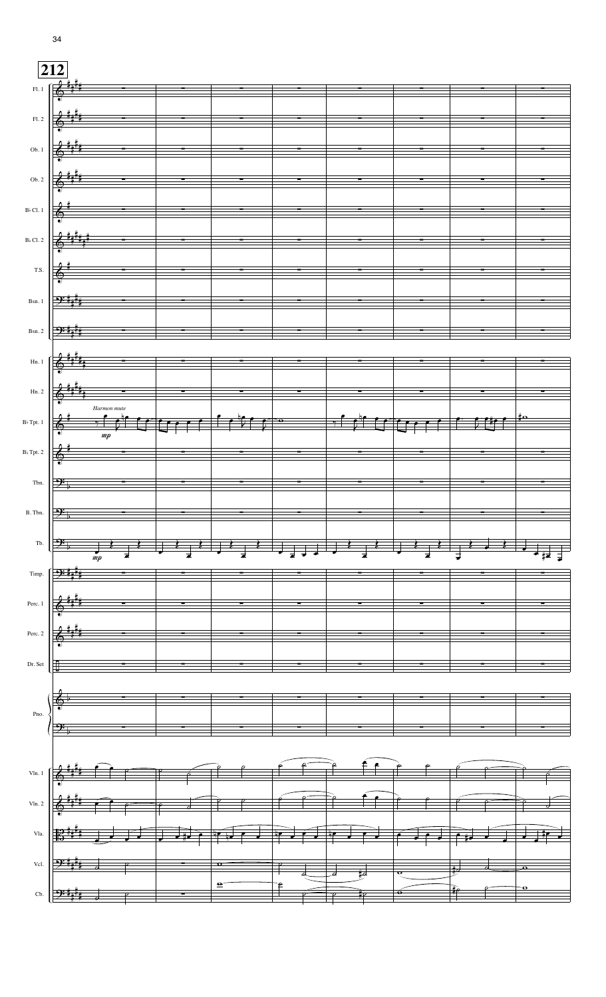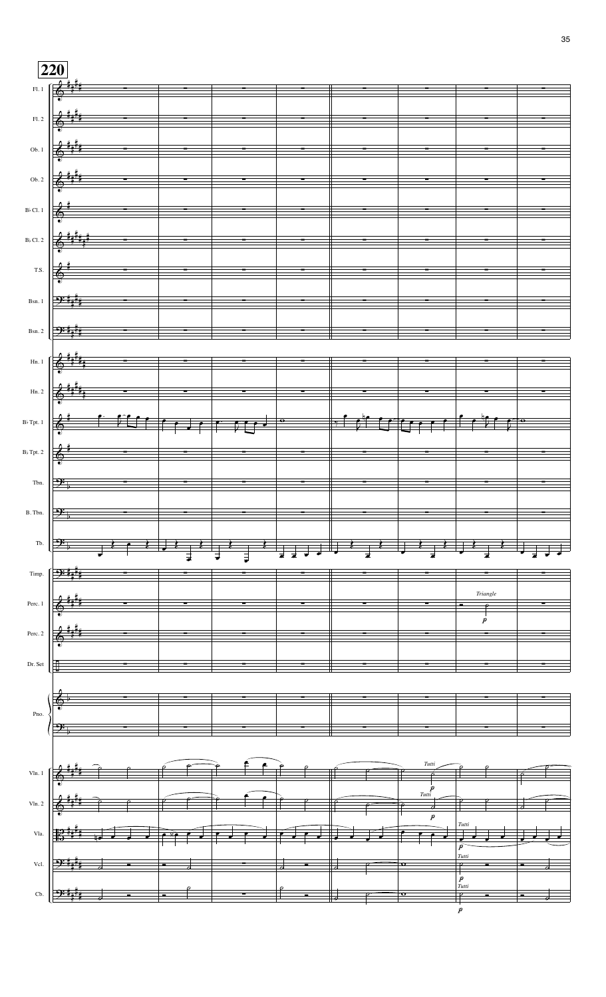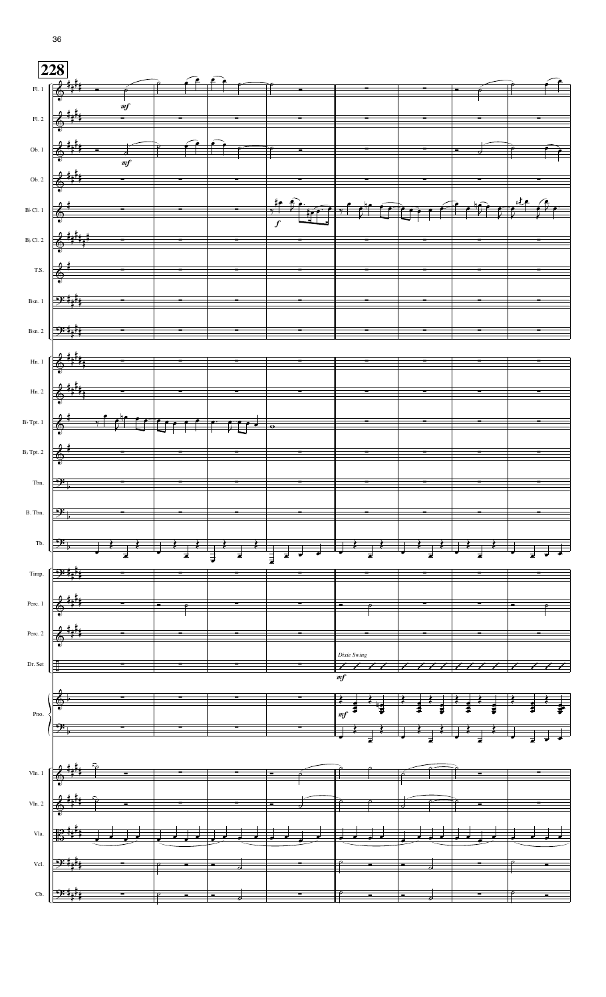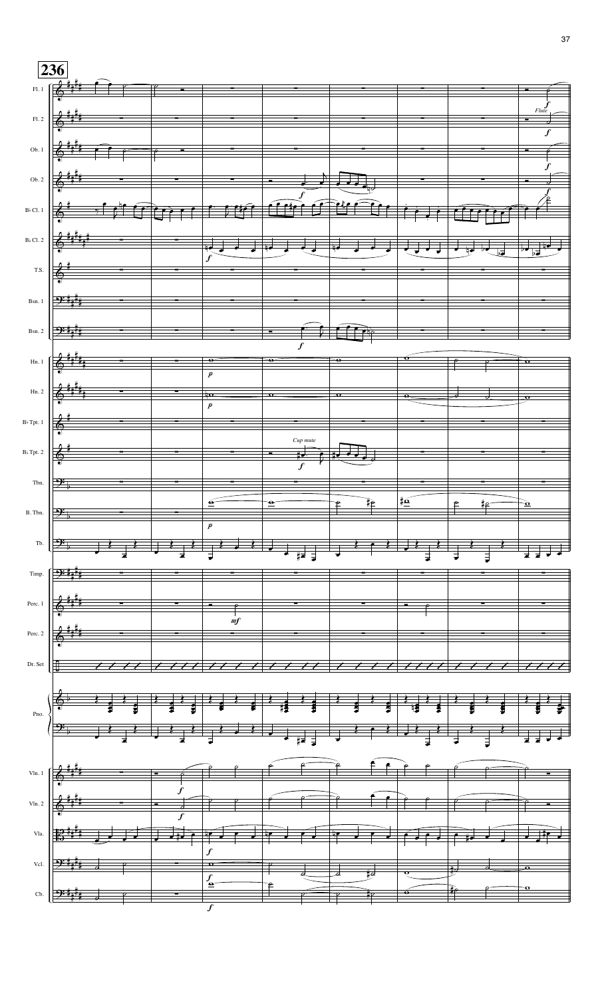|                                  | 236                                   |                               |                                                                          |                           |                                    |                                  |        |                       |
|----------------------------------|---------------------------------------|-------------------------------|--------------------------------------------------------------------------|---------------------------|------------------------------------|----------------------------------|--------|-----------------------|
| F1.1                             |                                       |                               |                                                                          |                           |                                    |                                  |        |                       |
| F1.2                             |                                       |                               |                                                                          |                           |                                    |                                  |        | Flute                 |
|                                  |                                       |                               |                                                                          |                           |                                    |                                  |        | $\mathbf f$           |
| Ob. 1                            |                                       |                               |                                                                          |                           |                                    |                                  |        |                       |
| Ob.2                             |                                       |                               |                                                                          |                           |                                    |                                  |        |                       |
|                                  |                                       |                               |                                                                          |                           |                                    |                                  |        |                       |
| $B\nmid$ Cl. 1                   |                                       |                               |                                                                          |                           |                                    |                                  |        |                       |
| $\mathrm{B}\!\!\downarrow$ Cl. 2 |                                       |                               |                                                                          |                           |                                    |                                  |        |                       |
| T.S.                             |                                       |                               |                                                                          |                           |                                    |                                  |        |                       |
|                                  |                                       |                               |                                                                          |                           |                                    |                                  |        |                       |
| Bsn. 1                           |                                       |                               |                                                                          |                           |                                    |                                  |        |                       |
| Bsn. 2                           |                                       |                               |                                                                          |                           |                                    |                                  |        |                       |
|                                  |                                       |                               |                                                                          |                           |                                    |                                  |        |                       |
| Hn.1                             |                                       |                               | $\bullet$<br>$\boldsymbol{p}$                                            | $\bullet$                 | Θ                                  |                                  |        |                       |
| Hn.2                             |                                       |                               | $\pm \infty$                                                             | $\bullet$                 | $\Omega$                           |                                  |        |                       |
|                                  |                                       |                               | $\boldsymbol{p}$                                                         |                           |                                    |                                  |        |                       |
| $B\nmid Tpt. 1$                  |                                       |                               |                                                                          | $Cup$ mute                |                                    |                                  |        |                       |
| $B\nmid$ Tpt. 2                  |                                       |                               |                                                                          |                           |                                    |                                  |        |                       |
| Tbn.                             | $\frac{1}{2}$                         |                               |                                                                          | f                         |                                    |                                  |        |                       |
|                                  |                                       |                               |                                                                          |                           | $\mathbf{r}_{\boldsymbol{\theta}}$ | ه#                               |        | $\boldsymbol{\sigma}$ |
| $\mathbf B.$ Tbn.                |                                       |                               | $\overline{p}$                                                           |                           |                                    |                                  |        |                       |
| Tb.                              |                                       |                               | $\overline{\phantom{a}}$                                                 |                           | $\frac{4}{\pm}$                    |                                  |        |                       |
|                                  |                                       |                               | $\exists$                                                                | $\frac{1}{12}$<br>$\cdot$ |                                    | ∃                                | ŧ<br>Ţ | ╤╤╤╤╧                 |
| $\mbox{Timp.}$                   |                                       |                               |                                                                          |                           |                                    |                                  |        |                       |
| Perc. $1$                        | $\frac{1}{\sqrt{2}}$                  |                               | $\overline{\phantom{a}}$<br>$\frac{1}{\frac{1}{\frac{1}{n}}\frac{1}{f}}$ |                           |                                    |                                  |        |                       |
| Perc. $2$                        | $\frac{2+\frac{1}{2}}{2}$             |                               |                                                                          |                           |                                    |                                  |        |                       |
|                                  |                                       |                               |                                                                          |                           |                                    |                                  |        |                       |
| Dr. Set                          |                                       |                               |                                                                          |                           |                                    |                                  |        | 777 T                 |
|                                  |                                       |                               |                                                                          |                           |                                    |                                  |        |                       |
| Pno.                             | $\frac{1}{\sqrt{2}}$                  |                               |                                                                          |                           |                                    |                                  |        |                       |
|                                  | $\frac{9}{2}$                         |                               |                                                                          |                           |                                    |                                  |        |                       |
|                                  |                                       |                               |                                                                          |                           |                                    |                                  |        |                       |
|                                  | $\frac{\text{Vln } 1}{\text{Vln } 1}$ | $\blacksquare$                |                                                                          |                           |                                    |                                  |        |                       |
| Vln. 2                           | $\frac{2}{9}$                         | $\equiv$                      |                                                                          |                           |                                    |                                  |        |                       |
|                                  |                                       | $\overline{f}$                |                                                                          |                           |                                    |                                  |        |                       |
| $_{\rm Vla.}$                    |                                       | $\overline{\phantom{a}}$<br>₹ | Þ                                                                        |                           |                                    |                                  |        | <del>ा</del> •        |
| $\mbox{Vcl.}$                    |                                       |                               | $\boldsymbol{f}$<br>$\overline{\mathbf{o}}$                              |                           | $\overline{\sharp}$                |                                  | ٣d     | $\bullet$             |
|                                  |                                       |                               | $\frac{f}{\mathbf{e}}$                                                   |                           |                                    | $\sigma$<br>$\overline{\bullet}$ |        |                       |
| Cb.                              | $\Theta^{\ast}$                       |                               | $\overline{f}$                                                           |                           |                                    |                                  |        |                       |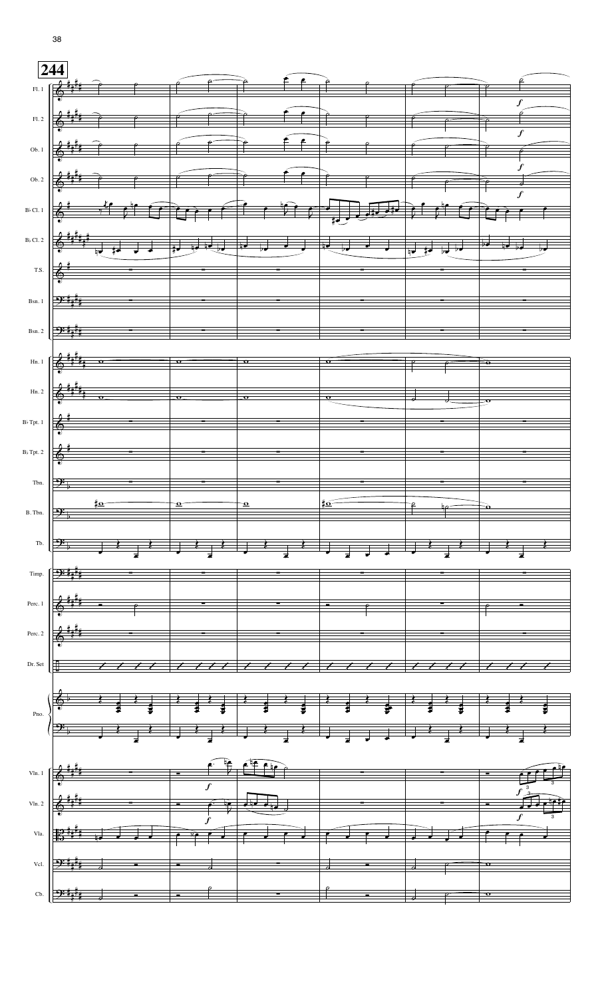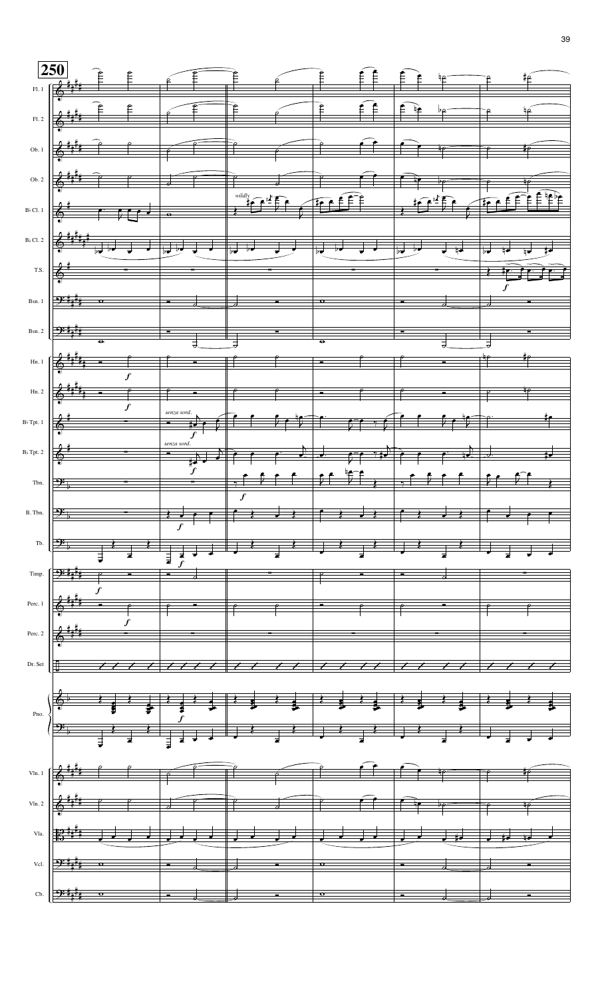|                                                                       | 250 |                                                                                                                                                                                    |          |             |                          |                                                                                                                                                                                                                                          |                                                                                                                                                                                                                                                                                                                                                                                                                          |  |                          |                                                                                                                                                                                                                                                                                                                     |                                                                                                                                                                                                                                                                                                                                                                                                            |
|-----------------------------------------------------------------------|-----|------------------------------------------------------------------------------------------------------------------------------------------------------------------------------------|----------|-------------|--------------------------|------------------------------------------------------------------------------------------------------------------------------------------------------------------------------------------------------------------------------------------|--------------------------------------------------------------------------------------------------------------------------------------------------------------------------------------------------------------------------------------------------------------------------------------------------------------------------------------------------------------------------------------------------------------------------|--|--------------------------|---------------------------------------------------------------------------------------------------------------------------------------------------------------------------------------------------------------------------------------------------------------------------------------------------------------------|------------------------------------------------------------------------------------------------------------------------------------------------------------------------------------------------------------------------------------------------------------------------------------------------------------------------------------------------------------------------------------------------------------|
|                                                                       |     |                                                                                                                                                                                    |          |             |                          |                                                                                                                                                                                                                                          |                                                                                                                                                                                                                                                                                                                                                                                                                          |  |                          |                                                                                                                                                                                                                                                                                                                     |                                                                                                                                                                                                                                                                                                                                                                                                            |
|                                                                       |     |                                                                                                                                                                                    |          |             |                          |                                                                                                                                                                                                                                          |                                                                                                                                                                                                                                                                                                                                                                                                                          |  |                          |                                                                                                                                                                                                                                                                                                                     |                                                                                                                                                                                                                                                                                                                                                                                                            |
| Fl. 2                                                                 |     |                                                                                                                                                                                    |          |             |                          |                                                                                                                                                                                                                                          |                                                                                                                                                                                                                                                                                                                                                                                                                          |  |                          |                                                                                                                                                                                                                                                                                                                     |                                                                                                                                                                                                                                                                                                                                                                                                            |
|                                                                       |     |                                                                                                                                                                                    |          |             |                          |                                                                                                                                                                                                                                          |                                                                                                                                                                                                                                                                                                                                                                                                                          |  |                          |                                                                                                                                                                                                                                                                                                                     |                                                                                                                                                                                                                                                                                                                                                                                                            |
| Ob.1                                                                  |     |                                                                                                                                                                                    |          |             |                          |                                                                                                                                                                                                                                          |                                                                                                                                                                                                                                                                                                                                                                                                                          |  |                          |                                                                                                                                                                                                                                                                                                                     |                                                                                                                                                                                                                                                                                                                                                                                                            |
| Ob. 2                                                                 |     |                                                                                                                                                                                    |          |             |                          |                                                                                                                                                                                                                                          |                                                                                                                                                                                                                                                                                                                                                                                                                          |  |                          |                                                                                                                                                                                                                                                                                                                     |                                                                                                                                                                                                                                                                                                                                                                                                            |
|                                                                       |     |                                                                                                                                                                                    |          |             |                          |                                                                                                                                                                                                                                          |                                                                                                                                                                                                                                                                                                                                                                                                                          |  |                          |                                                                                                                                                                                                                                                                                                                     |                                                                                                                                                                                                                                                                                                                                                                                                            |
| B) Cl. 1                                                              |     |                                                                                                                                                                                    |          |             |                          |                                                                                                                                                                                                                                          |                                                                                                                                                                                                                                                                                                                                                                                                                          |  |                          |                                                                                                                                                                                                                                                                                                                     |                                                                                                                                                                                                                                                                                                                                                                                                            |
|                                                                       |     |                                                                                                                                                                                    |          |             |                          |                                                                                                                                                                                                                                          |                                                                                                                                                                                                                                                                                                                                                                                                                          |  |                          |                                                                                                                                                                                                                                                                                                                     |                                                                                                                                                                                                                                                                                                                                                                                                            |
| $B \triangleright C1.2$                                               |     |                                                                                                                                                                                    |          |             |                          |                                                                                                                                                                                                                                          |                                                                                                                                                                                                                                                                                                                                                                                                                          |  |                          |                                                                                                                                                                                                                                                                                                                     |                                                                                                                                                                                                                                                                                                                                                                                                            |
| T.S.                                                                  |     |                                                                                                                                                                                    |          |             |                          |                                                                                                                                                                                                                                          |                                                                                                                                                                                                                                                                                                                                                                                                                          |  |                          |                                                                                                                                                                                                                                                                                                                     |                                                                                                                                                                                                                                                                                                                                                                                                            |
|                                                                       |     |                                                                                                                                                                                    |          |             |                          |                                                                                                                                                                                                                                          |                                                                                                                                                                                                                                                                                                                                                                                                                          |  |                          |                                                                                                                                                                                                                                                                                                                     |                                                                                                                                                                                                                                                                                                                                                                                                            |
| Bsn. 1                                                                |     |                                                                                                                                                                                    |          |             |                          |                                                                                                                                                                                                                                          |                                                                                                                                                                                                                                                                                                                                                                                                                          |  |                          |                                                                                                                                                                                                                                                                                                                     |                                                                                                                                                                                                                                                                                                                                                                                                            |
|                                                                       |     |                                                                                                                                                                                    |          |             |                          |                                                                                                                                                                                                                                          |                                                                                                                                                                                                                                                                                                                                                                                                                          |  |                          |                                                                                                                                                                                                                                                                                                                     |                                                                                                                                                                                                                                                                                                                                                                                                            |
| Bsn. 2                                                                |     |                                                                                                                                                                                    |          |             |                          |                                                                                                                                                                                                                                          |                                                                                                                                                                                                                                                                                                                                                                                                                          |  |                          |                                                                                                                                                                                                                                                                                                                     |                                                                                                                                                                                                                                                                                                                                                                                                            |
|                                                                       |     |                                                                                                                                                                                    |          |             |                          |                                                                                                                                                                                                                                          |                                                                                                                                                                                                                                                                                                                                                                                                                          |  |                          |                                                                                                                                                                                                                                                                                                                     |                                                                                                                                                                                                                                                                                                                                                                                                            |
| Hn.1                                                                  |     |                                                                                                                                                                                    |          |             |                          |                                                                                                                                                                                                                                          |                                                                                                                                                                                                                                                                                                                                                                                                                          |  |                          |                                                                                                                                                                                                                                                                                                                     |                                                                                                                                                                                                                                                                                                                                                                                                            |
| Hn. 2                                                                 |     |                                                                                                                                                                                    |          |             |                          |                                                                                                                                                                                                                                          |                                                                                                                                                                                                                                                                                                                                                                                                                          |  |                          |                                                                                                                                                                                                                                                                                                                     |                                                                                                                                                                                                                                                                                                                                                                                                            |
|                                                                       |     |                                                                                                                                                                                    |          |             |                          |                                                                                                                                                                                                                                          |                                                                                                                                                                                                                                                                                                                                                                                                                          |  |                          |                                                                                                                                                                                                                                                                                                                     |                                                                                                                                                                                                                                                                                                                                                                                                            |
| $\triangleright$ Tpt. 1                                               |     |                                                                                                                                                                                    |          | senza sora  |                          |                                                                                                                                                                                                                                          |                                                                                                                                                                                                                                                                                                                                                                                                                          |  |                          |                                                                                                                                                                                                                                                                                                                     |                                                                                                                                                                                                                                                                                                                                                                                                            |
|                                                                       |     |                                                                                                                                                                                    |          | senza sord. |                          |                                                                                                                                                                                                                                          |                                                                                                                                                                                                                                                                                                                                                                                                                          |  |                          |                                                                                                                                                                                                                                                                                                                     |                                                                                                                                                                                                                                                                                                                                                                                                            |
| $\frac{1}{2}$ Tpt. 2                                                  |     |                                                                                                                                                                                    |          |             |                          |                                                                                                                                                                                                                                          |                                                                                                                                                                                                                                                                                                                                                                                                                          |  |                          |                                                                                                                                                                                                                                                                                                                     |                                                                                                                                                                                                                                                                                                                                                                                                            |
|                                                                       |     |                                                                                                                                                                                    |          |             |                          |                                                                                                                                                                                                                                          |                                                                                                                                                                                                                                                                                                                                                                                                                          |  |                          |                                                                                                                                                                                                                                                                                                                     |                                                                                                                                                                                                                                                                                                                                                                                                            |
| Tbn.                                                                  |     |                                                                                                                                                                                    |          |             |                          | $\boldsymbol{f}$                                                                                                                                                                                                                         |                                                                                                                                                                                                                                                                                                                                                                                                                          |  |                          |                                                                                                                                                                                                                                                                                                                     |                                                                                                                                                                                                                                                                                                                                                                                                            |
|                                                                       |     |                                                                                                                                                                                    |          |             |                          |                                                                                                                                                                                                                                          |                                                                                                                                                                                                                                                                                                                                                                                                                          |  |                          |                                                                                                                                                                                                                                                                                                                     |                                                                                                                                                                                                                                                                                                                                                                                                            |
|                                                                       |     |                                                                                                                                                                                    |          |             |                          |                                                                                                                                                                                                                                          |                                                                                                                                                                                                                                                                                                                                                                                                                          |  |                          |                                                                                                                                                                                                                                                                                                                     |                                                                                                                                                                                                                                                                                                                                                                                                            |
| $\frac{1}{\sqrt{1-\frac{1}{2}}}\sqrt{\frac{1}{\sqrt{1-\frac{1}{2}}}}$ |     | $\begin{array}{c c c c c} \hline \text{---} & \text{---} & \text{---} & \text{---} \\ \hline \text{---} & \text{---} & \text{---} & \text{---} & \text{---} \\ \hline \end{array}$ |          |             |                          |                                                                                                                                                                                                                                          |                                                                                                                                                                                                                                                                                                                                                                                                                          |  |                          |                                                                                                                                                                                                                                                                                                                     |                                                                                                                                                                                                                                                                                                                                                                                                            |
|                                                                       |     |                                                                                                                                                                                    |          |             |                          |                                                                                                                                                                                                                                          |                                                                                                                                                                                                                                                                                                                                                                                                                          |  |                          |                                                                                                                                                                                                                                                                                                                     |                                                                                                                                                                                                                                                                                                                                                                                                            |
|                                                                       |     |                                                                                                                                                                                    |          |             |                          |                                                                                                                                                                                                                                          |                                                                                                                                                                                                                                                                                                                                                                                                                          |  |                          |                                                                                                                                                                                                                                                                                                                     |                                                                                                                                                                                                                                                                                                                                                                                                            |
|                                                                       |     |                                                                                                                                                                                    |          |             |                          |                                                                                                                                                                                                                                          |                                                                                                                                                                                                                                                                                                                                                                                                                          |  |                          |                                                                                                                                                                                                                                                                                                                     |                                                                                                                                                                                                                                                                                                                                                                                                            |
|                                                                       |     |                                                                                                                                                                                    |          |             |                          | Perc. 1 $\left \begin{array}{ccc} \frac{\partial}{\partial t} & \frac{\partial}{\partial t} & \frac{\partial}{\partial t} \\ \frac{\partial}{\partial t} & \frac{\partial}{\partial t} & \frac{\partial}{\partial t} \end{array}\right $ |                                                                                                                                                                                                                                                                                                                                                                                                                          |  |                          |                                                                                                                                                                                                                                                                                                                     | $\overline{\phantom{a}}$                                                                                                                                                                                                                                                                                                                                                                                   |
|                                                                       |     |                                                                                                                                                                                    |          |             |                          | Perc. 2 $\theta + \frac{1}{2}$                                                                                                                                                                                                           |                                                                                                                                                                                                                                                                                                                                                                                                                          |  |                          |                                                                                                                                                                                                                                                                                                                     |                                                                                                                                                                                                                                                                                                                                                                                                            |
|                                                                       |     |                                                                                                                                                                                    |          |             |                          |                                                                                                                                                                                                                                          |                                                                                                                                                                                                                                                                                                                                                                                                                          |  |                          |                                                                                                                                                                                                                                                                                                                     |                                                                                                                                                                                                                                                                                                                                                                                                            |
| Dr. Set $\frac{1}{2}$                                                 |     |                                                                                                                                                                                    | 11111111 |             |                          | $\overline{\phantom{0}}$                                                                                                                                                                                                                 |                                                                                                                                                                                                                                                                                                                                                                                                                          |  |                          |                                                                                                                                                                                                                                                                                                                     | 111111                                                                                                                                                                                                                                                                                                                                                                                                     |
|                                                                       |     |                                                                                                                                                                                    |          |             |                          |                                                                                                                                                                                                                                          |                                                                                                                                                                                                                                                                                                                                                                                                                          |  |                          |                                                                                                                                                                                                                                                                                                                     |                                                                                                                                                                                                                                                                                                                                                                                                            |
|                                                                       |     |                                                                                                                                                                                    |          |             |                          |                                                                                                                                                                                                                                          |                                                                                                                                                                                                                                                                                                                                                                                                                          |  |                          |                                                                                                                                                                                                                                                                                                                     |                                                                                                                                                                                                                                                                                                                                                                                                            |
|                                                                       |     |                                                                                                                                                                                    |          |             |                          |                                                                                                                                                                                                                                          |                                                                                                                                                                                                                                                                                                                                                                                                                          |  |                          |                                                                                                                                                                                                                                                                                                                     |                                                                                                                                                                                                                                                                                                                                                                                                            |
|                                                                       |     |                                                                                                                                                                                    |          |             |                          |                                                                                                                                                                                                                                          |                                                                                                                                                                                                                                                                                                                                                                                                                          |  |                          |                                                                                                                                                                                                                                                                                                                     |                                                                                                                                                                                                                                                                                                                                                                                                            |
|                                                                       |     |                                                                                                                                                                                    |          |             |                          |                                                                                                                                                                                                                                          |                                                                                                                                                                                                                                                                                                                                                                                                                          |  |                          |                                                                                                                                                                                                                                                                                                                     |                                                                                                                                                                                                                                                                                                                                                                                                            |
|                                                                       |     |                                                                                                                                                                                    |          |             |                          |                                                                                                                                                                                                                                          |                                                                                                                                                                                                                                                                                                                                                                                                                          |  |                          |                                                                                                                                                                                                                                                                                                                     | $V_{\text{In.1}}$ $\left[\begin{array}{ccc ccc} \frac{1}{2} & \frac{1}{2} & \frac{1}{2} & \frac{1}{2} & \frac{1}{2} & \frac{1}{2} & \frac{1}{2} & \frac{1}{2} & \frac{1}{2} & \frac{1}{2} & \frac{1}{2} & \frac{1}{2} & \frac{1}{2} & \frac{1}{2} & \frac{1}{2} & \frac{1}{2} & \frac{1}{2} & \frac{1}{2} & \frac{1}{2} & \frac{1}{2} & \frac{1}{2} & \frac{1}{2} & \frac{1}{2} & \frac{1}{2} & \frac{1}{$ |
|                                                                       |     |                                                                                                                                                                                    |          |             |                          |                                                                                                                                                                                                                                          |                                                                                                                                                                                                                                                                                                                                                                                                                          |  |                          |                                                                                                                                                                                                                                                                                                                     |                                                                                                                                                                                                                                                                                                                                                                                                            |
|                                                                       |     |                                                                                                                                                                                    |          |             |                          |                                                                                                                                                                                                                                          |                                                                                                                                                                                                                                                                                                                                                                                                                          |  |                          |                                                                                                                                                                                                                                                                                                                     | $Vln.2$ $\left \begin{array}{ccc ccc} 0 & 0 & 0 & 0 & 0 \\ 0 & 0 & 0 & 0 & 0 \\ 0 & 0 & 0 & 0 & 0 \\ \end{array}\right $                                                                                                                                                                                                                                                                                   |
| $_{\rm Vla.}$                                                         |     |                                                                                                                                                                                    |          |             | $\overline{\phantom{a}}$ |                                                                                                                                                                                                                                          | $\frac{1}{2}$ , $\frac{1}{2}$ , $\frac{1}{2}$ , $\frac{1}{2}$                                                                                                                                                                                                                                                                                                                                                            |  |                          | $\frac{1}{2}$ $\frac{1}{2}$ $\frac{1}{2}$ $\frac{1}{2}$ $\frac{1}{2}$ $\frac{1}{2}$ $\frac{1}{2}$ $\frac{1}{2}$                                                                                                                                                                                                     |                                                                                                                                                                                                                                                                                                                                                                                                            |
|                                                                       |     |                                                                                                                                                                                    |          |             |                          |                                                                                                                                                                                                                                          |                                                                                                                                                                                                                                                                                                                                                                                                                          |  |                          |                                                                                                                                                                                                                                                                                                                     |                                                                                                                                                                                                                                                                                                                                                                                                            |
| $\mbox{\rm Vol}.$                                                     |     | $\overline{\mathbf{o}}$                                                                                                                                                            |          |             | $\frac{1}{\sqrt{2}}$     |                                                                                                                                                                                                                                          | $\begin{array}{ c c c c }\n\hline\n\textbf{.} & \textbf{0} & \textbf{0} & \textbf{0} & \textbf{0} & \textbf{0} & \textbf{0} & \textbf{0} & \textbf{0} & \textbf{0} & \textbf{0} & \textbf{0} & \textbf{0} & \textbf{0} & \textbf{0} & \textbf{0} & \textbf{0} & \textbf{0} & \textbf{0} & \textbf{0} & \textbf{0} & \textbf{0} & \textbf{0} & \textbf{0} & \textbf{0} & \textbf{0} & \textbf{0} & \textbf{0} & \textbf{$ |  | $\overline{\phantom{a}}$ |                                                                                                                                                                                                                                                                                                                     |                                                                                                                                                                                                                                                                                                                                                                                                            |
|                                                                       |     |                                                                                                                                                                                    |          |             |                          |                                                                                                                                                                                                                                          |                                                                                                                                                                                                                                                                                                                                                                                                                          |  |                          |                                                                                                                                                                                                                                                                                                                     |                                                                                                                                                                                                                                                                                                                                                                                                            |
| $\mathrm{Cb.}$                                                        |     |                                                                                                                                                                                    |          |             |                          |                                                                                                                                                                                                                                          |                                                                                                                                                                                                                                                                                                                                                                                                                          |  |                          | $\frac{1}{2}$ $\frac{1}{2}$ $\frac{1}{2}$ $\frac{1}{2}$ $\frac{1}{2}$ $\frac{1}{2}$ $\frac{1}{2}$ $\frac{1}{2}$ $\frac{1}{2}$ $\frac{1}{2}$ $\frac{1}{2}$ $\frac{1}{2}$ $\frac{1}{2}$ $\frac{1}{2}$ $\frac{1}{2}$ $\frac{1}{2}$ $\frac{1}{2}$ $\frac{1}{2}$ $\frac{1}{2}$ $\frac{1}{2}$ $\frac{1}{2}$ $\frac{1}{2}$ |                                                                                                                                                                                                                                                                                                                                                                                                            |

 $\overline{B}$ 

 $\overline{B}$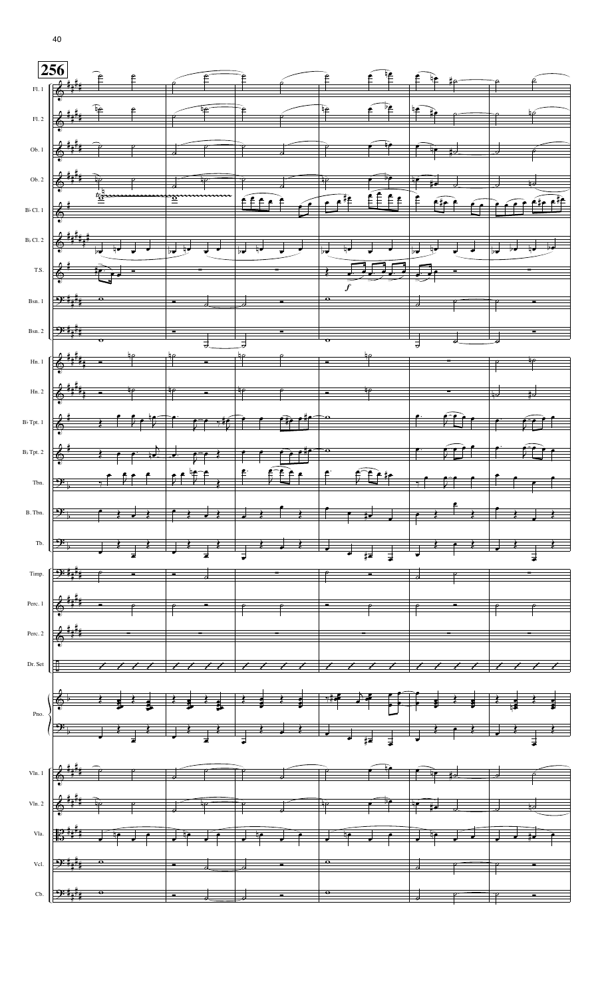

|                           | 256 |  |  |              |                                                                                                                                                                                                                                                                                                                                                                                                                 |  |                                                                                                                                                                                                                                                                                                                                                                                                                                   |
|---------------------------|-----|--|--|--------------|-----------------------------------------------------------------------------------------------------------------------------------------------------------------------------------------------------------------------------------------------------------------------------------------------------------------------------------------------------------------------------------------------------------------|--|-----------------------------------------------------------------------------------------------------------------------------------------------------------------------------------------------------------------------------------------------------------------------------------------------------------------------------------------------------------------------------------------------------------------------------------|
|                           |     |  |  |              |                                                                                                                                                                                                                                                                                                                                                                                                                 |  |                                                                                                                                                                                                                                                                                                                                                                                                                                   |
| Fl. 2                     |     |  |  |              |                                                                                                                                                                                                                                                                                                                                                                                                                 |  |                                                                                                                                                                                                                                                                                                                                                                                                                                   |
| Ob. 1                     |     |  |  |              |                                                                                                                                                                                                                                                                                                                                                                                                                 |  |                                                                                                                                                                                                                                                                                                                                                                                                                                   |
| Ob.2                      |     |  |  |              |                                                                                                                                                                                                                                                                                                                                                                                                                 |  |                                                                                                                                                                                                                                                                                                                                                                                                                                   |
| $\mathbf{B}\flat$ Cl. 1   |     |  |  |              |                                                                                                                                                                                                                                                                                                                                                                                                                 |  |                                                                                                                                                                                                                                                                                                                                                                                                                                   |
|                           |     |  |  |              |                                                                                                                                                                                                                                                                                                                                                                                                                 |  |                                                                                                                                                                                                                                                                                                                                                                                                                                   |
| $\mathbf{B}\flat$ Cl. 2   |     |  |  |              |                                                                                                                                                                                                                                                                                                                                                                                                                 |  |                                                                                                                                                                                                                                                                                                                                                                                                                                   |
| T.S.                      |     |  |  |              |                                                                                                                                                                                                                                                                                                                                                                                                                 |  |                                                                                                                                                                                                                                                                                                                                                                                                                                   |
| Bsn. 1                    |     |  |  |              |                                                                                                                                                                                                                                                                                                                                                                                                                 |  |                                                                                                                                                                                                                                                                                                                                                                                                                                   |
| Bsn. 2                    |     |  |  |              |                                                                                                                                                                                                                                                                                                                                                                                                                 |  |                                                                                                                                                                                                                                                                                                                                                                                                                                   |
|                           |     |  |  |              |                                                                                                                                                                                                                                                                                                                                                                                                                 |  |                                                                                                                                                                                                                                                                                                                                                                                                                                   |
| Hn. 2                     |     |  |  |              |                                                                                                                                                                                                                                                                                                                                                                                                                 |  |                                                                                                                                                                                                                                                                                                                                                                                                                                   |
| $B \triangleright$ Tpt. 1 |     |  |  |              |                                                                                                                                                                                                                                                                                                                                                                                                                 |  |                                                                                                                                                                                                                                                                                                                                                                                                                                   |
| $B \triangleright$ Tpt. 2 |     |  |  | <u> Frif</u> |                                                                                                                                                                                                                                                                                                                                                                                                                 |  |                                                                                                                                                                                                                                                                                                                                                                                                                                   |
| Tbn.                      |     |  |  |              |                                                                                                                                                                                                                                                                                                                                                                                                                 |  |                                                                                                                                                                                                                                                                                                                                                                                                                                   |
| B. Tbn.                   |     |  |  |              |                                                                                                                                                                                                                                                                                                                                                                                                                 |  |                                                                                                                                                                                                                                                                                                                                                                                                                                   |
|                           |     |  |  |              |                                                                                                                                                                                                                                                                                                                                                                                                                 |  |                                                                                                                                                                                                                                                                                                                                                                                                                                   |
|                           |     |  |  |              | The $\left[\begin{array}{cccccccccccccc} \frac{1}{2} & \frac{1}{2} & \frac{1}{2} & \frac{1}{2} & \frac{1}{2} & \frac{1}{2} & \frac{1}{2} & \frac{1}{2} & \frac{1}{2} & \frac{1}{2} & \frac{1}{2} & \frac{1}{2} & \frac{1}{2} & \frac{1}{2} & \frac{1}{2} & \frac{1}{2} & \frac{1}{2} & \frac{1}{2} & \frac{1}{2} & \frac{1}{2} & \frac{1}{2} & \frac{1}{2} & \frac{1}{2} & \frac{1}{2} & \frac{1}{2} & \frac{1$ |  |                                                                                                                                                                                                                                                                                                                                                                                                                                   |
| Timp.                     |     |  |  |              |                                                                                                                                                                                                                                                                                                                                                                                                                 |  |                                                                                                                                                                                                                                                                                                                                                                                                                                   |
| Perc. $1$                 |     |  |  |              |                                                                                                                                                                                                                                                                                                                                                                                                                 |  |                                                                                                                                                                                                                                                                                                                                                                                                                                   |
|                           |     |  |  |              | Perc. 2 $\left  \bigotimes_{i=1}^{\infty} \frac{\frac{1}{n} \frac{1}{n} \frac{1}{n}}{1} \right $                                                                                                                                                                                                                                                                                                                |  |                                                                                                                                                                                                                                                                                                                                                                                                                                   |
| Dr. Set                   |     |  |  |              |                                                                                                                                                                                                                                                                                                                                                                                                                 |  | ///////////                                                                                                                                                                                                                                                                                                                                                                                                                       |
|                           |     |  |  |              |                                                                                                                                                                                                                                                                                                                                                                                                                 |  |                                                                                                                                                                                                                                                                                                                                                                                                                                   |
|                           |     |  |  |              |                                                                                                                                                                                                                                                                                                                                                                                                                 |  |                                                                                                                                                                                                                                                                                                                                                                                                                                   |
|                           |     |  |  |              |                                                                                                                                                                                                                                                                                                                                                                                                                 |  |                                                                                                                                                                                                                                                                                                                                                                                                                                   |
|                           |     |  |  |              | $V_{\text{In.1}}$ $\left[\begin{array}{ccc} \frac{1}{2} & \frac{1}{2} & \frac{1}{2} & \frac{1}{2} & \frac{1}{2} & \frac{1}{2} & \frac{1}{2} & \frac{1}{2} & \frac{1}{2} & \frac{1}{2} & \frac{1}{2} & \frac{1}{2} & \frac{1}{2} & \frac{1}{2} & \frac{1}{2} & \frac{1}{2} & \frac{1}{2} & \frac{1}{2} & \frac{1}{2} & \frac{1}{2} & \frac{1}{2} & \frac{1}{2} & \frac{1}{2} & \frac{1}{2} & \frac{1}{2}$        |  |                                                                                                                                                                                                                                                                                                                                                                                                                                   |
|                           |     |  |  |              | $Vln.2$ $\left \begin{array}{ccc} \frac{\partial}{\partial t} & \frac{\partial}{\partial t} & \frac{\partial}{\partial t} & \frac{\partial}{\partial t} & \frac{\partial}{\partial t} \\ 0 & 0 & 0 & 0 \end{array}\right $                                                                                                                                                                                      |  |                                                                                                                                                                                                                                                                                                                                                                                                                                   |
| Vla.                      |     |  |  |              |                                                                                                                                                                                                                                                                                                                                                                                                                 |  |                                                                                                                                                                                                                                                                                                                                                                                                                                   |
| Vcl.                      |     |  |  |              | $\left  \frac{1}{2} \frac{1}{2} \frac{1}{2} \frac{1}{2} \frac{1}{2} \frac{1}{2} \frac{1}{2} \frac{1}{2} \frac{1}{2} \frac{1}{2} \frac{1}{2} \frac{1}{2} \frac{1}{2} \frac{1}{2} \frac{1}{2} \frac{1}{2} \frac{1}{2} \frac{1}{2} \frac{1}{2} \frac{1}{2} \frac{1}{2} \frac{1}{2} \frac{1}{2} \frac{1}{2} \frac{1}{2} \frac{1}{2} \frac{1}{2} \frac{1}{2} \frac{1}{2} \frac{1}{2} \frac{1}{2}$                    |  |                                                                                                                                                                                                                                                                                                                                                                                                                                   |
|                           |     |  |  |              |                                                                                                                                                                                                                                                                                                                                                                                                                 |  | $\frac{1}{\sqrt{1-\frac{1}{\sqrt{1-\frac{1}{\sqrt{1-\frac{1}{\sqrt{1-\frac{1}{\sqrt{1-\frac{1}{\sqrt{1-\frac{1}{\sqrt{1-\frac{1}{\sqrt{1-\frac{1}{\sqrt{1-\frac{1}{\sqrt{1-\frac{1}{\sqrt{1-\frac{1}{\sqrt{1-\frac{1}{\sqrt{1-\frac{1}{\sqrt{1-\frac{1}{\sqrt{1-\frac{1}{\sqrt{1-\frac{1}{\sqrt{1-\frac{1}{\sqrt{1-\frac{1}{\sqrt{1-\frac{1}{\sqrt{1-\frac{1}{\sqrt{1-\frac{1}{\sqrt{1-\frac{1}{\sqrt{1-\frac{1}{\sqrt{1-\frac{1$ |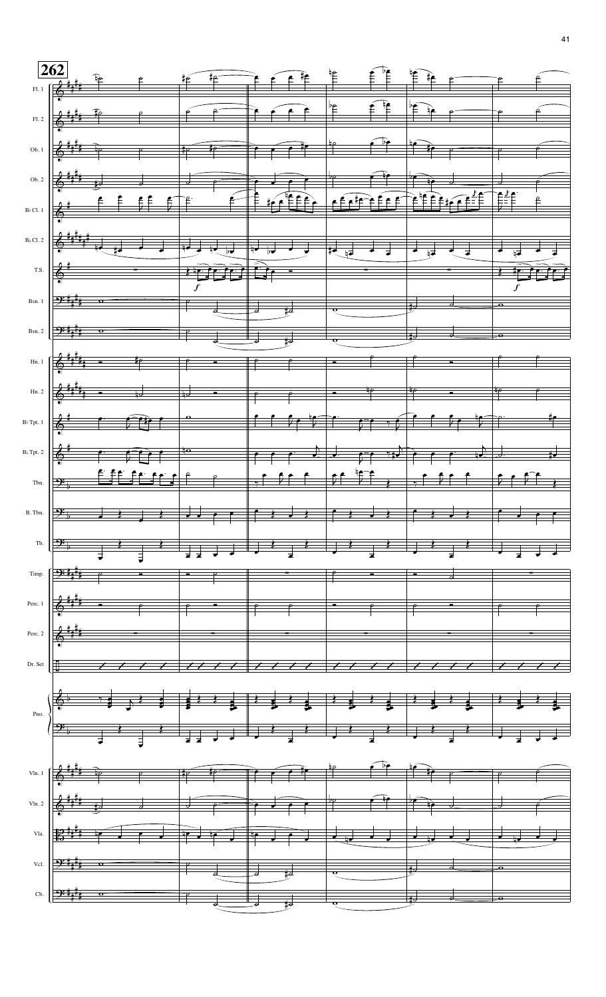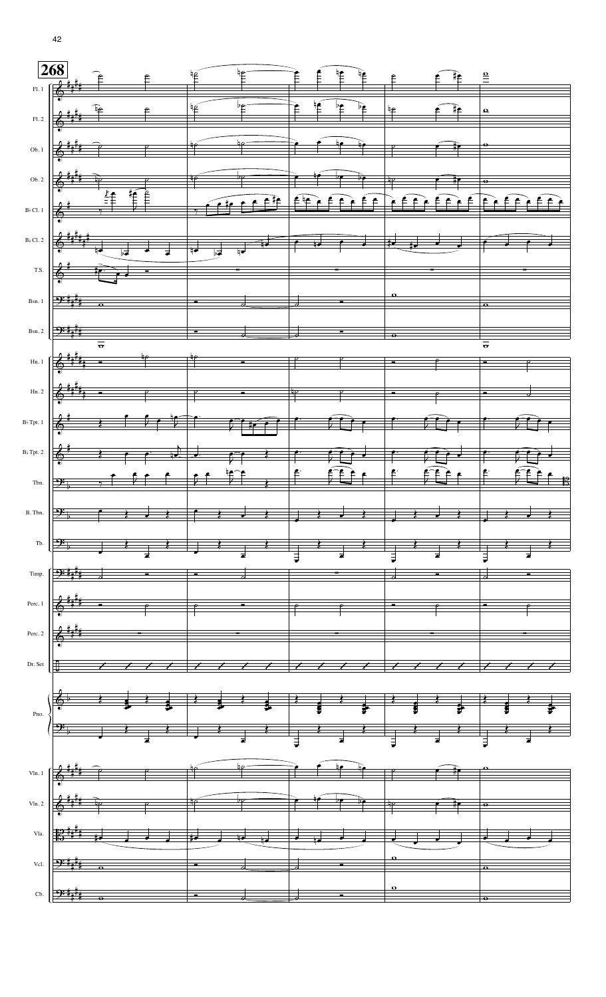

|                         | 268          |                                                                                                              |  |                                                                                                                                                                                                                                                                                                                                                                                                                                                                                                                                                                                                                                                     |                                                                                     |                                                                                                                                                                                                                                                                                                                                                                                                            |                                                                                                                                                                                                                                                                                                                                                                                                        |
|-------------------------|--------------|--------------------------------------------------------------------------------------------------------------|--|-----------------------------------------------------------------------------------------------------------------------------------------------------------------------------------------------------------------------------------------------------------------------------------------------------------------------------------------------------------------------------------------------------------------------------------------------------------------------------------------------------------------------------------------------------------------------------------------------------------------------------------------------------|-------------------------------------------------------------------------------------|------------------------------------------------------------------------------------------------------------------------------------------------------------------------------------------------------------------------------------------------------------------------------------------------------------------------------------------------------------------------------------------------------------|--------------------------------------------------------------------------------------------------------------------------------------------------------------------------------------------------------------------------------------------------------------------------------------------------------------------------------------------------------------------------------------------------------|
|                         |              |                                                                                                              |  |                                                                                                                                                                                                                                                                                                                                                                                                                                                                                                                                                                                                                                                     |                                                                                     |                                                                                                                                                                                                                                                                                                                                                                                                            |                                                                                                                                                                                                                                                                                                                                                                                                        |
| F1.2                    |              |                                                                                                              |  |                                                                                                                                                                                                                                                                                                                                                                                                                                                                                                                                                                                                                                                     |                                                                                     |                                                                                                                                                                                                                                                                                                                                                                                                            |                                                                                                                                                                                                                                                                                                                                                                                                        |
| Ob. 1                   |              |                                                                                                              |  |                                                                                                                                                                                                                                                                                                                                                                                                                                                                                                                                                                                                                                                     |                                                                                     |                                                                                                                                                                                                                                                                                                                                                                                                            |                                                                                                                                                                                                                                                                                                                                                                                                        |
| Ob. 2                   |              |                                                                                                              |  |                                                                                                                                                                                                                                                                                                                                                                                                                                                                                                                                                                                                                                                     |                                                                                     |                                                                                                                                                                                                                                                                                                                                                                                                            |                                                                                                                                                                                                                                                                                                                                                                                                        |
|                         |              | $\begin{array}{c c c c} \hline \overline{\mathbf{y}} & \mathbf{h} & \mathbf{h} \\ \hline \hline \end{array}$ |  |                                                                                                                                                                                                                                                                                                                                                                                                                                                                                                                                                                                                                                                     |                                                                                     |                                                                                                                                                                                                                                                                                                                                                                                                            |                                                                                                                                                                                                                                                                                                                                                                                                        |
| $\mathbf{B}\flat$ Cl. 1 |              |                                                                                                              |  |                                                                                                                                                                                                                                                                                                                                                                                                                                                                                                                                                                                                                                                     |                                                                                     |                                                                                                                                                                                                                                                                                                                                                                                                            |                                                                                                                                                                                                                                                                                                                                                                                                        |
| $\mathbf{B}\flat$ Cl. 2 |              |                                                                                                              |  |                                                                                                                                                                                                                                                                                                                                                                                                                                                                                                                                                                                                                                                     |                                                                                     |                                                                                                                                                                                                                                                                                                                                                                                                            |                                                                                                                                                                                                                                                                                                                                                                                                        |
| T.S.                    |              |                                                                                                              |  |                                                                                                                                                                                                                                                                                                                                                                                                                                                                                                                                                                                                                                                     |                                                                                     |                                                                                                                                                                                                                                                                                                                                                                                                            |                                                                                                                                                                                                                                                                                                                                                                                                        |
|                         | Bsn. 1 $9:1$ |                                                                                                              |  |                                                                                                                                                                                                                                                                                                                                                                                                                                                                                                                                                                                                                                                     |                                                                                     |                                                                                                                                                                                                                                                                                                                                                                                                            |                                                                                                                                                                                                                                                                                                                                                                                                        |
| $_{\rm Bsn. \, 2}$      |              |                                                                                                              |  |                                                                                                                                                                                                                                                                                                                                                                                                                                                                                                                                                                                                                                                     |                                                                                     |                                                                                                                                                                                                                                                                                                                                                                                                            |                                                                                                                                                                                                                                                                                                                                                                                                        |
|                         |              |                                                                                                              |  |                                                                                                                                                                                                                                                                                                                                                                                                                                                                                                                                                                                                                                                     |                                                                                     |                                                                                                                                                                                                                                                                                                                                                                                                            |                                                                                                                                                                                                                                                                                                                                                                                                        |
| Hn. 1                   |              |                                                                                                              |  |                                                                                                                                                                                                                                                                                                                                                                                                                                                                                                                                                                                                                                                     |                                                                                     |                                                                                                                                                                                                                                                                                                                                                                                                            |                                                                                                                                                                                                                                                                                                                                                                                                        |
| Hn. 2                   |              |                                                                                                              |  |                                                                                                                                                                                                                                                                                                                                                                                                                                                                                                                                                                                                                                                     |                                                                                     |                                                                                                                                                                                                                                                                                                                                                                                                            |                                                                                                                                                                                                                                                                                                                                                                                                        |
| $B\overline{b}$ Tpt. 1  |              |                                                                                                              |  |                                                                                                                                                                                                                                                                                                                                                                                                                                                                                                                                                                                                                                                     |                                                                                     |                                                                                                                                                                                                                                                                                                                                                                                                            |                                                                                                                                                                                                                                                                                                                                                                                                        |
| $B\overline{b}$ Tpt. 2  |              |                                                                                                              |  |                                                                                                                                                                                                                                                                                                                                                                                                                                                                                                                                                                                                                                                     |                                                                                     |                                                                                                                                                                                                                                                                                                                                                                                                            |                                                                                                                                                                                                                                                                                                                                                                                                        |
| Tbn.                    |              |                                                                                                              |  |                                                                                                                                                                                                                                                                                                                                                                                                                                                                                                                                                                                                                                                     |                                                                                     |                                                                                                                                                                                                                                                                                                                                                                                                            |                                                                                                                                                                                                                                                                                                                                                                                                        |
|                         |              |                                                                                                              |  |                                                                                                                                                                                                                                                                                                                                                                                                                                                                                                                                                                                                                                                     |                                                                                     |                                                                                                                                                                                                                                                                                                                                                                                                            |                                                                                                                                                                                                                                                                                                                                                                                                        |
|                         |              |                                                                                                              |  |                                                                                                                                                                                                                                                                                                                                                                                                                                                                                                                                                                                                                                                     |                                                                                     |                                                                                                                                                                                                                                                                                                                                                                                                            | B. Tbn. $\boxed{9}$ , $\boxed{1}$ , $\boxed{1}$ , $\boxed{1}$ , $\boxed{1}$ , $\boxed{1}$ , $\boxed{1}$ , $\boxed{1}$ , $\boxed{1}$ , $\boxed{1}$ , $\boxed{1}$ , $\boxed{1}$ , $\boxed{1}$ , $\boxed{1}$ , $\boxed{1}$ , $\boxed{1}$ , $\boxed{1}$ , $\boxed{1}$ , $\boxed{1}$ , $\boxed{1}$ , $\boxed{1}$ , $\boxed$                                                                                 |
|                         |              |                                                                                                              |  |                                                                                                                                                                                                                                                                                                                                                                                                                                                                                                                                                                                                                                                     |                                                                                     |                                                                                                                                                                                                                                                                                                                                                                                                            |                                                                                                                                                                                                                                                                                                                                                                                                        |
|                         |              |                                                                                                              |  | Timp. $\left[\begin{array}{ccc} \frac{\bullet}{\bullet} & \frac{\bullet}{\bullet} & \frac{\bullet}{\bullet} & \frac{\bullet}{\bullet} & \frac{\bullet}{\bullet} & \frac{\bullet}{\bullet} & \frac{\bullet}{\bullet} & \frac{\bullet}{\bullet} & \frac{\bullet}{\bullet} & \frac{\bullet}{\bullet} & \frac{\bullet}{\bullet} & \frac{\bullet}{\bullet} & \frac{\bullet}{\bullet} & \frac{\bullet}{\bullet} & \frac{\bullet}{\bullet} & \frac{\bullet}{\bullet} & \frac{\bullet}{\bullet} & \frac{\bullet}{\bullet} & \frac{\bullet}{\bullet} & \frac{\bullet}{\bullet} & \frac{\bullet}{\bullet} & \frac{\bullet}{\bullet} & \frac{\bullet}{\bullet$ | $\begin{array}{ c c c c c }\hline \textbf{1} & \textbf{0} & \textbf{0} \end{array}$ | $\overline{\phantom{a}}$                                                                                                                                                                                                                                                                                                                                                                                   |                                                                                                                                                                                                                                                                                                                                                                                                        |
|                         |              |                                                                                                              |  |                                                                                                                                                                                                                                                                                                                                                                                                                                                                                                                                                                                                                                                     |                                                                                     |                                                                                                                                                                                                                                                                                                                                                                                                            | Perc. 1 $\theta$ $\frac{1}{2}$ $\frac{1}{2}$ $\frac{1}{2}$ $\frac{1}{2}$ $\frac{1}{2}$ $\frac{1}{2}$ $\frac{1}{2}$ $\frac{1}{2}$ $\frac{1}{2}$ $\frac{1}{2}$ $\frac{1}{2}$ $\frac{1}{2}$ $\frac{1}{2}$ $\frac{1}{2}$ $\frac{1}{2}$ $\frac{1}{2}$ $\frac{1}{2}$ $\frac{1}{2}$ $\frac{1}{2}$ $\frac{1}{2}$ $\frac{1}{2}$                                                                                 |
|                         |              |                                                                                                              |  |                                                                                                                                                                                                                                                                                                                                                                                                                                                                                                                                                                                                                                                     |                                                                                     |                                                                                                                                                                                                                                                                                                                                                                                                            |                                                                                                                                                                                                                                                                                                                                                                                                        |
|                         |              |                                                                                                              |  | Perc. 2 $\frac{1}{2}$                                                                                                                                                                                                                                                                                                                                                                                                                                                                                                                                                                                                                               |                                                                                     |                                                                                                                                                                                                                                                                                                                                                                                                            |                                                                                                                                                                                                                                                                                                                                                                                                        |
| Dr. Set                 |              |                                                                                                              |  |                                                                                                                                                                                                                                                                                                                                                                                                                                                                                                                                                                                                                                                     |                                                                                     |                                                                                                                                                                                                                                                                                                                                                                                                            | 111111                                                                                                                                                                                                                                                                                                                                                                                                 |
|                         |              |                                                                                                              |  |                                                                                                                                                                                                                                                                                                                                                                                                                                                                                                                                                                                                                                                     |                                                                                     |                                                                                                                                                                                                                                                                                                                                                                                                            |                                                                                                                                                                                                                                                                                                                                                                                                        |
|                         |              |                                                                                                              |  |                                                                                                                                                                                                                                                                                                                                                                                                                                                                                                                                                                                                                                                     |                                                                                     |                                                                                                                                                                                                                                                                                                                                                                                                            |                                                                                                                                                                                                                                                                                                                                                                                                        |
|                         |              |                                                                                                              |  |                                                                                                                                                                                                                                                                                                                                                                                                                                                                                                                                                                                                                                                     |                                                                                     |                                                                                                                                                                                                                                                                                                                                                                                                            |                                                                                                                                                                                                                                                                                                                                                                                                        |
|                         |              |                                                                                                              |  |                                                                                                                                                                                                                                                                                                                                                                                                                                                                                                                                                                                                                                                     |                                                                                     | $V_{\text{In.1}}$ $\left[\begin{array}{ccc ccc} 0 & \frac{1}{2} & \frac{1}{2} & \frac{1}{2} & \frac{1}{2} & \frac{1}{2} & \frac{1}{2} & \frac{1}{2} & \frac{1}{2} & \frac{1}{2} & \frac{1}{2} & \frac{1}{2} & \frac{1}{2} & \frac{1}{2} & \frac{1}{2} & \frac{1}{2} & \frac{1}{2} & \frac{1}{2} & \frac{1}{2} & \frac{1}{2} & \frac{1}{2} & \frac{1}{2} & \frac{1}{2} & \frac{1}{2} & \frac{1}{2} & \frac$ |                                                                                                                                                                                                                                                                                                                                                                                                        |
|                         |              |                                                                                                              |  |                                                                                                                                                                                                                                                                                                                                                                                                                                                                                                                                                                                                                                                     |                                                                                     |                                                                                                                                                                                                                                                                                                                                                                                                            |                                                                                                                                                                                                                                                                                                                                                                                                        |
|                         |              |                                                                                                              |  |                                                                                                                                                                                                                                                                                                                                                                                                                                                                                                                                                                                                                                                     |                                                                                     |                                                                                                                                                                                                                                                                                                                                                                                                            | $Vln.2$ $\left \begin{array}{ccc ccc} 0 & \frac{1}{2} & \frac{1}{2} & \frac{1}{2} & \frac{1}{2} & \frac{1}{2} & \frac{1}{2} & \frac{1}{2} & \frac{1}{2} & \frac{1}{2} & \frac{1}{2} & \frac{1}{2} & \frac{1}{2} & \frac{1}{2} & \frac{1}{2} & \frac{1}{2} & \frac{1}{2} & \frac{1}{2} & \frac{1}{2} & \frac{1}{2} & \frac{1}{2} & \frac{1}{2} & \frac{1}{2} & \frac{1}{2} & \frac{1}{2} & \frac{1}{2}$ |
|                         |              |                                                                                                              |  |                                                                                                                                                                                                                                                                                                                                                                                                                                                                                                                                                                                                                                                     |                                                                                     |                                                                                                                                                                                                                                                                                                                                                                                                            | $\overline{\phantom{a}}$                                                                                                                                                                                                                                                                                                                                                                               |
|                         |              |                                                                                                              |  | $Vcl.$ $\left[\begin{array}{ccc} \frac{1}{2} & \frac{1}{2} & \frac{1}{2} \\ \frac{1}{2} & \frac{1}{2} & \frac{1}{2} \\ \frac{1}{2} & \frac{1}{2} & \frac{1}{2} \end{array}\right]$                                                                                                                                                                                                                                                                                                                                                                                                                                                                  |                                                                                     |                                                                                                                                                                                                                                                                                                                                                                                                            | $\overline{\cdot}$                                                                                                                                                                                                                                                                                                                                                                                     |
| Cb.                     |              |                                                                                                              |  |                                                                                                                                                                                                                                                                                                                                                                                                                                                                                                                                                                                                                                                     |                                                                                     | $\frac{1}{2}$ $\frac{1}{2}$ $\frac{1}{2}$ $\frac{1}{2}$ $\frac{1}{2}$ $\frac{1}{2}$ $\frac{1}{2}$ $\frac{1}{2}$ $\frac{1}{2}$ $\frac{1}{2}$ $\frac{1}{2}$ $\frac{1}{2}$ $\frac{1}{2}$ $\frac{1}{2}$ $\frac{1}{2}$ $\frac{1}{2}$ $\frac{1}{2}$ $\frac{1}{2}$ $\frac{1}{2}$ $\frac{1}{2}$ $\frac{1}{2}$ $\frac{1}{2}$                                                                                        |                                                                                                                                                                                                                                                                                                                                                                                                        |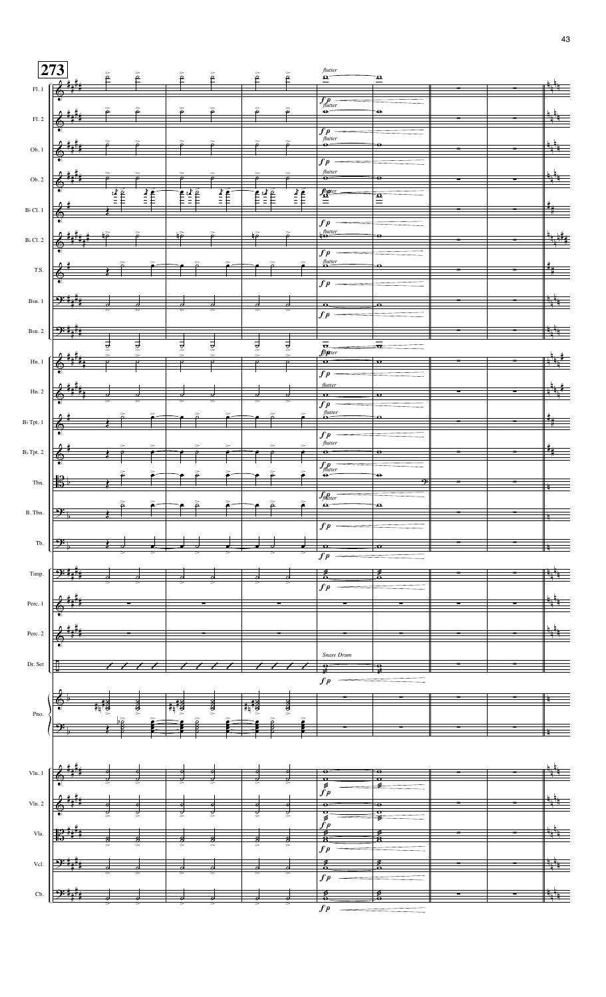|                                  | 273              | $\bar{P}$<br>$\tilde{P}$                                                                                                                                                                                                                                                                                                                                                                                                           | $\bar{\tilde{e}}$<br>$\geq$                                                                                                                                              | $\check{\mathsf{P}}$<br>$\tilde{P}$                                                                                                                                                  | $\emph{flutter}$<br>$\mathbf{a}$                                                 | $\mathbf{a}$            |  |                |
|----------------------------------|------------------|------------------------------------------------------------------------------------------------------------------------------------------------------------------------------------------------------------------------------------------------------------------------------------------------------------------------------------------------------------------------------------------------------------------------------------|--------------------------------------------------------------------------------------------------------------------------------------------------------------------------|--------------------------------------------------------------------------------------------------------------------------------------------------------------------------------------|----------------------------------------------------------------------------------|-------------------------|--|----------------|
| $\rm Fl.$ $1$                    | 哂                |                                                                                                                                                                                                                                                                                                                                                                                                                                    |                                                                                                                                                                          |                                                                                                                                                                                      |                                                                                  |                         |  | ₩              |
|                                  | ۰                | る                                                                                                                                                                                                                                                                                                                                                                                                                                  | 言<br>ā                                                                                                                                                                   | 戸<br>$\frac{1}{6}$                                                                                                                                                                   | $f_{\text{filter}}^p$                                                            | Ф                       |  |                |
| $\mathbb{F}l.$ 2                 |                  |                                                                                                                                                                                                                                                                                                                                                                                                                                    |                                                                                                                                                                          |                                                                                                                                                                                      | $\begin{tabular}{c} \hline $f p$ & \hline \hline \end{tabular}$                  |                         |  | ₩              |
| Ob.1                             |                  |                                                                                                                                                                                                                                                                                                                                                                                                                                    |                                                                                                                                                                          |                                                                                                                                                                                      | $\bullet$                                                                        | $\mathbf{\Theta}$       |  | 协              |
|                                  |                  |                                                                                                                                                                                                                                                                                                                                                                                                                                    |                                                                                                                                                                          |                                                                                                                                                                                      | $\overline{fp}$                                                                  |                         |  |                |
| Ob. 2                            |                  |                                                                                                                                                                                                                                                                                                                                                                                                                                    |                                                                                                                                                                          |                                                                                                                                                                                      | flutter<br>$\overline{\mathbf{e}}$                                               | $\overline{\bullet}$    |  | 悔              |
|                                  |                  | $\begin{array}{c} \frac{1}{2} \\ \frac{1}{2} \\ \frac{1}{2} \\ \frac{1}{2} \\ \frac{1}{2} \\ \frac{1}{2} \\ \frac{1}{2} \\ \frac{1}{2} \\ \frac{1}{2} \\ \frac{1}{2} \\ \frac{1}{2} \\ \frac{1}{2} \\ \frac{1}{2} \\ \frac{1}{2} \\ \frac{1}{2} \\ \frac{1}{2} \\ \frac{1}{2} \\ \frac{1}{2} \\ \frac{1}{2} \\ \frac{1}{2} \\ \frac{1}{2} \\ \frac{1}{2} \\ \frac{1}{2} \\ \frac{1}{2} \\ \frac{1}{2} \\ \frac{1}{2} \\ \frac{1}{$ | $\begin{array}{c}\n\bullet \\ \bullet \\ \bullet \\ \bullet \\ \bullet\n\end{array}$<br>$\begin{tabular}{ c c c c c } \hline & $b$ & $b$ \\ \hline \hline \end{tabular}$ | $\begin{array}{c}\n\bullet & \bullet \\ \uparrow & \bullet \\ \uparrow & \bullet\n\end{array}$<br>$\begin{tabular}{ c c c c } \hline $\psi$ & $\psi$ \\ \hline \hline \end{tabular}$ | $\begin{array}{c}\n\textit{fugier} \\ \hline\n\textit{=} \\ \hline\n\end{array}$ | $\frac{1}{\alpha}$      |  |                |
| $\mathrm{B}\flat$ Cl. 1          |                  |                                                                                                                                                                                                                                                                                                                                                                                                                                    |                                                                                                                                                                          |                                                                                                                                                                                      | $\overline{fp}$                                                                  |                         |  | 4              |
| $\mathrm{B}\!\!\downarrow$ Cl. 2 |                  |                                                                                                                                                                                                                                                                                                                                                                                                                                    | ю                                                                                                                                                                        | ₩                                                                                                                                                                                    | $\sharp^{\text{flutter}}$                                                        | $\bullet$               |  | फ              |
|                                  |                  |                                                                                                                                                                                                                                                                                                                                                                                                                                    |                                                                                                                                                                          |                                                                                                                                                                                      | $\overline{fp}$                                                                  |                         |  |                |
| T.S.                             | ⊚                |                                                                                                                                                                                                                                                                                                                                                                                                                                    |                                                                                                                                                                          |                                                                                                                                                                                      | $\mathbf{f}$                                                                     |                         |  | ╨              |
|                                  |                  |                                                                                                                                                                                                                                                                                                                                                                                                                                    |                                                                                                                                                                          |                                                                                                                                                                                      | $\boldsymbol{fp}$ .                                                              |                         |  |                |
| Bsn. 1                           | $\cdot$ 9: 1, 1, |                                                                                                                                                                                                                                                                                                                                                                                                                                    |                                                                                                                                                                          |                                                                                                                                                                                      | $\overline{\mathbf{o}}$                                                          | $\overline{\bullet}$    |  | الليك          |
| $_{\rm Bsn. \, 2}$               | 9:44             |                                                                                                                                                                                                                                                                                                                                                                                                                                    |                                                                                                                                                                          |                                                                                                                                                                                      | $\mathfrak{fp}$                                                                  |                         |  | اللا           |
|                                  |                  | ।<br>≥<br>h≥∖                                                                                                                                                                                                                                                                                                                                                                                                                      | $\frac{1}{2}$<br>$\frac{1}{2}$                                                                                                                                           | ∣⊨ष्ट<br>$\frac{1}{2}$                                                                                                                                                               | $\overline{\sigma}$                                                              | $\frac{1}{\sigma}$      |  |                |
| Hn. $\boldsymbol{1}$             |                  |                                                                                                                                                                                                                                                                                                                                                                                                                                    |                                                                                                                                                                          | $\Rightarrow$<br>$\sigma$                                                                                                                                                            | $f$ ftpater<br>$\overline{\mathbf{v}}$                                           | $\overline{\mathbf{o}}$ |  | $\mathbb{H}^1$ |
|                                  |                  |                                                                                                                                                                                                                                                                                                                                                                                                                                    |                                                                                                                                                                          |                                                                                                                                                                                      | $\overline{fp}$<br>flutter                                                       |                         |  |                |
| Hn.2                             |                  |                                                                                                                                                                                                                                                                                                                                                                                                                                    |                                                                                                                                                                          |                                                                                                                                                                                      | $\overline{\mathbf{o}}$ .<br>$\overline{fp}$                                     | $\overline{\mathbf{o}}$ |  | म™फ़           |
| $\mathbf{B}\flat$ Tpt. 1         |                  |                                                                                                                                                                                                                                                                                                                                                                                                                                    |                                                                                                                                                                          |                                                                                                                                                                                      | $\frac{flutter}{\Theta}$                                                         | $\bullet$               |  | ₩              |
|                                  | G                |                                                                                                                                                                                                                                                                                                                                                                                                                                    |                                                                                                                                                                          |                                                                                                                                                                                      | $\mathfrak{fp}$                                                                  |                         |  |                |
| $\rm B\flat$ Tpt. 2              |                  |                                                                                                                                                                                                                                                                                                                                                                                                                                    |                                                                                                                                                                          |                                                                                                                                                                                      | flutter<br>$\bullet$                                                             | $\overline{\mathbf{o}}$ |  | ╨              |
|                                  |                  | 言                                                                                                                                                                                                                                                                                                                                                                                                                                  | る                                                                                                                                                                        | $\geq$                                                                                                                                                                               | $\int_{\text{filter}} p$                                                         | Э                       |  |                |
| Tbn.                             | $\frac{12}{15}$  |                                                                                                                                                                                                                                                                                                                                                                                                                                    |                                                                                                                                                                          |                                                                                                                                                                                      |                                                                                  | 9ª                      |  | ŧ              |
| $\operatorname{B}.$ Tbn.         | $\mathbf{P}$     | $\geq$<br>$\geq$                                                                                                                                                                                                                                                                                                                                                                                                                   | $\geq$<br>>                                                                                                                                                              | $\geq$                                                                                                                                                                               | $f_{\rm filter}$                                                                 | Ф                       |  |                |
|                                  |                  |                                                                                                                                                                                                                                                                                                                                                                                                                                    |                                                                                                                                                                          |                                                                                                                                                                                      | $\overline{fp}$                                                                  |                         |  |                |
| Tb.                              | ᠊ <del>੭</del>   |                                                                                                                                                                                                                                                                                                                                                                                                                                    |                                                                                                                                                                          |                                                                                                                                                                                      |                                                                                  | $\bullet$               |  |                |
|                                  |                  |                                                                                                                                                                                                                                                                                                                                                                                                                                    |                                                                                                                                                                          |                                                                                                                                                                                      | $\frac{\sigma}{fp}$                                                              |                         |  |                |
| Timp.                            | <u>ား၊</u>       |                                                                                                                                                                                                                                                                                                                                                                                                                                    |                                                                                                                                                                          |                                                                                                                                                                                      | 墨<br>$\frac{1}{\int p}$                                                          | ৩€                      |  | الل            |
| Perc. 1                          |                  |                                                                                                                                                                                                                                                                                                                                                                                                                                    |                                                                                                                                                                          |                                                                                                                                                                                      |                                                                                  |                         |  |                |
|                                  |                  |                                                                                                                                                                                                                                                                                                                                                                                                                                    |                                                                                                                                                                          |                                                                                                                                                                                      |                                                                                  |                         |  |                |
| Perc. 2                          |                  |                                                                                                                                                                                                                                                                                                                                                                                                                                    |                                                                                                                                                                          |                                                                                                                                                                                      |                                                                                  |                         |  |                |
|                                  |                  |                                                                                                                                                                                                                                                                                                                                                                                                                                    |                                                                                                                                                                          |                                                                                                                                                                                      | Snare Drum                                                                       |                         |  |                |
| Dr. Set                          |                  | $\overline{\phantom{a}}$                                                                                                                                                                                                                                                                                                                                                                                                           |                                                                                                                                                                          |                                                                                                                                                                                      | $\frac{\mathbf{e}}{2}$                                                           | $\frac{1}{3}$           |  |                |
|                                  |                  |                                                                                                                                                                                                                                                                                                                                                                                                                                    |                                                                                                                                                                          |                                                                                                                                                                                      | $\mathfrak{fp}$                                                                  |                         |  |                |
| $\rm Pno.$                       |                  |                                                                                                                                                                                                                                                                                                                                                                                                                                    |                                                                                                                                                                          | $#_{4}$<br>498                                                                                                                                                                       |                                                                                  |                         |  |                |
|                                  | $\rightarrow$    |                                                                                                                                                                                                                                                                                                                                                                                                                                    |                                                                                                                                                                          |                                                                                                                                                                                      |                                                                                  |                         |  |                |
|                                  |                  |                                                                                                                                                                                                                                                                                                                                                                                                                                    |                                                                                                                                                                          |                                                                                                                                                                                      |                                                                                  |                         |  |                |
|                                  |                  |                                                                                                                                                                                                                                                                                                                                                                                                                                    |                                                                                                                                                                          |                                                                                                                                                                                      |                                                                                  |                         |  |                |
| $V\ln 1$                         |                  |                                                                                                                                                                                                                                                                                                                                                                                                                                    |                                                                                                                                                                          |                                                                                                                                                                                      | $\frac{\sigma}{\sigma}$<br>$\frac{\sigma}{\sigma}$                               | $\frac{1}{\infty}$      |  |                |
| Vln. 2                           |                  |                                                                                                                                                                                                                                                                                                                                                                                                                                    |                                                                                                                                                                          | ₫                                                                                                                                                                                    | $\overline{\mathbf{e}^2}$                                                        | $\overline{\bullet}$    |  |                |
|                                  |                  |                                                                                                                                                                                                                                                                                                                                                                                                                                    |                                                                                                                                                                          |                                                                                                                                                                                      |                                                                                  | $\frac{1}{2}$           |  |                |
| Vla.                             |                  |                                                                                                                                                                                                                                                                                                                                                                                                                                    |                                                                                                                                                                          |                                                                                                                                                                                      | $\frac{6}{5}$<br>$\frac{2}{5}$<br>$\frac{2}{5}$                                  | $\frac{2}{3}$           |  | क्षी           |
|                                  |                  |                                                                                                                                                                                                                                                                                                                                                                                                                                    |                                                                                                                                                                          |                                                                                                                                                                                      | $\overline{fp}$                                                                  |                         |  |                |
| $\mbox{Vcl.}$                    | $\rightarrow$    |                                                                                                                                                                                                                                                                                                                                                                                                                                    |                                                                                                                                                                          |                                                                                                                                                                                      | $\frac{2}{6}$<br>$\mathfrak{fp}$                                                 | $\frac{2}{\sigma}$      |  | ԿլԿլ           |
| Cb.                              |                  |                                                                                                                                                                                                                                                                                                                                                                                                                                    |                                                                                                                                                                          |                                                                                                                                                                                      | ॾ                                                                                | $\frac{2}{5}$           |  | ₩              |
|                                  |                  |                                                                                                                                                                                                                                                                                                                                                                                                                                    |                                                                                                                                                                          |                                                                                                                                                                                      | $\mathfrak{fp}$                                                                  |                         |  |                |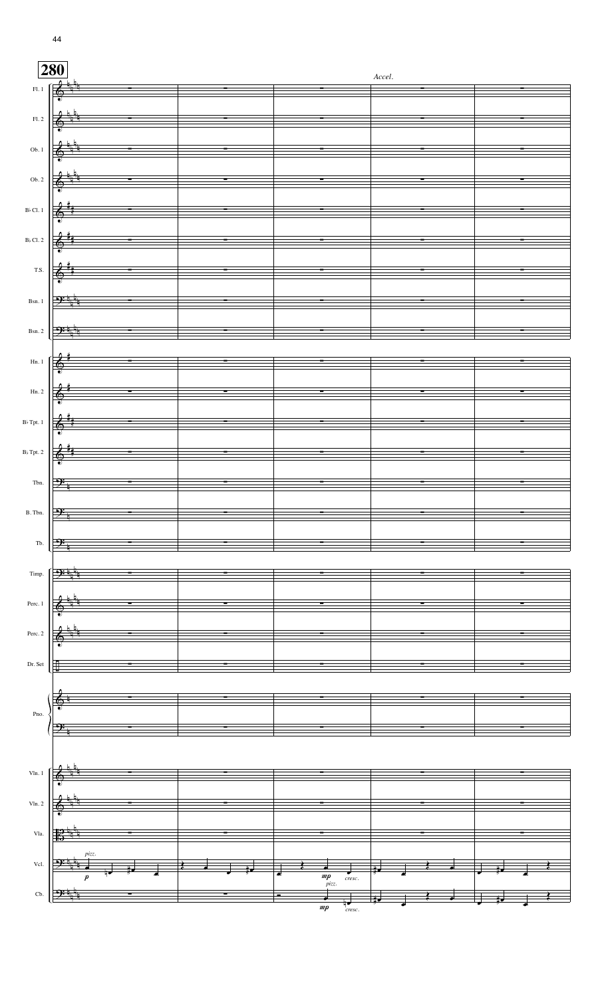|                                  | 280                                                                                                                                                                                                                                                                                                                                              |                                                                                                                                                                                                                                                                                                                                                                                                                                        |                                                                                                                                                                                                                                           |                                                                                                                                                                                                                                                                        | Accel.                                          |  |
|----------------------------------|--------------------------------------------------------------------------------------------------------------------------------------------------------------------------------------------------------------------------------------------------------------------------------------------------------------------------------------------------|----------------------------------------------------------------------------------------------------------------------------------------------------------------------------------------------------------------------------------------------------------------------------------------------------------------------------------------------------------------------------------------------------------------------------------------|-------------------------------------------------------------------------------------------------------------------------------------------------------------------------------------------------------------------------------------------|------------------------------------------------------------------------------------------------------------------------------------------------------------------------------------------------------------------------------------------------------------------------|-------------------------------------------------|--|
| F1.1                             |                                                                                                                                                                                                                                                                                                                                                  |                                                                                                                                                                                                                                                                                                                                                                                                                                        |                                                                                                                                                                                                                                           |                                                                                                                                                                                                                                                                        |                                                 |  |
| F1.2                             |                                                                                                                                                                                                                                                                                                                                                  |                                                                                                                                                                                                                                                                                                                                                                                                                                        |                                                                                                                                                                                                                                           |                                                                                                                                                                                                                                                                        |                                                 |  |
| Ob.1                             |                                                                                                                                                                                                                                                                                                                                                  |                                                                                                                                                                                                                                                                                                                                                                                                                                        |                                                                                                                                                                                                                                           |                                                                                                                                                                                                                                                                        |                                                 |  |
|                                  |                                                                                                                                                                                                                                                                                                                                                  |                                                                                                                                                                                                                                                                                                                                                                                                                                        |                                                                                                                                                                                                                                           |                                                                                                                                                                                                                                                                        |                                                 |  |
| Ob.2                             |                                                                                                                                                                                                                                                                                                                                                  |                                                                                                                                                                                                                                                                                                                                                                                                                                        |                                                                                                                                                                                                                                           |                                                                                                                                                                                                                                                                        |                                                 |  |
| $B\nmid Cl. 1$                   |                                                                                                                                                                                                                                                                                                                                                  |                                                                                                                                                                                                                                                                                                                                                                                                                                        |                                                                                                                                                                                                                                           |                                                                                                                                                                                                                                                                        |                                                 |  |
| $\mathrm{B}\!\!\downarrow$ Cl. 2 |                                                                                                                                                                                                                                                                                                                                                  |                                                                                                                                                                                                                                                                                                                                                                                                                                        |                                                                                                                                                                                                                                           |                                                                                                                                                                                                                                                                        |                                                 |  |
| T.S                              |                                                                                                                                                                                                                                                                                                                                                  |                                                                                                                                                                                                                                                                                                                                                                                                                                        |                                                                                                                                                                                                                                           |                                                                                                                                                                                                                                                                        |                                                 |  |
|                                  |                                                                                                                                                                                                                                                                                                                                                  |                                                                                                                                                                                                                                                                                                                                                                                                                                        |                                                                                                                                                                                                                                           |                                                                                                                                                                                                                                                                        |                                                 |  |
| Bsn.1                            |                                                                                                                                                                                                                                                                                                                                                  |                                                                                                                                                                                                                                                                                                                                                                                                                                        |                                                                                                                                                                                                                                           |                                                                                                                                                                                                                                                                        |                                                 |  |
| $_{\rm Bsn. \, 2}$               |                                                                                                                                                                                                                                                                                                                                                  |                                                                                                                                                                                                                                                                                                                                                                                                                                        |                                                                                                                                                                                                                                           |                                                                                                                                                                                                                                                                        |                                                 |  |
| Hn.1                             |                                                                                                                                                                                                                                                                                                                                                  |                                                                                                                                                                                                                                                                                                                                                                                                                                        |                                                                                                                                                                                                                                           |                                                                                                                                                                                                                                                                        |                                                 |  |
|                                  |                                                                                                                                                                                                                                                                                                                                                  |                                                                                                                                                                                                                                                                                                                                                                                                                                        |                                                                                                                                                                                                                                           |                                                                                                                                                                                                                                                                        |                                                 |  |
| Hn.2                             |                                                                                                                                                                                                                                                                                                                                                  |                                                                                                                                                                                                                                                                                                                                                                                                                                        |                                                                                                                                                                                                                                           |                                                                                                                                                                                                                                                                        |                                                 |  |
| $B\flat$ Tpt. 1                  |                                                                                                                                                                                                                                                                                                                                                  |                                                                                                                                                                                                                                                                                                                                                                                                                                        |                                                                                                                                                                                                                                           |                                                                                                                                                                                                                                                                        |                                                 |  |
| $B\flat$ Tpt. 2                  |                                                                                                                                                                                                                                                                                                                                                  |                                                                                                                                                                                                                                                                                                                                                                                                                                        |                                                                                                                                                                                                                                           |                                                                                                                                                                                                                                                                        |                                                 |  |
| Tbn.                             |                                                                                                                                                                                                                                                                                                                                                  |                                                                                                                                                                                                                                                                                                                                                                                                                                        |                                                                                                                                                                                                                                           |                                                                                                                                                                                                                                                                        |                                                 |  |
|                                  |                                                                                                                                                                                                                                                                                                                                                  |                                                                                                                                                                                                                                                                                                                                                                                                                                        |                                                                                                                                                                                                                                           |                                                                                                                                                                                                                                                                        |                                                 |  |
| $\operatorname{B}.$ Tbn.         |                                                                                                                                                                                                                                                                                                                                                  |                                                                                                                                                                                                                                                                                                                                                                                                                                        |                                                                                                                                                                                                                                           |                                                                                                                                                                                                                                                                        |                                                 |  |
| Tb.                              | $\mathbf{P}$                                                                                                                                                                                                                                                                                                                                     | $\equiv$                                                                                                                                                                                                                                                                                                                                                                                                                               |                                                                                                                                                                                                                                           |                                                                                                                                                                                                                                                                        |                                                 |  |
| $\label{eq:1} \text{Timp.}$      |                                                                                                                                                                                                                                                                                                                                                  | <u> 1989 - Jan Barat, politik politik (</u>                                                                                                                                                                                                                                                                                                                                                                                            |                                                                                                                                                                                                                                           |                                                                                                                                                                                                                                                                        |                                                 |  |
|                                  |                                                                                                                                                                                                                                                                                                                                                  | $\blacksquare$                                                                                                                                                                                                                                                                                                                                                                                                                         |                                                                                                                                                                                                                                           |                                                                                                                                                                                                                                                                        |                                                 |  |
|                                  | Perc. 1 $\theta$                                                                                                                                                                                                                                                                                                                                 |                                                                                                                                                                                                                                                                                                                                                                                                                                        | Perc. 2<br>Perc. 2<br>Perc. 2<br>Perc. 2<br>Perc. 2<br>Perc. 2<br>Perc. 2<br>Perc. 2<br>Perc. 2<br>Perc. 2<br>Perc. 2<br>Perc. 2<br>Percent in the set of the set of the set of the set of the set of the set of the set of the set of th |                                                                                                                                                                                                                                                                        |                                                 |  |
|                                  |                                                                                                                                                                                                                                                                                                                                                  |                                                                                                                                                                                                                                                                                                                                                                                                                                        |                                                                                                                                                                                                                                           |                                                                                                                                                                                                                                                                        |                                                 |  |
| $\frac{1}{2}$ Dr. Set            |                                                                                                                                                                                                                                                                                                                                                  | $\overline{\phantom{a}}$                                                                                                                                                                                                                                                                                                                                                                                                               | $\overline{\phantom{a}}$ , and the set of $\overline{\phantom{a}}$                                                                                                                                                                        |                                                                                                                                                                                                                                                                        |                                                 |  |
|                                  | $\frac{1}{\sqrt{2}}$                                                                                                                                                                                                                                                                                                                             |                                                                                                                                                                                                                                                                                                                                                                                                                                        |                                                                                                                                                                                                                                           |                                                                                                                                                                                                                                                                        |                                                 |  |
| Pno.                             |                                                                                                                                                                                                                                                                                                                                                  |                                                                                                                                                                                                                                                                                                                                                                                                                                        |                                                                                                                                                                                                                                           |                                                                                                                                                                                                                                                                        |                                                 |  |
|                                  |                                                                                                                                                                                                                                                                                                                                                  |                                                                                                                                                                                                                                                                                                                                                                                                                                        |                                                                                                                                                                                                                                           |                                                                                                                                                                                                                                                                        |                                                 |  |
|                                  |                                                                                                                                                                                                                                                                                                                                                  |                                                                                                                                                                                                                                                                                                                                                                                                                                        |                                                                                                                                                                                                                                           |                                                                                                                                                                                                                                                                        |                                                 |  |
|                                  | $\frac{V \ln 1}{\frac{1}{\sqrt{2}}} \left[ \frac{\frac{1}{\sqrt{2}}}{\frac{1}{\sqrt{2}}} \frac{\frac{1}{\sqrt{2}}}{\frac{1}{\sqrt{2}}} \right]$                                                                                                                                                                                                  |                                                                                                                                                                                                                                                                                                                                                                                                                                        |                                                                                                                                                                                                                                           |                                                                                                                                                                                                                                                                        |                                                 |  |
|                                  | $Vln.2$ $\left \n\begin{array}{cc} \frac{1}{2} & \frac{1}{2} \\ \frac{1}{2} & \frac{1}{2} \end{array}\n\right $                                                                                                                                                                                                                                  |                                                                                                                                                                                                                                                                                                                                                                                                                                        |                                                                                                                                                                                                                                           |                                                                                                                                                                                                                                                                        |                                                 |  |
| $Vla$ .                          |                                                                                                                                                                                                                                                                                                                                                  |                                                                                                                                                                                                                                                                                                                                                                                                                                        |                                                                                                                                                                                                                                           |                                                                                                                                                                                                                                                                        |                                                 |  |
|                                  | $\text{Vol.} \begin{picture}(100,10) \put(0,0){\line(1,0){155}} \put(15,0){\line(1,0){155}} \put(15,0){\line(1,0){155}} \put(15,0){\line(1,0){155}} \put(15,0){\line(1,0){155}} \put(15,0){\line(1,0){155}} \put(15,0){\line(1,0){155}} \put(15,0){\line(1,0){155}} \put(15,0){\line(1,0){155}} \put(15,0){\line(1,0){155}} \put(15,0){\line(1,$ | $\begin{array}{c c c c} \hline \textbf{1} & \textbf{2} & \textbf{3} & \textbf{4} \\ \hline \textbf{2} & \textbf{3} & \textbf{5} & \textbf{5} & \textbf{6} \\ \hline \textbf{3} & \textbf{1} & \textbf{2} & \textbf{3} & \textbf{5} & \textbf{7} \\ \hline \textbf{4} & \textbf{1} & \textbf{2} & \textbf{3} & \textbf{5} & \textbf{8} \\ \hline \textbf{5} & \textbf{1} & \textbf{3} & \textbf{5} & \textbf{1} & \textbf{1} \\ \hline$ | $\overline{\phantom{a}}$                                                                                                                                                                                                                  | $\begin{array}{c c c c c} \hline \textbf{r} & \textbf{r} & \textbf{r} \\ \hline \textbf{r} & \textbf{m} & \textbf{m} \\ \hline \textbf{r} & \textbf{m} & \textbf{r} \\ \hline \textbf{r} & \textbf{r} & \textbf{r} \\ \hline \end{array}$<br>$\frac{1}{\text{cresc.}}$ | $\Rightarrow$<br>$\rightarrow$<br>$\rightarrow$ |  |
| Cb                               |                                                                                                                                                                                                                                                                                                                                                  |                                                                                                                                                                                                                                                                                                                                                                                                                                        |                                                                                                                                                                                                                                           |                                                                                                                                                                                                                                                                        |                                                 |  |

n n n n

 $\mathbb{C}$ b.  $\left|\frac{\mathbf{Q}:\mathbf{b}+\mathbf{b}}{\mathbf{A}}\right|$ 

∑

Ó

<del>.</del><br>‴ा• n

 $\mathbb{Z}_{\text{presc.}}^{\blacksquare}$ 

# œ œ

<del>∂</del>

 $\overline{\mathbf{t}}$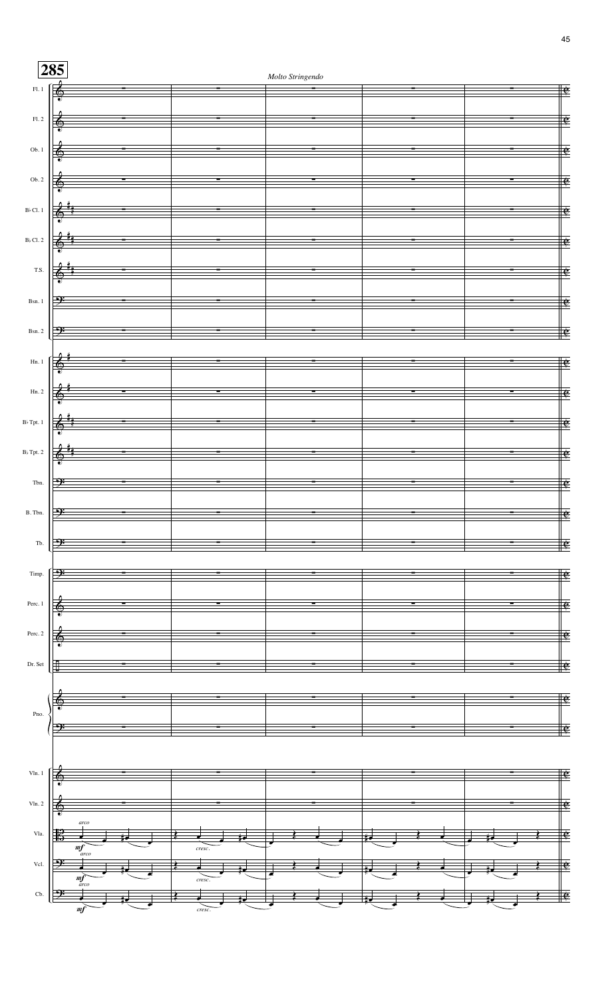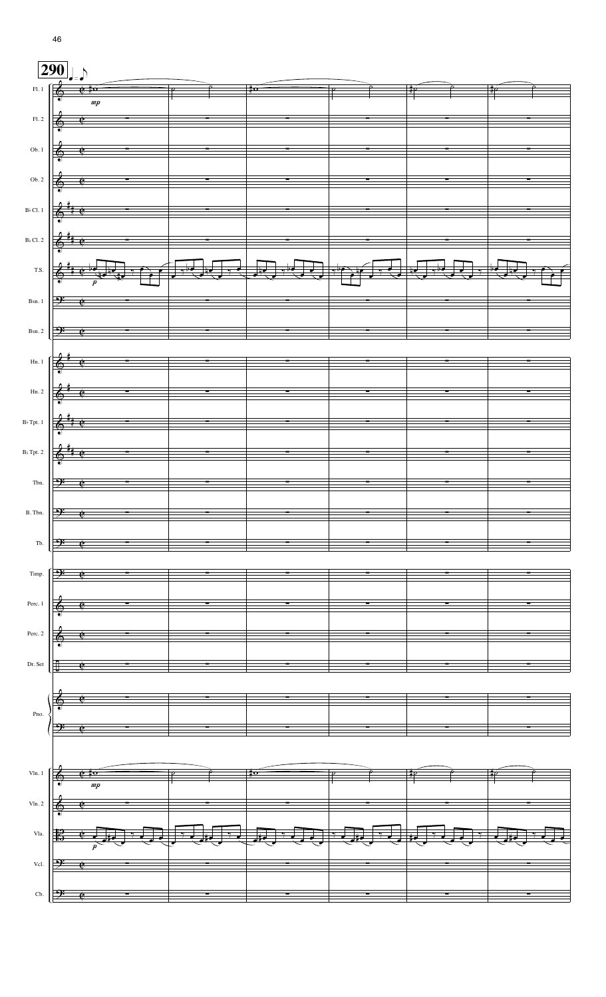|                                 | $\bm{ 290 }$               | $\overline{D}$   |   |               |   |   |
|---------------------------------|----------------------------|------------------|---|---------------|---|---|
| $\rm{Fl.1}$                     | [春                         | $e$ for          |   | $\frac{1}{2}$ | Ρ | ₩ |
|                                 |                            | $\boldsymbol{m}$ |   |               |   |   |
| $\rm Fl.$ 2                     |                            |                  |   |               |   |   |
|                                 | Ģ                          |                  |   |               |   |   |
|                                 |                            |                  |   |               |   |   |
| Ob. $\boldsymbol{1}$            | $\overline{\Phi}$          |                  |   |               |   |   |
|                                 |                            |                  |   |               |   |   |
| Ob. 2                           | $\mathbf{\mathbb{C}}$      |                  |   |               |   |   |
|                                 |                            |                  |   |               |   |   |
| $\mathbf{B}\flat$ Cl. 1         |                            |                  |   |               |   |   |
|                                 |                            |                  |   |               |   |   |
| $\mathrm{B}\!\flat$ Cl. 2       |                            |                  |   |               |   |   |
|                                 |                            |                  |   |               |   |   |
|                                 |                            |                  |   |               |   |   |
| T.S.                            |                            |                  |   |               |   |   |
|                                 |                            |                  |   |               |   |   |
| $_{\rm Bsn. \ 1}$               | ى∉                         | æ                |   |               |   |   |
|                                 |                            |                  |   |               |   |   |
| $_{\rm Bsn. \, 2}$              | €                          |                  |   |               |   |   |
|                                 |                            |                  |   |               |   |   |
| Hn.1                            |                            |                  |   |               |   |   |
|                                 |                            |                  |   |               |   |   |
|                                 |                            |                  |   |               |   |   |
| Hn. 2                           |                            |                  |   |               |   |   |
|                                 |                            |                  |   |               |   |   |
| $\mathbf{B}\flat$ Tpt. 1        |                            |                  | н | т             | ÷ |   |
|                                 | ∙                          |                  |   |               |   |   |
| $\rm B\!\!\downarrow$ Tpt. 2    |                            |                  |   |               |   |   |
|                                 |                            |                  |   |               |   |   |
| Tbn.                            | <u>9:</u>                  | ₽                |   |               |   |   |
|                                 |                            |                  |   |               |   |   |
|                                 |                            |                  |   |               |   |   |
| $\operatorname{B}.$ Tbn.        | $\bigoplus$                |                  |   |               |   |   |
|                                 |                            |                  |   |               |   |   |
| $\mathrm{Tb}.$                  | Ð                          |                  |   |               |   |   |
|                                 |                            |                  |   |               |   |   |
| $\mbox{Timp.}$                  | 9:                         |                  |   |               |   |   |
|                                 |                            |                  |   |               |   |   |
| Perc. $1$                       |                            |                  |   |               |   |   |
|                                 |                            |                  |   |               |   |   |
| Perc. 2                         |                            |                  |   |               |   |   |
|                                 | ⊕                          |                  |   |               |   |   |
|                                 |                            |                  |   |               |   |   |
| $\mathop{\rm Dr}\nolimits.$ Set | ⋣                          |                  |   |               |   |   |
|                                 |                            |                  |   |               |   |   |
|                                 |                            |                  |   |               |   |   |
| Pno.                            |                            |                  |   |               |   |   |
|                                 |                            |                  |   |               |   |   |
|                                 |                            |                  |   |               |   |   |
|                                 |                            |                  |   |               |   |   |
|                                 |                            |                  |   |               |   |   |
| $\mathit{V}\mathit{ln}.$ 1      | $\textcolor{red}{\bullet}$ | ŢΟ               |   | ‡σ            |   |   |
|                                 |                            | $\overline{mp}$  |   |               |   |   |
| $V\!ln.2$                       | ⊚                          |                  |   |               |   |   |
|                                 | ∙                          |                  |   |               |   |   |
| $Vla$ .                         |                            |                  |   |               |   |   |
|                                 |                            |                  |   |               |   |   |
| $\mbox{Vcl.}$                   | <del>9</del> :             | ¢                |   |               |   |   |
|                                 |                            |                  |   |               |   |   |
|                                 |                            |                  |   |               |   |   |
| $\mathbf{C}\mathbf{b}$ .        | ⅁                          |                  |   |               |   |   |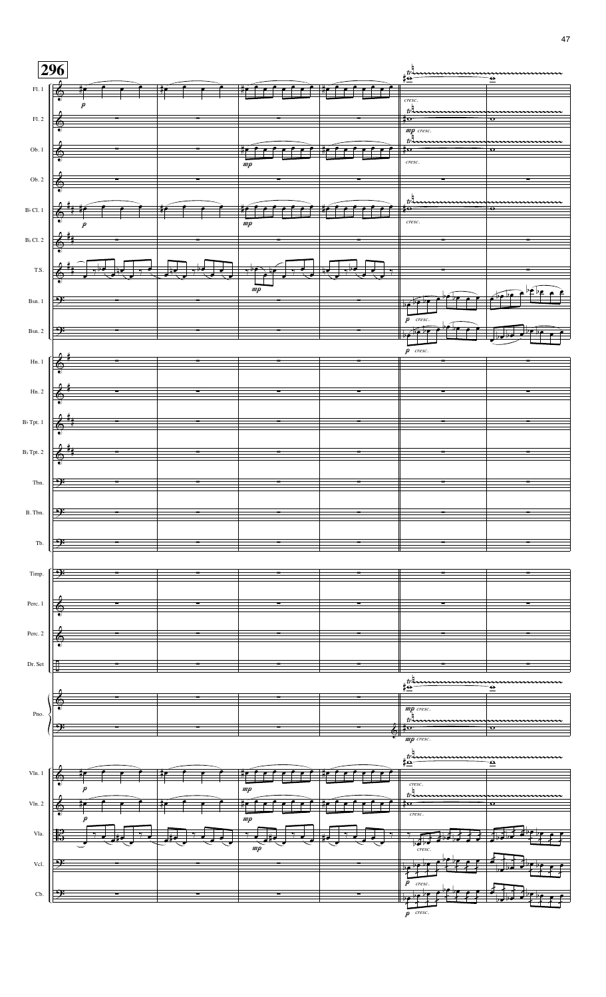|                                  | 296<br>$\frac{dr}{2}$   |                  |  |  |                          |  |                                                                                                                                                                                                                                                                                                                                                                                                    |                      |  |
|----------------------------------|-------------------------|------------------|--|--|--------------------------|--|----------------------------------------------------------------------------------------------------------------------------------------------------------------------------------------------------------------------------------------------------------------------------------------------------------------------------------------------------------------------------------------------------|----------------------|--|
| $\rm{Fl.}$ $1$                   |                         |                  |  |  |                          |  |                                                                                                                                                                                                                                                                                                                                                                                                    | $\bullet$            |  |
|                                  | ⊕<br>∙                  | $\boldsymbol{p}$ |  |  |                          |  | $\mathit{cresc}.$                                                                                                                                                                                                                                                                                                                                                                                  |                      |  |
| $\rm Fl.$ 2                      | ⊚                       |                  |  |  |                          |  | tr <sup>1</sup><br>‡o                                                                                                                                                                                                                                                                                                                                                                              | $\mathbf o$          |  |
|                                  | $\bullet$               |                  |  |  |                          |  | $\frac{mp}{4}$ cresc.                                                                                                                                                                                                                                                                                                                                                                              |                      |  |
| Ob.1                             |                         |                  |  |  |                          |  | tr <sup>1</sup><br>$\frac{1}{2}$                                                                                                                                                                                                                                                                                                                                                                   | $\mathbf o$          |  |
|                                  | Ó                       |                  |  |  | $\emph{mp}$              |  | $\mathit{cresc}.$                                                                                                                                                                                                                                                                                                                                                                                  |                      |  |
| Ob. $2\,$                        |                         |                  |  |  |                          |  |                                                                                                                                                                                                                                                                                                                                                                                                    |                      |  |
|                                  | ∙                       |                  |  |  |                          |  | h                                                                                                                                                                                                                                                                                                                                                                                                  |                      |  |
| $\mathrm{B}\flat$ Cl. 1          |                         |                  |  |  |                          |  | $\frac{d\mathbf{r}^{\mathbf{L}}}{dt}$                                                                                                                                                                                                                                                                                                                                                              | $\overline{\bullet}$ |  |
|                                  |                         | $\boldsymbol{p}$ |  |  | $\overline{mp}$          |  | cresc.                                                                                                                                                                                                                                                                                                                                                                                             |                      |  |
| $\mathrm{B}\!\!\downarrow$ Cl. 2 | ⊚                       |                  |  |  |                          |  |                                                                                                                                                                                                                                                                                                                                                                                                    |                      |  |
|                                  | ∙                       |                  |  |  |                          |  |                                                                                                                                                                                                                                                                                                                                                                                                    |                      |  |
| T.S.                             |                         |                  |  |  |                          |  |                                                                                                                                                                                                                                                                                                                                                                                                    |                      |  |
|                                  |                         |                  |  |  | $\it{mp}$                |  |                                                                                                                                                                                                                                                                                                                                                                                                    |                      |  |
| $_{\rm Bsn.$ $1$                 | $\overline{\mathbf{P}}$ |                  |  |  |                          |  | ₽₽<br>$\frac{1}{2}$                                                                                                                                                                                                                                                                                                                                                                                |                      |  |
|                                  |                         |                  |  |  |                          |  | $\boldsymbol{p}$ cresc.                                                                                                                                                                                                                                                                                                                                                                            |                      |  |
| $_{\rm Bsn. \, 2}$               | 9                       |                  |  |  |                          |  | þ۵                                                                                                                                                                                                                                                                                                                                                                                                 |                      |  |
|                                  |                         |                  |  |  |                          |  | $p$ cresc.                                                                                                                                                                                                                                                                                                                                                                                         |                      |  |
| Hn.1                             | Ô<br>۰                  |                  |  |  |                          |  |                                                                                                                                                                                                                                                                                                                                                                                                    |                      |  |
| Hn.2                             |                         |                  |  |  |                          |  |                                                                                                                                                                                                                                                                                                                                                                                                    |                      |  |
|                                  | ⊚<br>∙                  |                  |  |  |                          |  |                                                                                                                                                                                                                                                                                                                                                                                                    |                      |  |
| $\mathbf{B}\flat$ Tpt. 1         | ⊚                       |                  |  |  |                          |  |                                                                                                                                                                                                                                                                                                                                                                                                    |                      |  |
|                                  | ∙                       |                  |  |  |                          |  |                                                                                                                                                                                                                                                                                                                                                                                                    |                      |  |
| $\rm B\!\!\downarrow$ Tpt. 2     | $\hat{\mathbb{P}}$      |                  |  |  |                          |  |                                                                                                                                                                                                                                                                                                                                                                                                    |                      |  |
|                                  |                         |                  |  |  |                          |  |                                                                                                                                                                                                                                                                                                                                                                                                    |                      |  |
| Tbn.                             | <u> ():</u>             |                  |  |  |                          |  |                                                                                                                                                                                                                                                                                                                                                                                                    |                      |  |
|                                  |                         |                  |  |  |                          |  |                                                                                                                                                                                                                                                                                                                                                                                                    |                      |  |
| $B$ . Tbn.                       | -9:                     |                  |  |  |                          |  |                                                                                                                                                                                                                                                                                                                                                                                                    |                      |  |
|                                  | <u>9:</u>               |                  |  |  |                          |  |                                                                                                                                                                                                                                                                                                                                                                                                    |                      |  |
| Tb.                              |                         |                  |  |  |                          |  |                                                                                                                                                                                                                                                                                                                                                                                                    |                      |  |
| $\mbox{Timp.}$                   | <u> -9:</u>             |                  |  |  |                          |  |                                                                                                                                                                                                                                                                                                                                                                                                    |                      |  |
|                                  |                         |                  |  |  |                          |  |                                                                                                                                                                                                                                                                                                                                                                                                    |                      |  |
| Perc. 1                          |                         |                  |  |  |                          |  |                                                                                                                                                                                                                                                                                                                                                                                                    |                      |  |
|                                  | ∙                       |                  |  |  |                          |  |                                                                                                                                                                                                                                                                                                                                                                                                    |                      |  |
| Perc. 2                          | Ó                       |                  |  |  |                          |  |                                                                                                                                                                                                                                                                                                                                                                                                    |                      |  |
|                                  | ∙                       |                  |  |  |                          |  |                                                                                                                                                                                                                                                                                                                                                                                                    |                      |  |
| $\mathop{\rm Dr}\nolimits.$ Set  |                         |                  |  |  |                          |  |                                                                                                                                                                                                                                                                                                                                                                                                    |                      |  |
|                                  |                         |                  |  |  |                          |  | trh<br><u>∤ē</u>                                                                                                                                                                                                                                                                                                                                                                                   | $\bullet$            |  |
|                                  | ⊚                       |                  |  |  |                          |  |                                                                                                                                                                                                                                                                                                                                                                                                    |                      |  |
| Pno.                             |                         |                  |  |  |                          |  | $\mathop{mp}\limits_{\mathop{\mathsf{h}}}$ cresc.<br>$\bm{r}$                                                                                                                                                                                                                                                                                                                                      |                      |  |
|                                  | Ð.                      |                  |  |  |                          |  | $60 -$<br>$mp$ cresc.                                                                                                                                                                                                                                                                                                                                                                              | $\mathbf \sigma$     |  |
|                                  |                         |                  |  |  |                          |  |                                                                                                                                                                                                                                                                                                                                                                                                    |                      |  |
| $\mathit{V}\mathit{ln}.$ 1       |                         |                  |  |  |                          |  | $\mathbb{P}^{\frac{m}{2}}$                                                                                                                                                                                                                                                                                                                                                                         | ⊖                    |  |
|                                  | ∙                       | $\boldsymbol{p}$ |  |  | $\it{mp}$                |  | $\frac{1}{\frac{1}{t} + \frac{1}{t} + \frac{1}{t} + \frac{1}{t} + \frac{1}{t} + \frac{1}{t} + \frac{1}{t} + \frac{1}{t} + \frac{1}{t} + \frac{1}{t} + \frac{1}{t} + \frac{1}{t} + \frac{1}{t} + \frac{1}{t} + \frac{1}{t} + \frac{1}{t} + \frac{1}{t} + \frac{1}{t} + \frac{1}{t} + \frac{1}{t} + \frac{1}{t} + \frac{1}{t} + \frac{1}{t} + \frac{1}{t} + \frac{1}{t} + \frac{1}{t} + \frac{1}{t}$ |                      |  |
| Vln.2                            |                         |                  |  |  |                          |  | $\frac{1}{2}$                                                                                                                                                                                                                                                                                                                                                                                      |                      |  |
|                                  | $\circ$                 | p                |  |  | $\overline{\mathit{mp}}$ |  | $\mathit{cresc}.$                                                                                                                                                                                                                                                                                                                                                                                  |                      |  |
| Vla.                             |                         |                  |  |  |                          |  |                                                                                                                                                                                                                                                                                                                                                                                                    |                      |  |
|                                  |                         |                  |  |  | $\overline{mp}$          |  | $\frac{1}{\text{c} \cdot \text{c} \cdot \text{c}}$                                                                                                                                                                                                                                                                                                                                                 |                      |  |
| $\mbox{Vcl.}$                    | 9:                      |                  |  |  |                          |  | ł                                                                                                                                                                                                                                                                                                                                                                                                  |                      |  |
|                                  |                         |                  |  |  |                          |  | $\overline{p}$ cresc.                                                                                                                                                                                                                                                                                                                                                                              |                      |  |
| $\mathrm{Cb.}$                   | -9                      |                  |  |  |                          |  | $\frac{1}{2}$                                                                                                                                                                                                                                                                                                                                                                                      |                      |  |
|                                  |                         |                  |  |  |                          |  | $\boldsymbol{p}$ cresc.                                                                                                                                                                                                                                                                                                                                                                            |                      |  |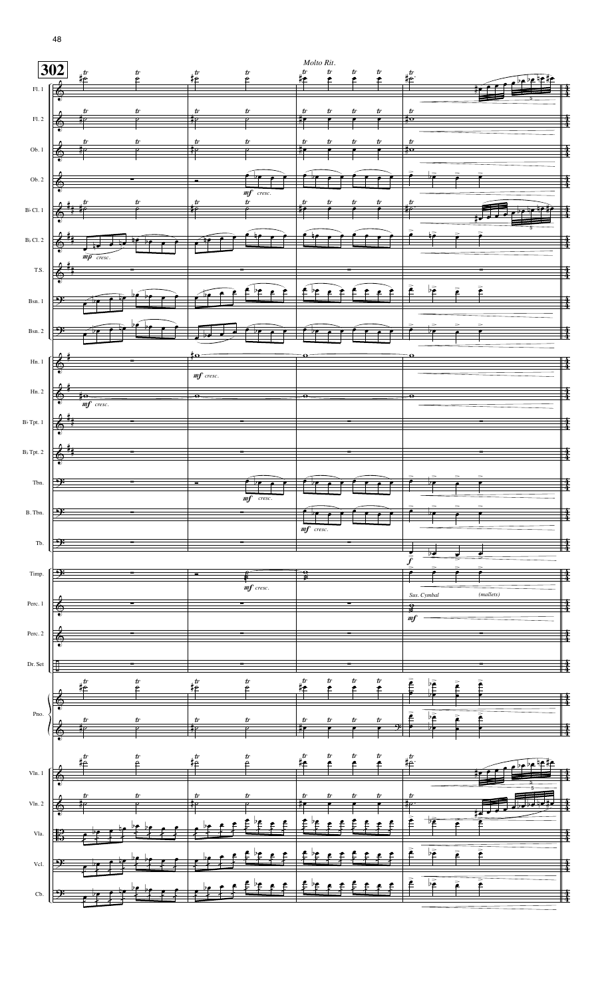

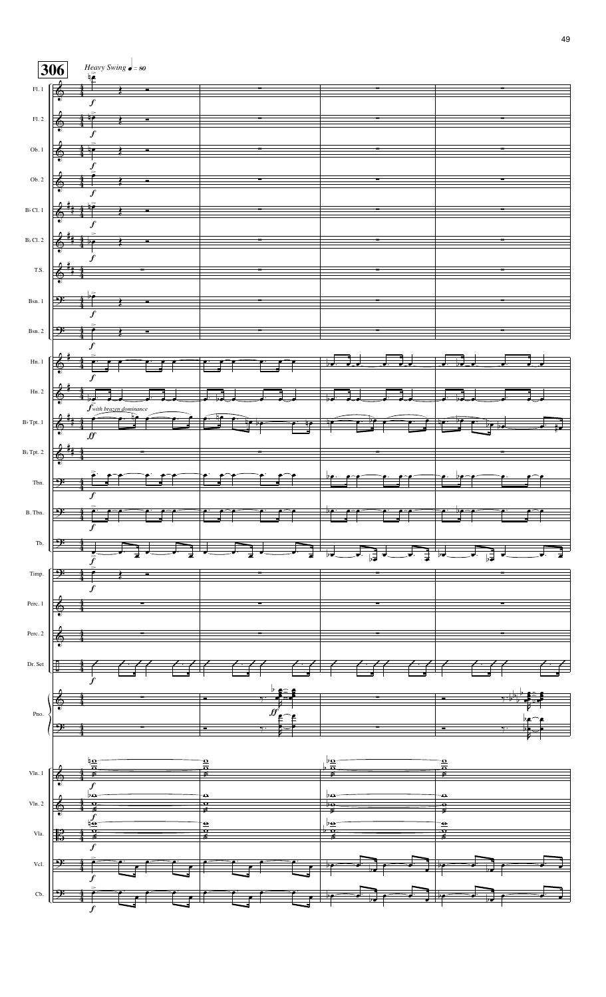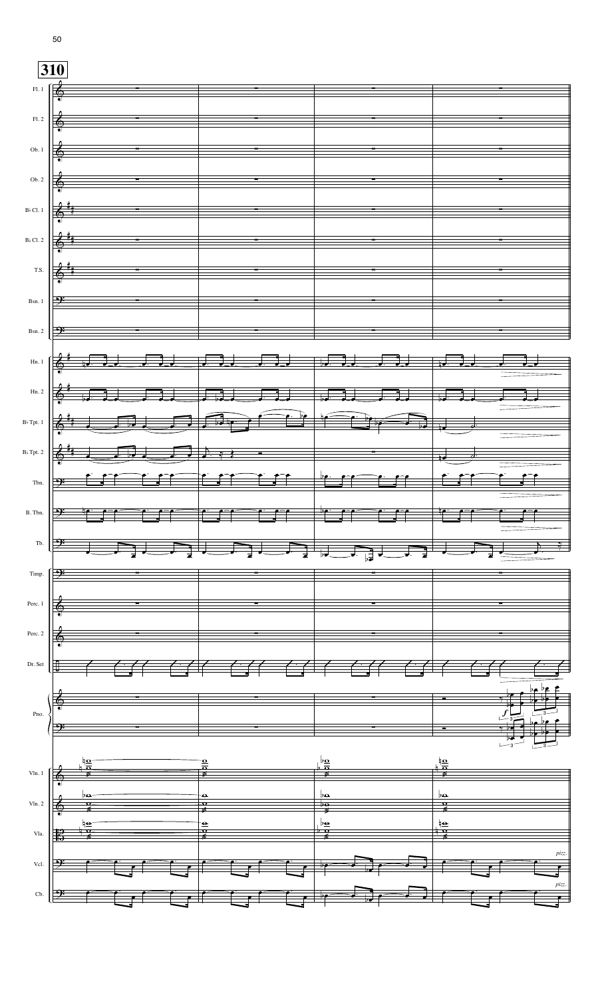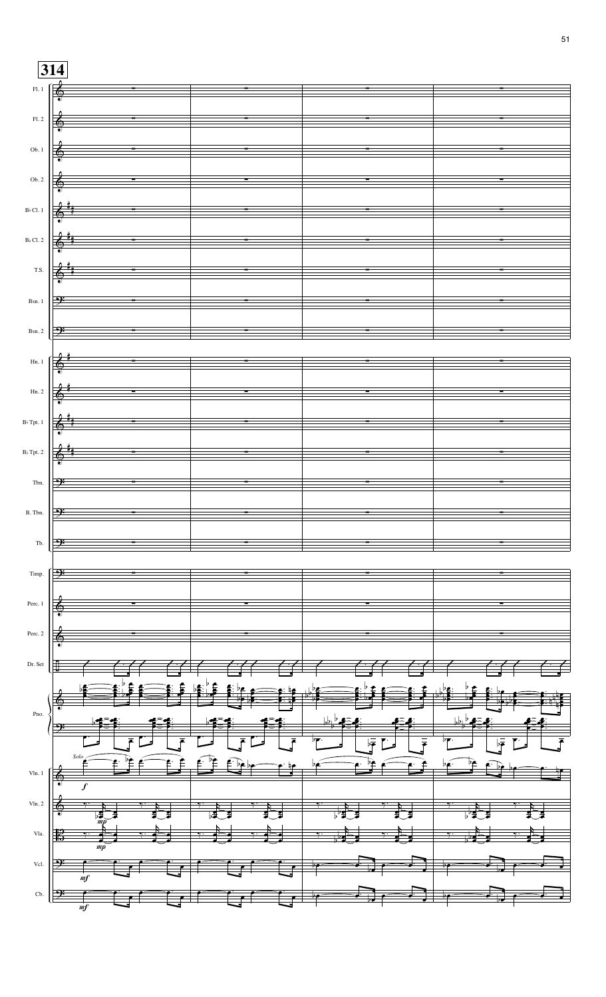|                                   | 314                                                                                                                    |                                                                     |                                                                                              |                   |
|-----------------------------------|------------------------------------------------------------------------------------------------------------------------|---------------------------------------------------------------------|----------------------------------------------------------------------------------------------|-------------------|
| F1.1                              |                                                                                                                        |                                                                     |                                                                                              |                   |
|                                   |                                                                                                                        |                                                                     |                                                                                              |                   |
| F1.2                              |                                                                                                                        | <u> 1989 - Johann Stein, mars an deus Amerikaansk kommunister (</u> |                                                                                              |                   |
|                                   |                                                                                                                        |                                                                     |                                                                                              |                   |
| Ob. $\boldsymbol{1}$              | <u> La Carlo de Carlo de la Carlo de Carlo de Carlo de Carlo de Carlo de Carlo de Carlo de Carlo de Carlo de Carlo</u> |                                                                     |                                                                                              |                   |
| Ob. 2                             | $\mathbb{R}$                                                                                                           |                                                                     |                                                                                              |                   |
|                                   |                                                                                                                        |                                                                     |                                                                                              |                   |
| $\mathbf{B}\flat$ Cl. 1           | $\frac{2}{9}$                                                                                                          |                                                                     |                                                                                              |                   |
| $B\nmid Cl, 2$                    |                                                                                                                        |                                                                     |                                                                                              |                   |
|                                   |                                                                                                                        |                                                                     |                                                                                              |                   |
| T.S.                              | $\frac{2}{9}$                                                                                                          |                                                                     |                                                                                              |                   |
|                                   |                                                                                                                        |                                                                     |                                                                                              |                   |
| $_{\rm Bsn. \ 1}$                 | $\overline{\phantom{a}}$                                                                                               |                                                                     |                                                                                              |                   |
|                                   |                                                                                                                        |                                                                     |                                                                                              |                   |
| Bsn. 2 $\left \frac{1}{2}\right $ |                                                                                                                        | Ξ                                                                   |                                                                                              |                   |
| $\frac{Hn.1}{\omega}$             |                                                                                                                        |                                                                     |                                                                                              |                   |
|                                   |                                                                                                                        |                                                                     |                                                                                              |                   |
| $\frac{Hn.2}{\odot}$              |                                                                                                                        |                                                                     |                                                                                              |                   |
| $\mathbf{B}\flat$ Tpt. 1          |                                                                                                                        |                                                                     |                                                                                              |                   |
|                                   | $\frac{1}{2}$                                                                                                          |                                                                     |                                                                                              |                   |
| $B\nmid$ Tpt. 2                   |                                                                                                                        |                                                                     |                                                                                              |                   |
|                                   |                                                                                                                        |                                                                     |                                                                                              |                   |
| Tbn.                              | <del>. 9:</del><br>Ξ                                                                                                   |                                                                     |                                                                                              |                   |
| $\operatorname{B}.$ Tbn.          | ⅁                                                                                                                      |                                                                     |                                                                                              |                   |
|                                   |                                                                                                                        |                                                                     |                                                                                              |                   |
| Tb.                               |                                                                                                                        |                                                                     |                                                                                              |                   |
| Timp.                             |                                                                                                                        |                                                                     |                                                                                              |                   |
|                                   |                                                                                                                        |                                                                     |                                                                                              |                   |
| Perc. 1                           |                                                                                                                        |                                                                     |                                                                                              |                   |
|                                   |                                                                                                                        |                                                                     |                                                                                              |                   |
| Perc. 2                           |                                                                                                                        |                                                                     |                                                                                              |                   |
| Dr. Set                           |                                                                                                                        |                                                                     |                                                                                              |                   |
|                                   |                                                                                                                        |                                                                     |                                                                                              |                   |
|                                   |                                                                                                                        |                                                                     |                                                                                              |                   |
| Pno.                              |                                                                                                                        |                                                                     |                                                                                              |                   |
|                                   |                                                                                                                        | $\overline{\overline{P}}$<br>$\overline{P}$<br>$\bar{r}$            | $\frac{1}{\sqrt{\frac{1}{\beta}}\sqrt{\frac{1}{\beta}}}$<br>$\overline{p}$<br>$\overline{=}$ | $b\overline{p}$ . |
|                                   | Solo                                                                                                                   |                                                                     |                                                                                              |                   |
| $\mathit{V}\mathit{ln}.$ 1        |                                                                                                                        | 上                                                                   |                                                                                              |                   |
|                                   | f                                                                                                                      |                                                                     |                                                                                              |                   |
| $V\!ln.2$                         |                                                                                                                        |                                                                     |                                                                                              |                   |
| Vla.                              |                                                                                                                        |                                                                     |                                                                                              |                   |
|                                   | mp                                                                                                                     |                                                                     |                                                                                              |                   |
| Vcl.                              |                                                                                                                        |                                                                     |                                                                                              |                   |
|                                   | m <sub>f</sub>                                                                                                         |                                                                     |                                                                                              |                   |
| Cb.                               | m f                                                                                                                    |                                                                     |                                                                                              |                   |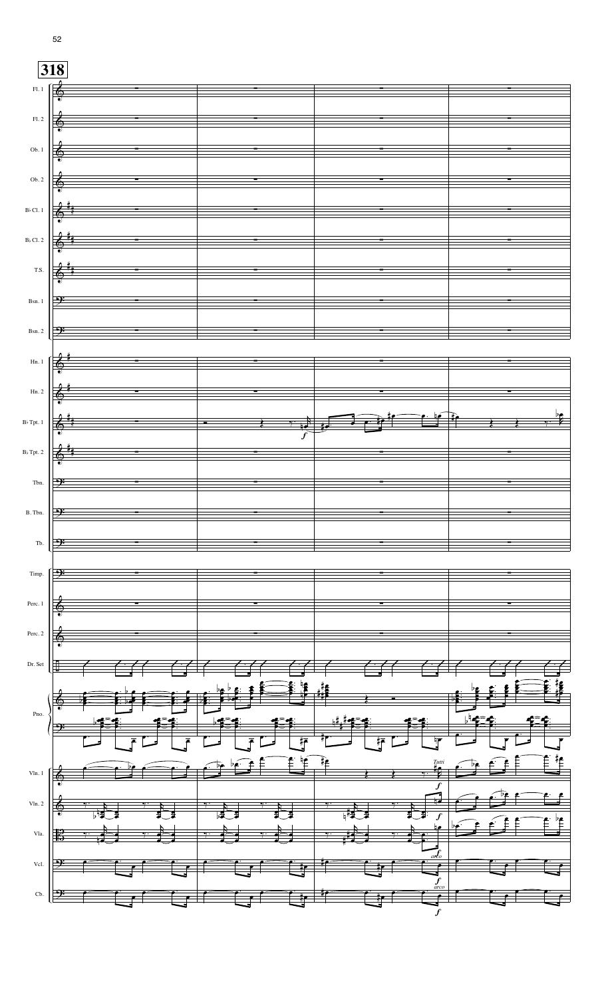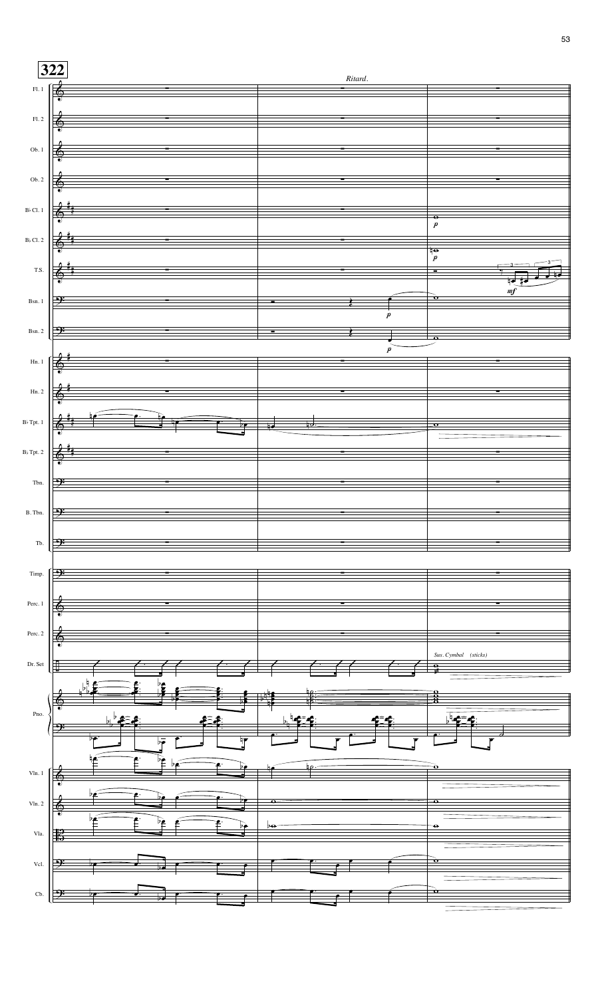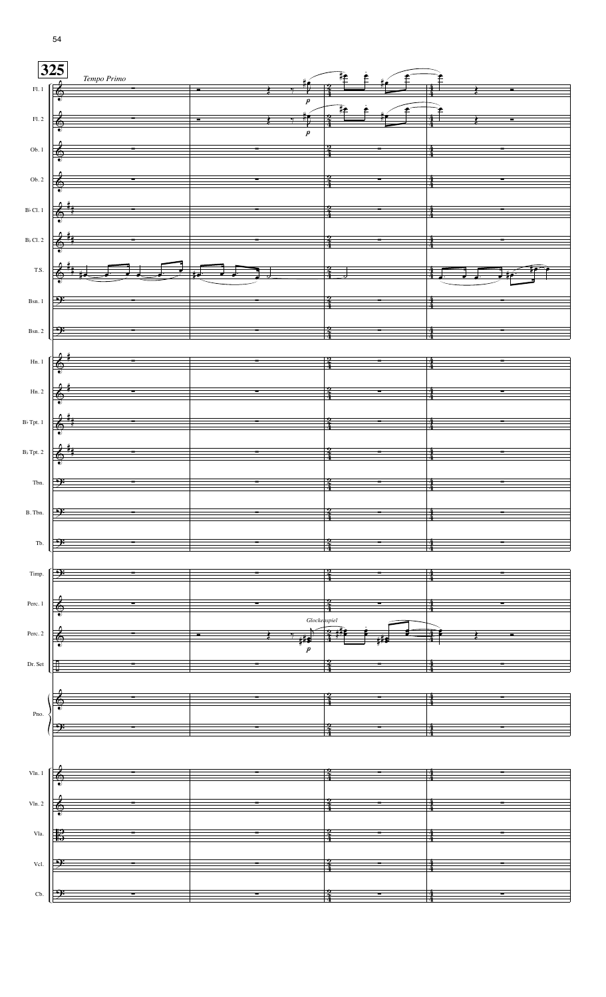